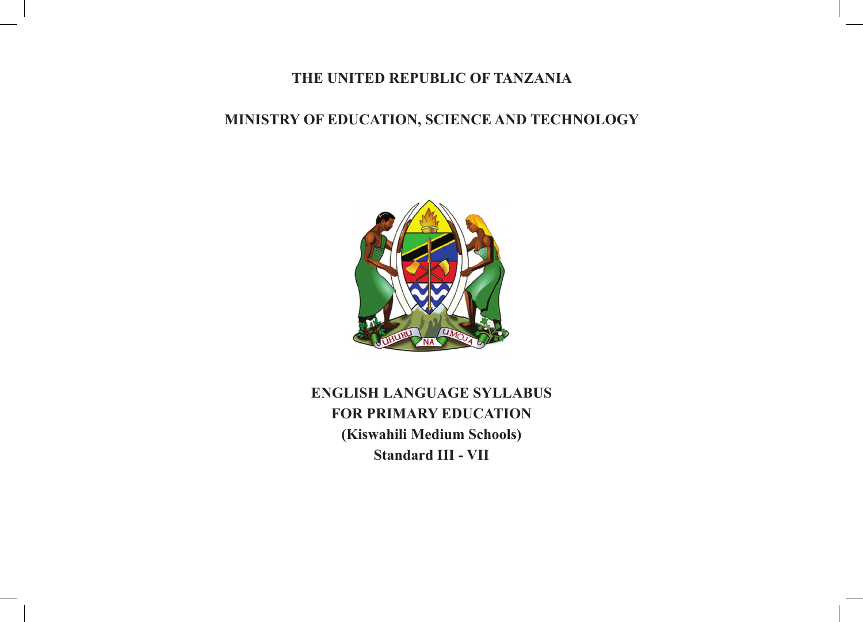#### **THE UNITED REPUBLIC OF TANZANIA**

## **MINISTRY OF EDUCATION, SCIENCE AND TECHNOLOGY**



**ENGLISH LANGUAGE SYLLABUS FOR PRIMARY EDUCATION (Kiswahili Medium Schools) Standard III - VII**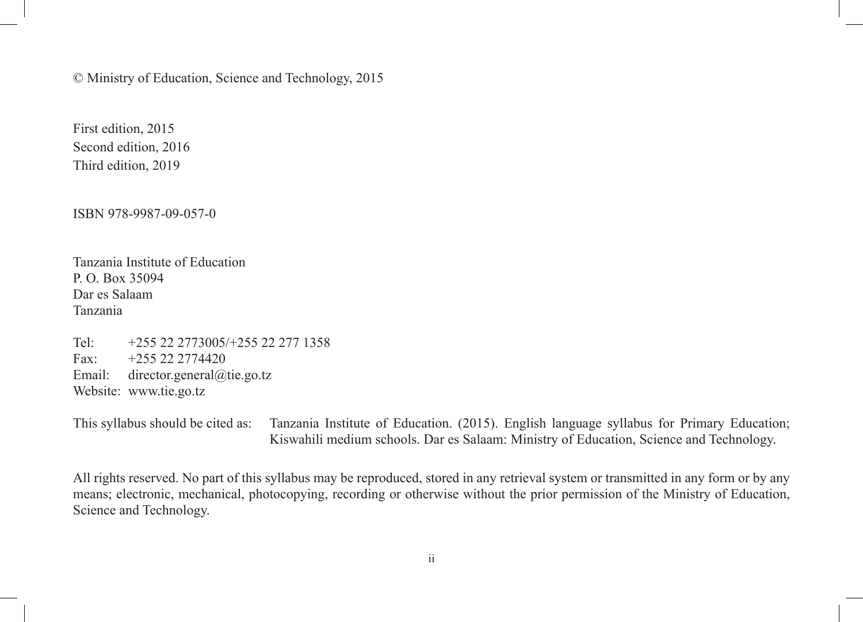© Ministry of Education, Science and Technology, 2015

First edition, 2015 Second edition, 2016 Third edition, 2019

ISBN 978-9987-09-057-0

Tanzania Institute of Education P. O. Box 35094 Dar es Salaam Tanzania

Tel: +255 22 2773005/+255 22 277 1358 Fax:  $+255222774420$ Email: director.general@tie.go.tz Website: www.tie.go.tz

This syllabus should be cited as: Tanzania Institute of Education. (2015). English language syllabus for Primary Education; Kiswahili medium schools. Dar es Salaam: Ministry of Education, Science and Technology.

All rights reserved. No part of this syllabus may be reproduced, stored in any retrieval system or transmitted in any form or by any means; electronic, mechanical, photocopying, recording or otherwise without the prior permission of the Ministry of Education, Science and Technology.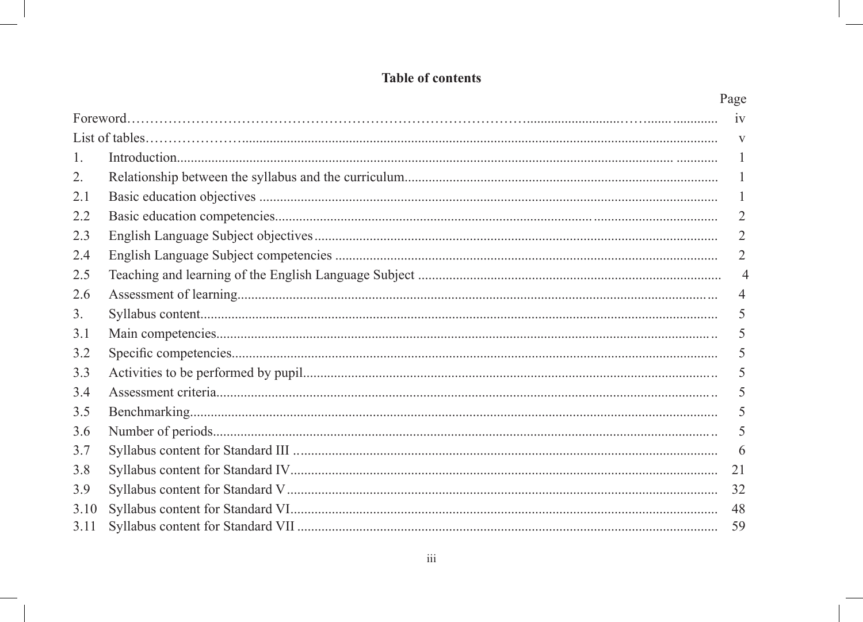# **Table of contents**

|      | Page           |
|------|----------------|
|      | iv             |
|      | V              |
| 1.   |                |
| 2.   | 1              |
| 2.1  |                |
| 2.2  | $\overline{2}$ |
| 2.3  | $\overline{2}$ |
| 2.4  | 2              |
| 2.5  | $\overline{4}$ |
| 2.6  | 4              |
| 3.   | 5              |
| 3.1  | 5              |
| 3.2  | 5              |
| 3.3  | 5              |
| 3.4  | 5              |
| 3.5  | 5              |
| 3.6  | 5              |
| 3.7  | 6              |
| 3.8  | 21             |
| 3.9  | 32             |
| 3.10 | 48             |
| 3.11 | 59             |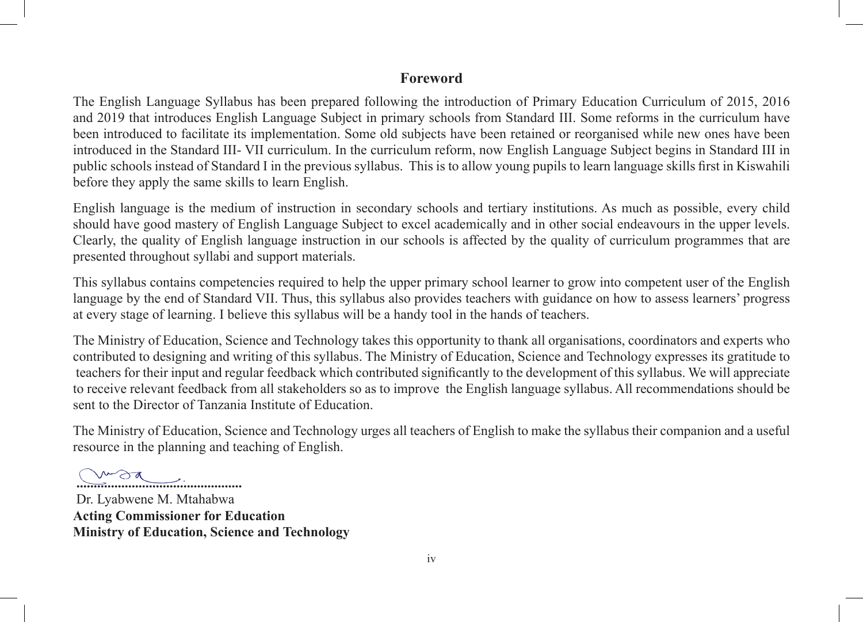#### **Foreword**

The English Language Syllabus has been prepared following the introduction of Primary Education Curriculum of 2015, 2016 and 2019 that introduces English Language Subject in primary schools from Standard III. Some reforms in the curriculum have been introduced to facilitate its implementation. Some old subjects have been retained or reorganised while new ones have been introduced in the Standard III- VII curriculum. In the curriculum reform, now English Language Subject begins in Standard III in public schools instead of Standard I in the previous syllabus. This is to allow young pupils to learn language skills first in Kiswahili before they apply the same skills to learn English.

English language is the medium of instruction in secondary schools and tertiary institutions. As much as possible, every child should have good mastery of English Language Subject to excel academically and in other social endeavours in the upper levels. Clearly, the quality of English language instruction in our schools is affected by the quality of curriculum programmes that are presented throughout syllabi and support materials.

This syllabus contains competencies required to help the upper primary school learner to grow into competent user of the English language by the end of Standard VII. Thus, this syllabus also provides teachers with guidance on how to assess learners' progress at every stage of learning. I believe this syllabus will be a handy tool in the hands of teachers.

The Ministry of Education, Science and Technology takes this opportunity to thank all organisations, coordinators and experts who contributed to designing and writing of this syllabus. The Ministry of Education, Science and Technology expresses its gratitude to teachers for their input and regular feedback which contributed significantly to the development of this syllabus. We will appreciate to receive relevant feedback from all stakeholders so as to improve the English language syllabus. All recommendations should be sent to the Director of Tanzania Institute of Education.

The Ministry of Education, Science and Technology urges all teachers of English to make the syllabus their companion and a useful resource in the planning and teaching of English.

**................................................**

Dr. Lyabwene M. Mtahabwa **Acting Commissioner for Education Ministry of Education, Science and Technology**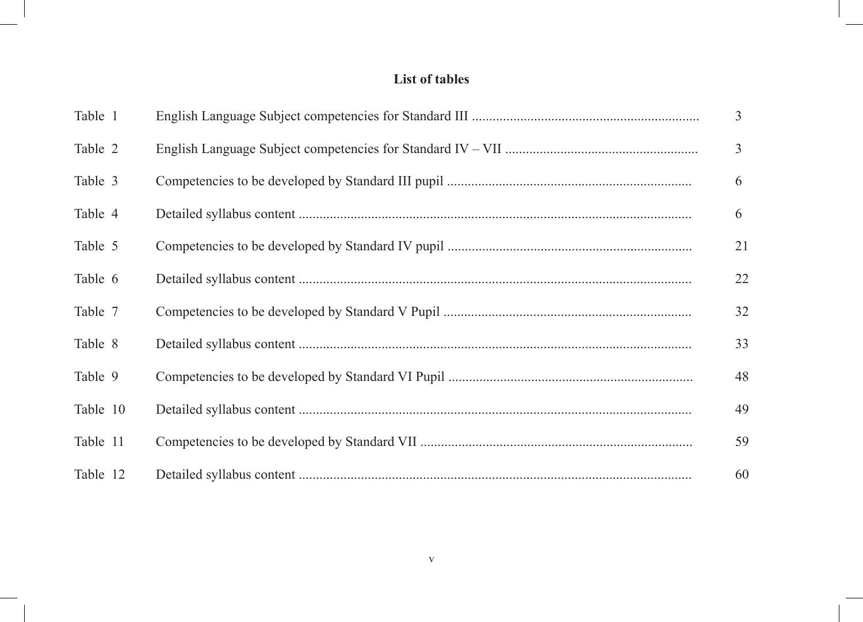# **List of tables**

| Table 1  | 3  |
|----------|----|
| Table 2  | 3  |
| Table 3  | 6  |
| Table 4  | 6  |
| Table 5  | 21 |
| Table 6  | 22 |
| Table 7  | 32 |
| Table 8  | 33 |
| Table 9  | 48 |
| Table 10 | 49 |
| Table 11 | 59 |
| Table 12 | 60 |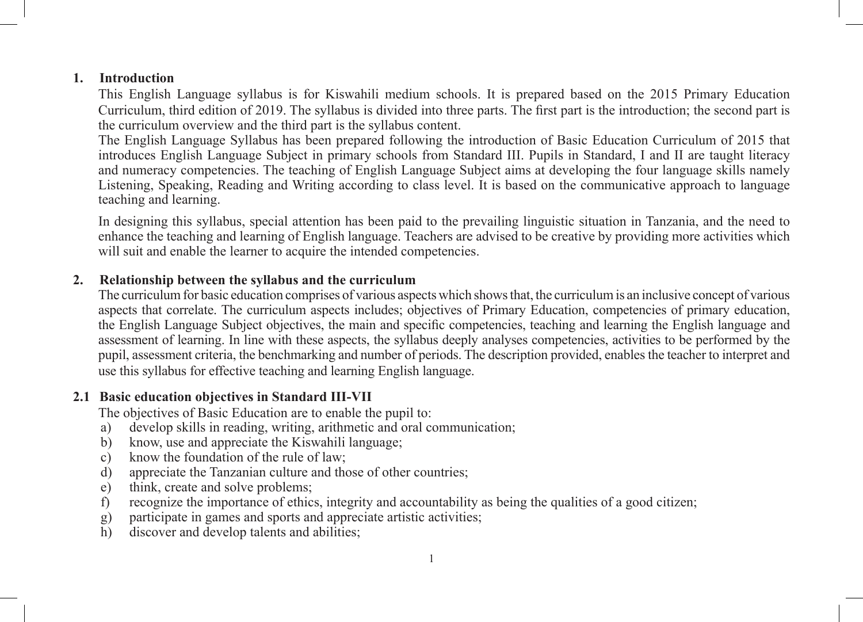#### **1. Introduction**

This English Language syllabus is for Kiswahili medium schools. It is prepared based on the 2015 Primary Education Curriculum, third edition of 2019. The syllabus is divided into three parts. The first part is the introduction; the second part is the curriculum overview and the third part is the syllabus content.

The English Language Syllabus has been prepared following the introduction of Basic Education Curriculum of 2015 that introduces English Language Subject in primary schools from Standard III. Pupils in Standard, I and II are taught literacy and numeracy competencies. The teaching of English Language Subject aims at developing the four language skills namely Listening, Speaking, Reading and Writing according to class level. It is based on the communicative approach to language teaching and learning.

In designing this syllabus, special attention has been paid to the prevailing linguistic situation in Tanzania, and the need to enhance the teaching and learning of English language. Teachers are advised to be creative by providing more activities which will suit and enable the learner to acquire the intended competencies.

#### **2. Relationship between the syllabus and the curriculum**

The curriculum for basic education comprises of various aspects which shows that, the curriculum is an inclusive concept of various aspects that correlate. The curriculum aspects includes; objectives of Primary Education, competencies of primary education, the English Language Subject objectives, the main and specific competencies, teaching and learning the English language and assessment of learning. In line with these aspects, the syllabus deeply analyses competencies, activities to be performed by the pupil, assessment criteria, the benchmarking and number of periods. The description provided, enables the teacher to interpret and use this syllabus for effective teaching and learning English language.

#### **2.1 Basic education objectives in Standard III-VII**

The objectives of Basic Education are to enable the pupil to:

- a) develop skills in reading, writing, arithmetic and oral communication;
- b) know, use and appreciate the Kiswahili language;
- c) know the foundation of the rule of law;
- d) appreciate the Tanzanian culture and those of other countries;
- e) think, create and solve problems;
- f) recognize the importance of ethics, integrity and accountability as being the qualities of a good citizen;
- g) participate in games and sports and appreciate artistic activities;
- h) discover and develop talents and abilities;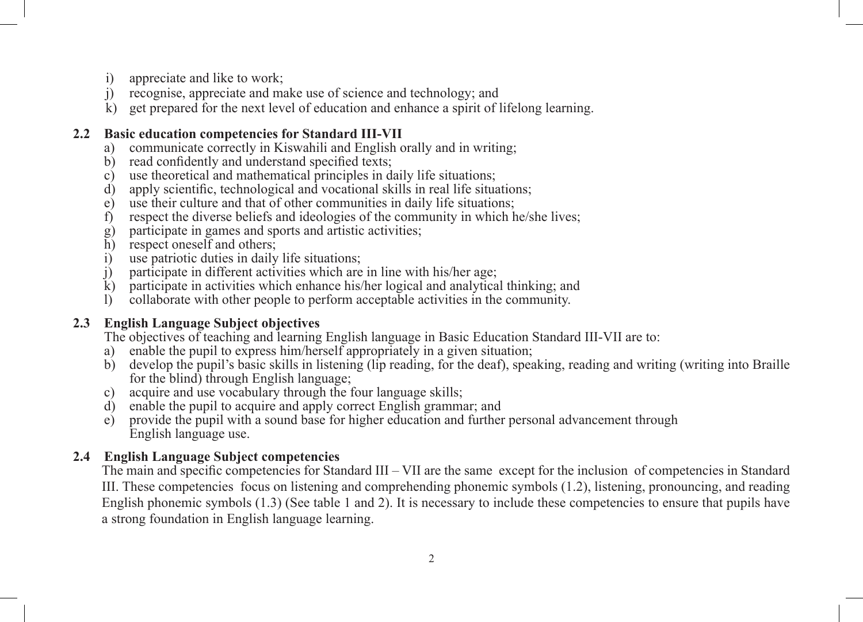- i) appreciate and like to work;
- j) recognise, appreciate and make use of science and technology; and
- k) get prepared for the next level of education and enhance a spirit of lifelong learning.

#### **2.2 Basic education competencies for Standard III-VII**

- a) communicate correctly in Kiswahili and English orally and in writing;
- b) read confidently and understand specified texts;
- c) use theoretical and mathematical principles in daily life situations;
- d) apply scientific, technological and vocational skills in real life situations;
- e) use their culture and that of other communities in daily life situations;
- f) respect the diverse beliefs and ideologies of the community in which he/she lives;
- g) participate in games and sports and artistic activities;<br>h) respect oneself and others;
- respect oneself and others;
- i) use patriotic duties in daily life situations;<br>i) participate in different activities which are
- j) participate in different activities which are in line with his/her age;
- participate in activities which enhance his/her logical and analytical thinking; and
- l) collaborate with other people to perform acceptable activities in the community.

### **2.3 English Language Subject objectives**

The objectives of teaching and learning English language in Basic Education Standard III-VII are to:

- a) enable the pupil to express him/herself appropriately in a given situation;
- b) develop the pupil's basic skills in listening (lip reading, for the deaf), speaking, reading and writing (writing into Braille for the blind) through English language;
- c) acquire and use vocabulary through the four language skills;
- d) enable the pupil to acquire and apply correct English grammar; and
- e) provide the pupil with a sound base for higher education and further personal advancement through English language use.

#### **2.4 English Language Subject competencies**

The main and specific competencies for Standard III – VII are the same except for the inclusion of competencies in Standard III. These competencies focus on listening and comprehending phonemic symbols (1.2), listening, pronouncing, and reading English phonemic symbols (1.3) (See table 1 and 2). It is necessary to include these competencies to ensure that pupils have a strong foundation in English language learning.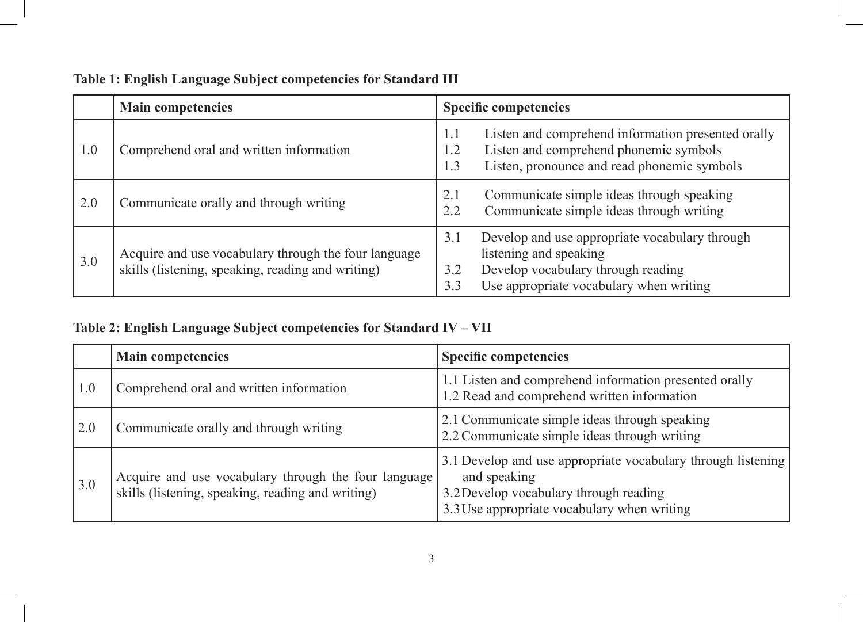|     | <b>Main competencies</b>                                                                                  | <b>Specific competencies</b>                                                                                                                                                   |
|-----|-----------------------------------------------------------------------------------------------------------|--------------------------------------------------------------------------------------------------------------------------------------------------------------------------------|
| 1.0 | Comprehend oral and written information                                                                   | Listen and comprehend information presented orally<br>1.1<br>Listen and comprehend phonemic symbols<br>1.2<br>Listen, pronounce and read phonemic symbols<br>1.3               |
| 2.0 | Communicate orally and through writing                                                                    | Communicate simple ideas through speaking<br>2.1<br>Communicate simple ideas through writing<br>2.2                                                                            |
| 3.0 | Acquire and use vocabulary through the four language<br>skills (listening, speaking, reading and writing) | Develop and use appropriate vocabulary through<br>3.1<br>listening and speaking<br>Develop vocabulary through reading<br>3.2<br>Use appropriate vocabulary when writing<br>3.3 |

## **Table 1: English Language Subject competencies for Standard III**

## **Table 2: English Language Subject competencies for Standard IV – VII**

|                   | <b>Main competencies</b>                                                                                  | <b>Specific competencies</b>                                                                                                                                          |
|-------------------|-----------------------------------------------------------------------------------------------------------|-----------------------------------------------------------------------------------------------------------------------------------------------------------------------|
| 1.0               | Comprehend oral and written information                                                                   | 1.1 Listen and comprehend information presented orally<br>1.2 Read and comprehend written information                                                                 |
| 2.0               | Communicate orally and through writing                                                                    | 2.1 Communicate simple ideas through speaking<br>2.2 Communicate simple ideas through writing                                                                         |
| $\vert 3.0 \vert$ | Acquire and use vocabulary through the four language<br>skills (listening, speaking, reading and writing) | 3.1 Develop and use appropriate vocabulary through listening<br>and speaking<br>3.2 Develop vocabulary through reading<br>3.3 Use appropriate vocabulary when writing |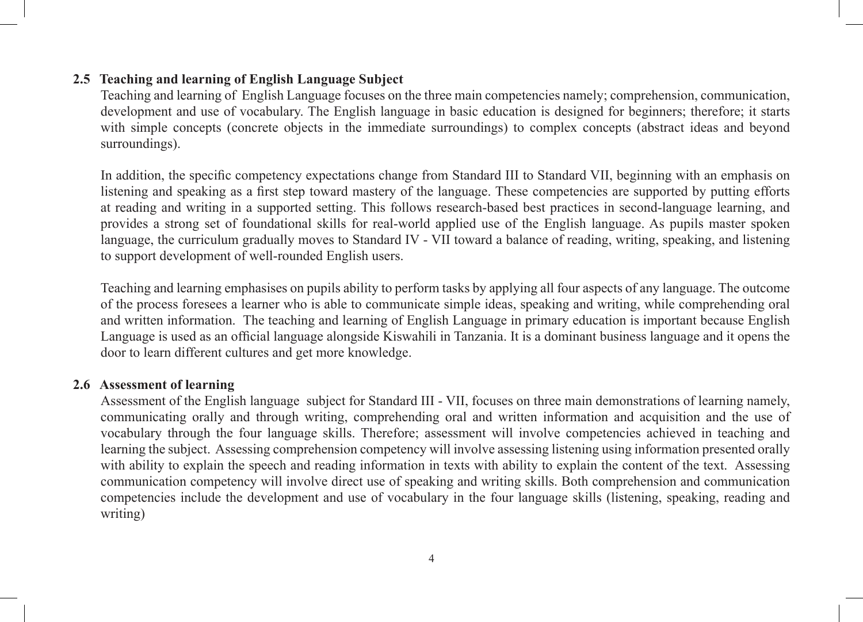#### **2.5 Teaching and learning of English Language Subject**

Teaching and learning of English Language focuses on the three main competencies namely; comprehension, communication, development and use of vocabulary. The English language in basic education is designed for beginners; therefore; it starts with simple concepts (concrete objects in the immediate surroundings) to complex concepts (abstract ideas and beyond surroundings).

In addition, the specific competency expectations change from Standard III to Standard VII, beginning with an emphasis on listening and speaking as a first step toward mastery of the language. These competencies are supported by putting efforts at reading and writing in a supported setting. This follows research-based best practices in second-language learning, and provides a strong set of foundational skills for real-world applied use of the English language. As pupils master spoken language, the curriculum gradually moves to Standard IV - VII toward a balance of reading, writing, speaking, and listening to support development of well-rounded English users.

Teaching and learning emphasises on pupils ability to perform tasks by applying all four aspects of any language. The outcome of the process foresees a learner who is able to communicate simple ideas, speaking and writing, while comprehending oral and written information. The teaching and learning of English Language in primary education is important because English Language is used as an official language alongside Kiswahili in Tanzania. It is a dominant business language and it opens the door to learn different cultures and get more knowledge.

#### **2.6 Assessment of learning**

Assessment of the English language subject for Standard III - VII, focuses on three main demonstrations of learning namely, communicating orally and through writing, comprehending oral and written information and acquisition and the use of vocabulary through the four language skills. Therefore; assessment will involve competencies achieved in teaching and learning the subject. Assessing comprehension competency will involve assessing listening using information presented orally with ability to explain the speech and reading information in texts with ability to explain the content of the text. Assessing communication competency will involve direct use of speaking and writing skills. Both comprehension and communication competencies include the development and use of vocabulary in the four language skills (listening, speaking, reading and writing)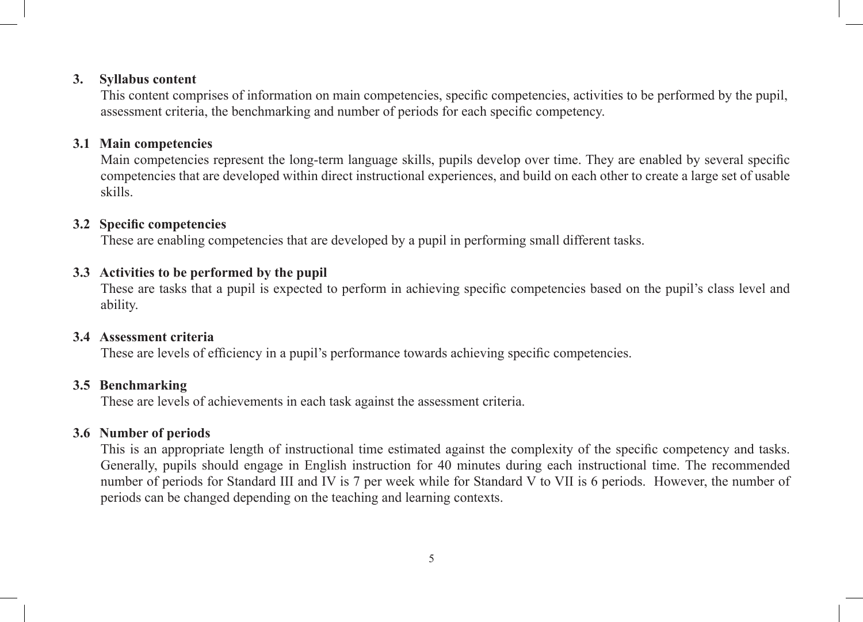#### **3. Syllabus content**

This content comprises of information on main competencies, specific competencies, activities to be performed by the pupil, assessment criteria, the benchmarking and number of periods for each specific competency.

#### **3.1 Main competencies**

Main competencies represent the long-term language skills, pupils develop over time. They are enabled by several specific competencies that are developed within direct instructional experiences, and build on each other to create a large set of usable skills.

#### **3.2 Specific competencies**

These are enabling competencies that are developed by a pupil in performing small different tasks.

#### **3.3 Activities to be performed by the pupil**

These are tasks that a pupil is expected to perform in achieving specific competencies based on the pupil's class level and ability.

#### **3.4 Assessment criteria**

These are levels of efficiency in a pupil's performance towards achieving specific competencies.

#### **3.5 Benchmarking**

These are levels of achievements in each task against the assessment criteria.

#### **3.6 Number of periods**

This is an appropriate length of instructional time estimated against the complexity of the specific competency and tasks. Generally, pupils should engage in English instruction for 40 minutes during each instructional time. The recommended number of periods for Standard III and IV is 7 per week while for Standard V to VII is 6 periods. However, the number of periods can be changed depending on the teaching and learning contexts.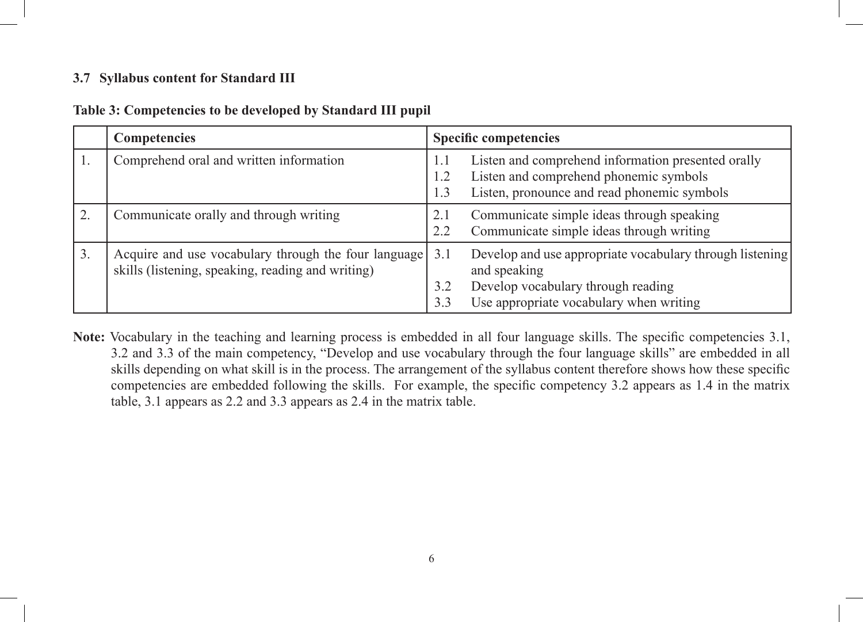#### **3.7 Syllabus content for Standard III**

| Table 3: Competencies to be developed by Standard III pupil |  |  |
|-------------------------------------------------------------|--|--|
|                                                             |  |  |

|    | <b>Competencies</b>                                                                                       | <b>Specific competencies</b>                                                                                                                                                   |
|----|-----------------------------------------------------------------------------------------------------------|--------------------------------------------------------------------------------------------------------------------------------------------------------------------------------|
|    | Comprehend oral and written information                                                                   | Listen and comprehend information presented orally<br>1.1<br>Listen and comprehend phonemic symbols<br>1.2<br>Listen, pronounce and read phonemic symbols<br>1.3               |
| 2. | Communicate orally and through writing                                                                    | Communicate simple ideas through speaking<br>2.1<br>Communicate simple ideas through writing<br>2.2                                                                            |
| 3. | Acquire and use vocabulary through the four language<br>skills (listening, speaking, reading and writing) | Develop and use appropriate vocabulary through listening<br>3.1<br>and speaking<br>Develop vocabulary through reading<br>3.2<br>Use appropriate vocabulary when writing<br>3.3 |

**Note:** Vocabulary in the teaching and learning process is embedded in all four language skills. The specific competencies 3.1, 3.2 and 3.3 of the main competency, "Develop and use vocabulary through the four language skills" are embedded in all skills depending on what skill is in the process. The arrangement of the syllabus content therefore shows how these specific competencies are embedded following the skills. For example, the specific competency 3.2 appears as 1.4 in the matrix table, 3.1 appears as 2.2 and 3.3 appears as 2.4 in the matrix table.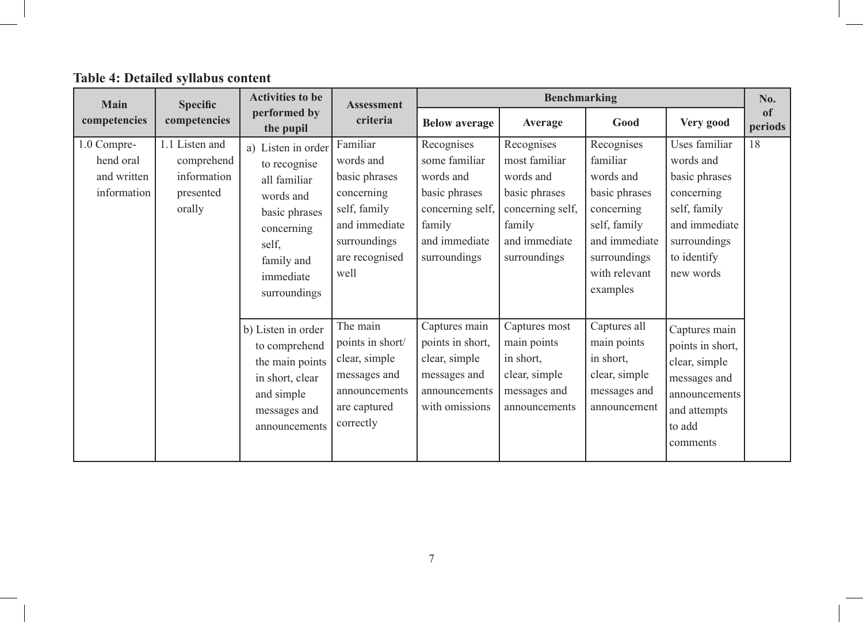| Main                                                   | <b>Specific</b>                                                    | <b>Activities to be</b>                                                                                                                            | <b>Assessment</b>                                                                                                               |                                                                                                                          | <b>Benchmarking</b>                                                                                                      |                                                                                                                                                  |                                                                                                                                        | No.                      |
|--------------------------------------------------------|--------------------------------------------------------------------|----------------------------------------------------------------------------------------------------------------------------------------------------|---------------------------------------------------------------------------------------------------------------------------------|--------------------------------------------------------------------------------------------------------------------------|--------------------------------------------------------------------------------------------------------------------------|--------------------------------------------------------------------------------------------------------------------------------------------------|----------------------------------------------------------------------------------------------------------------------------------------|--------------------------|
| competencies                                           | competencies                                                       | performed by<br>the pupil                                                                                                                          | criteria                                                                                                                        | <b>Below average</b>                                                                                                     | Average                                                                                                                  | Good                                                                                                                                             | Very good                                                                                                                              | <sub>of</sub><br>periods |
| 1.0 Compre-<br>hend oral<br>and written<br>information | 1.1 Listen and<br>comprehend<br>information<br>presented<br>orally | a) Listen in order<br>to recognise<br>all familiar<br>words and<br>basic phrases<br>concerning<br>self,<br>family and<br>immediate<br>surroundings | Familiar<br>words and<br>basic phrases<br>concerning<br>self, family<br>and immediate<br>surroundings<br>are recognised<br>well | Recognises<br>some familiar<br>words and<br>basic phrases<br>concerning self,<br>family<br>and immediate<br>surroundings | Recognises<br>most familiar<br>words and<br>basic phrases<br>concerning self,<br>family<br>and immediate<br>surroundings | Recognises<br>familiar<br>words and<br>basic phrases<br>concerning<br>self, family<br>and immediate<br>surroundings<br>with relevant<br>examples | Uses familiar<br>words and<br>basic phrases<br>concerning<br>self, family<br>and immediate<br>surroundings<br>to identify<br>new words | 18                       |
|                                                        |                                                                    | b) Listen in order<br>to comprehend<br>the main points<br>in short, clear<br>and simple<br>messages and<br>announcements                           | The main<br>points in short/<br>clear, simple<br>messages and<br>announcements<br>are captured<br>correctly                     | Captures main<br>points in short,<br>clear, simple<br>messages and<br>announcements<br>with omissions                    | Captures most<br>main points<br>in short,<br>clear, simple<br>messages and<br>announcements                              | Captures all<br>main points<br>in short,<br>clear, simple<br>messages and<br>announcement                                                        | Captures main<br>points in short,<br>clear, simple<br>messages and<br>announcements<br>and attempts<br>to add<br>comments              |                          |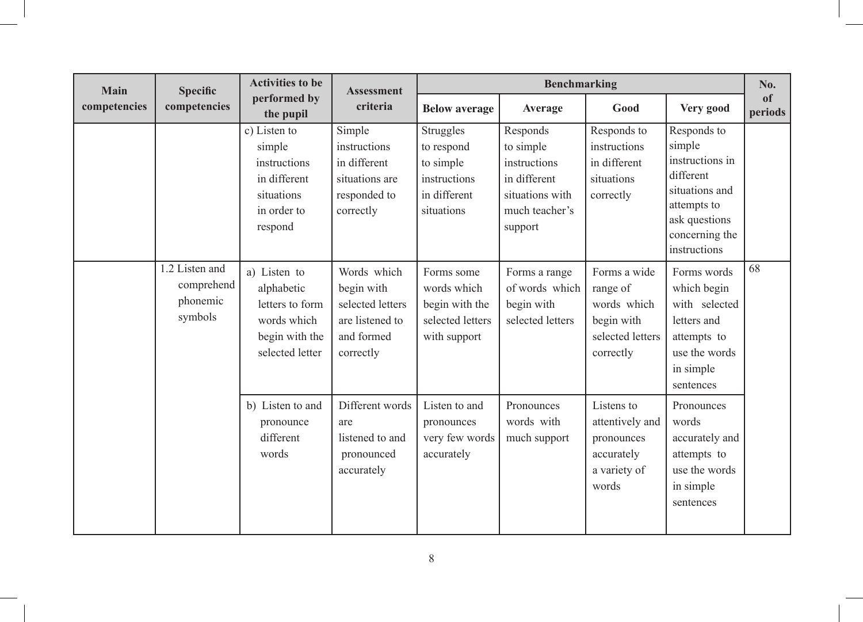| Main         | <b>Specific</b>                                     | <b>Activities to be</b>                                                                           | <b>Assessment</b><br>criteria                                                               | <b>Benchmarking</b>                                                                |                                                                                                       |                                                                                        |                                                                                                                                           | No.           |
|--------------|-----------------------------------------------------|---------------------------------------------------------------------------------------------------|---------------------------------------------------------------------------------------------|------------------------------------------------------------------------------------|-------------------------------------------------------------------------------------------------------|----------------------------------------------------------------------------------------|-------------------------------------------------------------------------------------------------------------------------------------------|---------------|
| competencies | competencies                                        | performed by<br>the pupil                                                                         |                                                                                             | <b>Below average</b>                                                               | Average                                                                                               | Good                                                                                   | Very good                                                                                                                                 | of<br>periods |
|              |                                                     | c) Listen to<br>simple<br>instructions<br>in different<br>situations<br>in order to<br>respond    | Simple<br>instructions<br>in different<br>situations are<br>responded to<br>correctly       | Struggles<br>to respond<br>to simple<br>instructions<br>in different<br>situations | Responds<br>to simple<br>instructions<br>in different<br>situations with<br>much teacher's<br>support | Responds to<br>instructions<br>in different<br>situations<br>correctly                 | Responds to<br>simple<br>instructions in<br>different<br>situations and<br>attempts to<br>ask questions<br>concerning the<br>instructions |               |
|              | 1.2 Listen and<br>comprehend<br>phonemic<br>symbols | a) Listen to<br>alphabetic<br>letters to form<br>words which<br>begin with the<br>selected letter | Words which<br>begin with<br>selected letters<br>are listened to<br>and formed<br>correctly | Forms some<br>words which<br>begin with the<br>selected letters<br>with support    | Forms a range<br>of words which<br>begin with<br>selected letters                                     | Forms a wide<br>range of<br>words which<br>begin with<br>selected letters<br>correctly | Forms words<br>which begin<br>with selected<br>letters and<br>attempts to<br>use the words<br>in simple<br>sentences                      | 68            |
|              |                                                     | b) Listen to and<br>pronounce<br>different<br>words                                               | Different words<br>are<br>listened to and<br>pronounced<br>accurately                       | Listen to and<br>pronounces<br>very few words<br>accurately                        | Pronounces<br>words with<br>much support                                                              | Listens to<br>attentively and<br>pronounces<br>accurately<br>a variety of<br>words     | Pronounces<br>words<br>accurately and<br>attempts to<br>use the words<br>in simple<br>sentences                                           |               |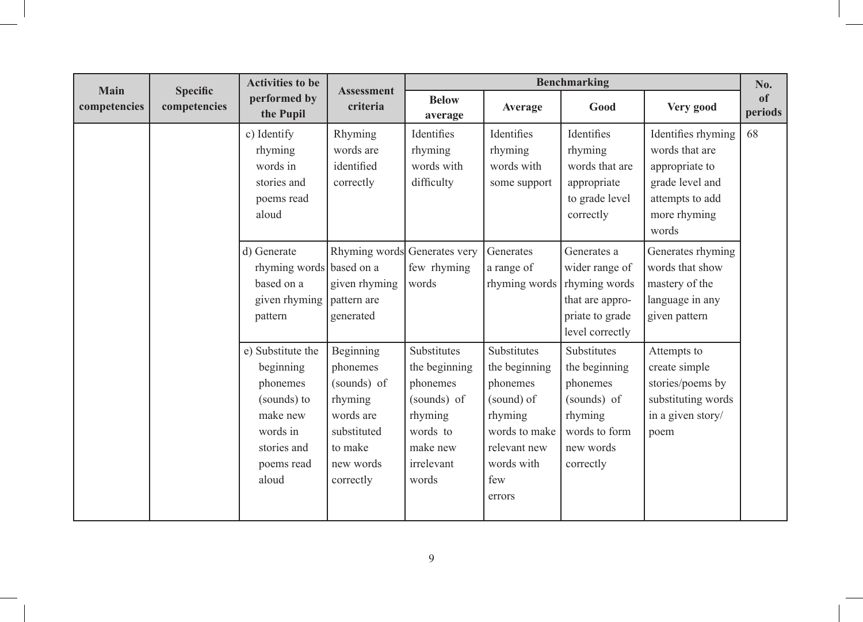| Main         | <b>Specific</b> | <b>Activities to be</b>                                                                                                 | <b>Assessment</b>                                                                                                |                                                                                                                   |                                                                                                                                   | <b>Benchmarking</b>                                                                                           |                                                                                                                       | No.           |
|--------------|-----------------|-------------------------------------------------------------------------------------------------------------------------|------------------------------------------------------------------------------------------------------------------|-------------------------------------------------------------------------------------------------------------------|-----------------------------------------------------------------------------------------------------------------------------------|---------------------------------------------------------------------------------------------------------------|-----------------------------------------------------------------------------------------------------------------------|---------------|
| competencies | competencies    | performed by<br>the Pupil                                                                                               | criteria                                                                                                         | <b>Below</b><br>average                                                                                           | Average                                                                                                                           | Good                                                                                                          | Very good                                                                                                             | of<br>periods |
|              |                 | c) Identify<br>rhyming<br>words in<br>stories and<br>poems read<br>aloud                                                | Rhyming<br>words are<br>identified<br>correctly                                                                  | Identifies<br>rhyming<br>words with<br>difficulty                                                                 | Identifies<br>rhyming<br>words with<br>some support                                                                               | Identifies<br>rhyming<br>words that are<br>appropriate<br>to grade level<br>correctly                         | Identifies rhyming<br>words that are<br>appropriate to<br>grade level and<br>attempts to add<br>more rhyming<br>words | 68            |
|              |                 | d) Generate<br>rhyming words based on a<br>based on a<br>given rhyming<br>pattern                                       | Rhyming words Generates very<br>given rhyming<br>pattern are<br>generated                                        | few rhyming<br>words                                                                                              | Generates<br>a range of<br>rhyming words                                                                                          | Generates a<br>wider range of<br>rhyming words<br>that are appro-<br>priate to grade<br>level correctly       | Generates rhyming<br>words that show<br>mastery of the<br>language in any<br>given pattern                            |               |
|              |                 | e) Substitute the<br>beginning<br>phonemes<br>(sounds) to<br>make new<br>words in<br>stories and<br>poems read<br>aloud | Beginning<br>phonemes<br>(sounds) of<br>rhyming<br>words are<br>substituted<br>to make<br>new words<br>correctly | Substitutes<br>the beginning<br>phonemes<br>(sounds) of<br>rhyming<br>words to<br>make new<br>irrelevant<br>words | Substitutes<br>the beginning<br>phonemes<br>(sound) of<br>rhyming<br>words to make<br>relevant new<br>words with<br>few<br>errors | Substitutes<br>the beginning<br>phonemes<br>(sounds) of<br>rhyming<br>words to form<br>new words<br>correctly | Attempts to<br>create simple<br>stories/poems by<br>substituting words<br>in a given story/<br>poem                   |               |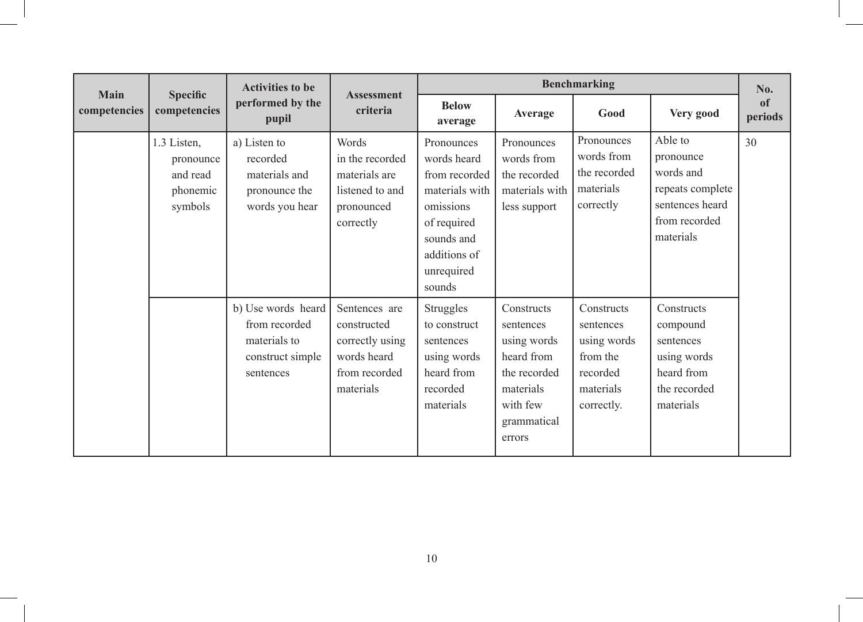| <b>Main</b>  | <b>Specific</b><br>competencies                             | <b>Activities to be</b>                                                              | <b>Assessment</b>                                                                            | <b>Benchmarking</b>                                                                                                                            |                                                                                                                        |                                                                                           |                                                                                                        | No.           |
|--------------|-------------------------------------------------------------|--------------------------------------------------------------------------------------|----------------------------------------------------------------------------------------------|------------------------------------------------------------------------------------------------------------------------------------------------|------------------------------------------------------------------------------------------------------------------------|-------------------------------------------------------------------------------------------|--------------------------------------------------------------------------------------------------------|---------------|
| competencies |                                                             | performed by the<br>pupil                                                            | criteria                                                                                     | <b>Below</b><br>average                                                                                                                        | Average                                                                                                                | Good                                                                                      | Very good                                                                                              | of<br>periods |
|              | 1.3 Listen,<br>pronounce<br>and read<br>phonemic<br>symbols | a) Listen to<br>recorded<br>materials and<br>pronounce the<br>words you hear         | Words<br>in the recorded<br>materials are<br>listened to and<br>pronounced<br>correctly      | Pronounces<br>words heard<br>from recorded<br>materials with<br>omissions<br>of required<br>sounds and<br>additions of<br>unrequired<br>sounds | Pronounces<br>words from<br>the recorded<br>materials with<br>less support                                             | Pronounces<br>words from<br>the recorded<br>materials<br>correctly                        | Able to<br>pronounce<br>words and<br>repeats complete<br>sentences heard<br>from recorded<br>materials | 30            |
|              |                                                             | b) Use words heard<br>from recorded<br>materials to<br>construct simple<br>sentences | Sentences are<br>constructed<br>correctly using<br>words heard<br>from recorded<br>materials | <b>Struggles</b><br>to construct<br>sentences<br>using words<br>heard from<br>recorded<br>materials                                            | Constructs<br>sentences<br>using words<br>heard from<br>the recorded<br>materials<br>with few<br>grammatical<br>errors | Constructs<br>sentences<br>using words<br>from the<br>recorded<br>materials<br>correctly. | Constructs<br>compound<br>sentences<br>using words<br>heard from<br>the recorded<br>materials          |               |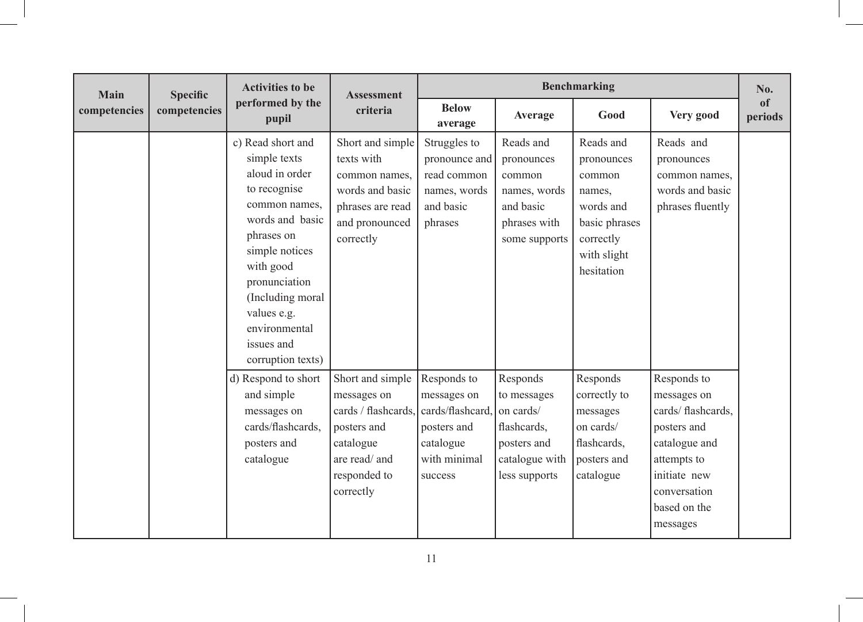| <b>Main</b>  |                                           | <b>Activities to be</b><br><b>Specific</b>                                                                                                                                                                                                                   | <b>Assessment</b>                                                                                                                | <b>Benchmarking</b>                                                                                   |                                                                                                       |                                                                                                                     |                                                                                                                                                             |                          |
|--------------|-------------------------------------------|--------------------------------------------------------------------------------------------------------------------------------------------------------------------------------------------------------------------------------------------------------------|----------------------------------------------------------------------------------------------------------------------------------|-------------------------------------------------------------------------------------------------------|-------------------------------------------------------------------------------------------------------|---------------------------------------------------------------------------------------------------------------------|-------------------------------------------------------------------------------------------------------------------------------------------------------------|--------------------------|
| competencies | performed by the<br>competencies<br>pupil |                                                                                                                                                                                                                                                              | criteria                                                                                                                         | <b>Below</b><br>average                                                                               | Average                                                                                               | Good                                                                                                                | Very good                                                                                                                                                   | <sub>of</sub><br>periods |
|              |                                           | c) Read short and<br>simple texts<br>aloud in order<br>to recognise<br>common names,<br>words and basic<br>phrases on<br>simple notices<br>with good<br>pronunciation<br>(Including moral<br>values e.g.<br>environmental<br>issues and<br>corruption texts) | Short and simple<br>texts with<br>common names,<br>words and basic<br>phrases are read<br>and pronounced<br>correctly            | Struggles to<br>pronounce and<br>read common<br>names, words<br>and basic<br>phrases                  | Reads and<br>pronounces<br>common<br>names, words<br>and basic<br>phrases with<br>some supports       | Reads and<br>pronounces<br>common<br>names.<br>words and<br>basic phrases<br>correctly<br>with slight<br>hesitation | Reads and<br>pronounces<br>common names,<br>words and basic<br>phrases fluently                                                                             |                          |
|              |                                           | d) Respond to short<br>and simple<br>messages on<br>cards/flashcards.<br>posters and<br>catalogue                                                                                                                                                            | Short and simple<br>messages on<br>cards / flashcards,<br>posters and<br>catalogue<br>are read/ and<br>responded to<br>correctly | Responds to<br>messages on<br>cards/flashcard.<br>posters and<br>catalogue<br>with minimal<br>success | Responds<br>to messages<br>on cards/<br>flashcards,<br>posters and<br>catalogue with<br>less supports | Responds<br>correctly to<br>messages<br>on cards/<br>flashcards,<br>posters and<br>catalogue                        | Responds to<br>messages on<br>cards/ flashcards,<br>posters and<br>catalogue and<br>attempts to<br>initiate new<br>conversation<br>based on the<br>messages |                          |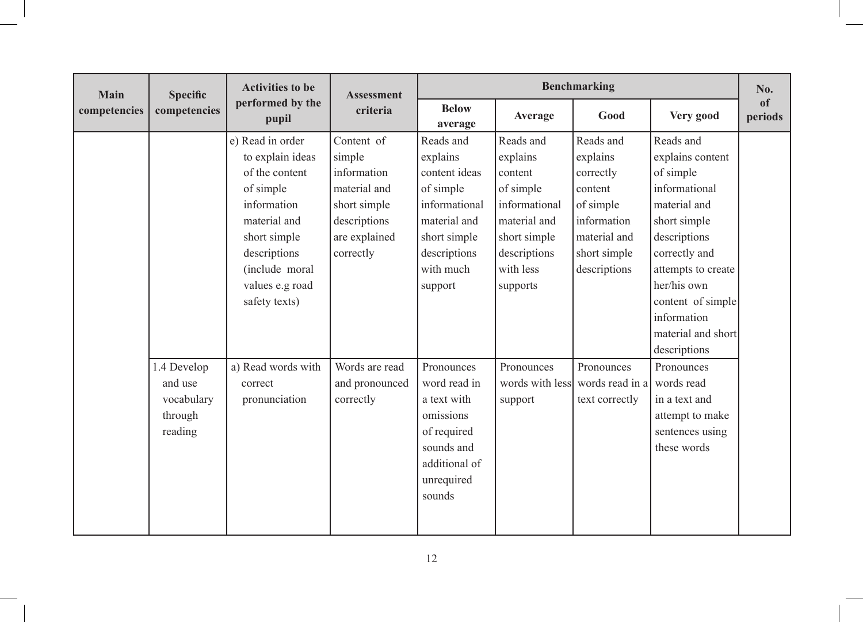| <b>Main</b>  | <b>Specific</b> | <b>Activities to be</b>   | <b>Assessment</b> |                         |                 | <b>Benchmarking</b> |                    | No.           |
|--------------|-----------------|---------------------------|-------------------|-------------------------|-----------------|---------------------|--------------------|---------------|
| competencies | competencies    | performed by the<br>pupil | criteria          | <b>Below</b><br>average | Average         | Good                | Very good          | of<br>periods |
|              |                 | e) Read in order          | Content of        | Reads and               | Reads and       | Reads and           | Reads and          |               |
|              |                 | to explain ideas          | simple            | explains                | explains        | explains            | explains content   |               |
|              |                 | of the content            | information       | content ideas           | content         | correctly           | of simple          |               |
|              |                 | of simple                 | material and      | of simple               | of simple       | content             | informational      |               |
|              |                 | information               | short simple      | informational           | informational   | of simple           | material and       |               |
|              |                 | material and              | descriptions      | material and            | material and    | information         | short simple       |               |
|              |                 | short simple              | are explained     | short simple            | short simple    | material and        | descriptions       |               |
|              |                 | descriptions              | correctly         | descriptions            | descriptions    | short simple        | correctly and      |               |
|              |                 | (include moral            |                   | with much               | with less       | descriptions        | attempts to create |               |
|              |                 | values e.g road           |                   | support                 | supports        |                     | her/his own        |               |
|              |                 | safety texts)             |                   |                         |                 |                     | content of simple  |               |
|              |                 |                           |                   |                         |                 |                     | information        |               |
|              |                 |                           |                   |                         |                 |                     | material and short |               |
|              |                 |                           |                   |                         |                 |                     | descriptions       |               |
|              | 1.4 Develop     | a) Read words with        | Words are read    | Pronounces              | Pronounces      | Pronounces          | Pronounces         |               |
|              | and use         | correct                   | and pronounced    | word read in            | words with less | words read in a     | words read         |               |
|              | vocabulary      | pronunciation             | correctly         | a text with             | support         | text correctly      | in a text and      |               |
|              | through         |                           |                   | omissions               |                 |                     | attempt to make    |               |
|              | reading         |                           |                   | of required             |                 |                     | sentences using    |               |
|              |                 |                           |                   | sounds and              |                 |                     | these words        |               |
|              |                 |                           |                   | additional of           |                 |                     |                    |               |
|              |                 |                           |                   | unrequired              |                 |                     |                    |               |
|              |                 |                           |                   | sounds                  |                 |                     |                    |               |
|              |                 |                           |                   |                         |                 |                     |                    |               |
|              |                 |                           |                   |                         |                 |                     |                    |               |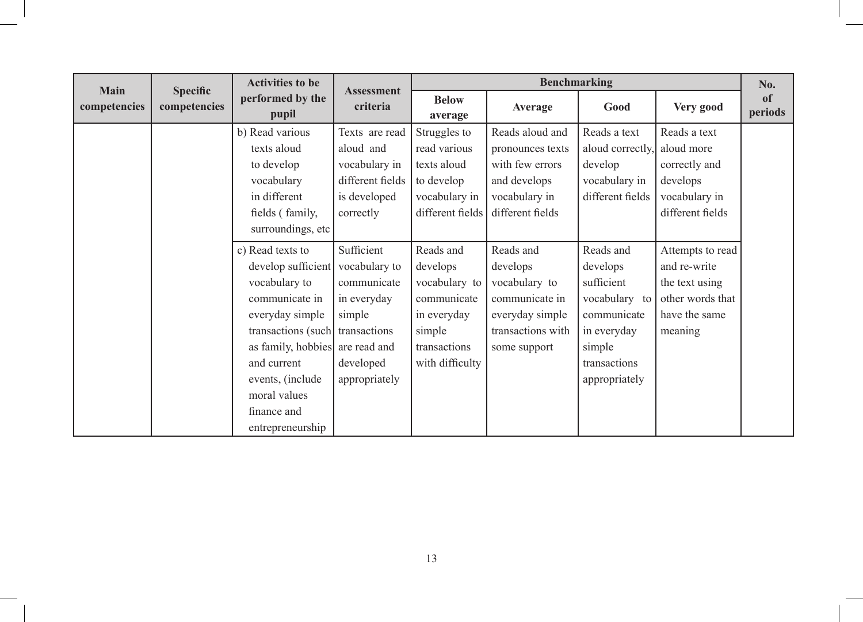| <b>Main</b>  |                                 | <b>Activities to be</b>                                                                                                                                                                                                                                                 | <b>Assessment</b>                                                                             |                                                                                                                   | Benchmarking                                                                                                     |                                                                                                                               |                                                                                                    | No.           |
|--------------|---------------------------------|-------------------------------------------------------------------------------------------------------------------------------------------------------------------------------------------------------------------------------------------------------------------------|-----------------------------------------------------------------------------------------------|-------------------------------------------------------------------------------------------------------------------|------------------------------------------------------------------------------------------------------------------|-------------------------------------------------------------------------------------------------------------------------------|----------------------------------------------------------------------------------------------------|---------------|
| competencies | <b>Specific</b><br>competencies | performed by the<br>pupil                                                                                                                                                                                                                                               | criteria                                                                                      | <b>Below</b><br>average                                                                                           | Average                                                                                                          | Good                                                                                                                          | Very good                                                                                          | of<br>periods |
|              |                                 | b) Read various<br>texts aloud<br>to develop<br>vocabulary<br>in different<br>fields (family,<br>surroundings, etc                                                                                                                                                      | Texts are read<br>aloud and<br>vocabulary in<br>different fields<br>is developed<br>correctly | Struggles to<br>read various<br>texts aloud<br>to develop<br>vocabulary in<br>different fields                    | Reads aloud and<br>pronounces texts<br>with few errors<br>and develops<br>vocabulary in<br>different fields      | Reads a text<br>aloud correctly,<br>develop<br>vocabulary in<br>different fields                                              | Reads a text<br>aloud more<br>correctly and<br>develops<br>vocabulary in<br>different fields       |               |
|              |                                 | c) Read texts to<br>develop sufficient vocabulary to<br>vocabulary to<br>communicate in<br>everyday simple<br>transactions (such) transactions<br>as family, hobbies are read and<br>and current<br>events, (include<br>moral values<br>finance and<br>entrepreneurship | Sufficient<br>communicate<br>in everyday<br>simple<br>developed<br>appropriately              | Reads and<br>develops<br>vocabulary to<br>communicate<br>in everyday<br>simple<br>transactions<br>with difficulty | Reads and<br>develops<br>vocabulary to<br>communicate in<br>everyday simple<br>transactions with<br>some support | Reads and<br>develops<br>sufficient<br>vocabulary to<br>communicate<br>in everyday<br>simple<br>transactions<br>appropriately | Attempts to read<br>and re-write<br>the text using<br>other words that<br>have the same<br>meaning |               |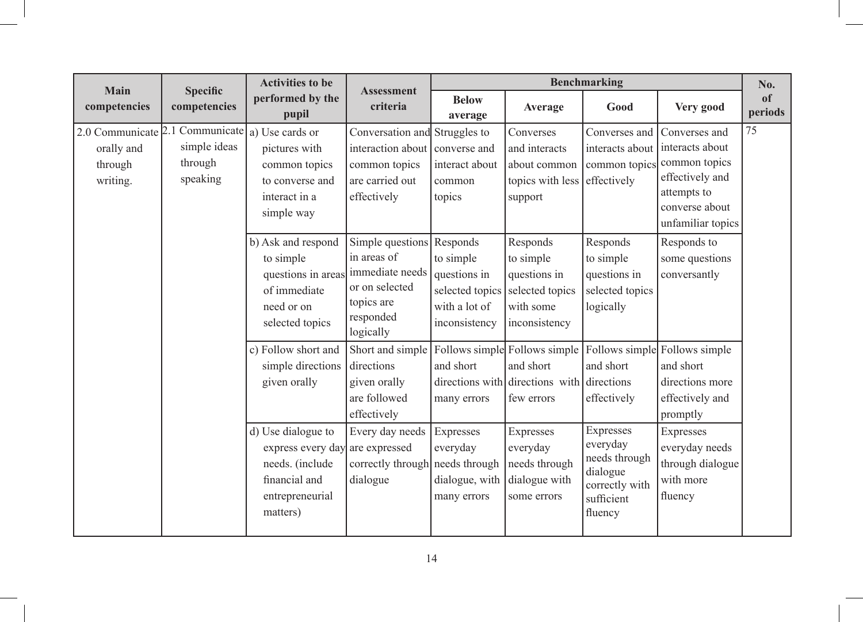| Main                                                                                             | <b>Specific</b>                     | <b>Activities to be</b>                                                                                                                                   |                                                                                                                                                                               |                                                                                                                |                                                                                                                                       | <b>Benchmarking</b>                                                                      |                                                                                                                                                                                                           | No.           |
|--------------------------------------------------------------------------------------------------|-------------------------------------|-----------------------------------------------------------------------------------------------------------------------------------------------------------|-------------------------------------------------------------------------------------------------------------------------------------------------------------------------------|----------------------------------------------------------------------------------------------------------------|---------------------------------------------------------------------------------------------------------------------------------------|------------------------------------------------------------------------------------------|-----------------------------------------------------------------------------------------------------------------------------------------------------------------------------------------------------------|---------------|
| competencies                                                                                     | competencies                        | performed by the<br>pupil                                                                                                                                 | <b>Assessment</b><br>criteria                                                                                                                                                 | <b>Below</b><br>average                                                                                        | Average                                                                                                                               | Good                                                                                     | Very good                                                                                                                                                                                                 | of<br>periods |
| 2.0 Communicate $ 2.1$ Communicate $ a\rangle$ Use cards or<br>orally and<br>through<br>writing. | simple ideas<br>through<br>speaking | pictures with<br>common topics<br>to converse and<br>interact in a<br>simple way<br>b) Ask and respond<br>to simple<br>questions in areas<br>of immediate | Conversation and Struggles to<br>interaction about<br>common topics<br>are carried out<br>effectively<br>Simple questions<br>in areas of<br>immediate needs<br>or on selected | converse and<br>interact about<br>common<br>topics<br>Responds<br>to simple<br>questions in<br>selected topics | Converses<br>and interacts<br>about common<br>topics with less<br>support<br>Responds<br>to simple<br>questions in<br>selected topics | Converses and<br>effectively<br>Responds<br>to simple<br>questions in<br>selected topics | Converses and<br>interacts about interacts about<br>common topics common topics<br>effectively and<br>attempts to<br>converse about<br>unfamiliar topics<br>Responds to<br>some questions<br>conversantly | 75            |
|                                                                                                  |                                     | need or on<br>selected topics<br>c) Follow short and<br>simple directions<br>given orally                                                                 | topics are<br>responded<br>logically<br>Short and simple<br>directions<br>given orally<br>are followed<br>effectively                                                         | with a lot of<br>inconsistency<br>and short<br>many errors                                                     | with some<br>inconsistency<br>Follows simple Follows simple<br>and short<br>directions with directions with directions<br>few errors  | logically<br>and short<br>effectively<br>Expresses                                       | Follows simple Follows simple<br>and short<br>directions more<br>effectively and<br>promptly                                                                                                              |               |
|                                                                                                  |                                     | d) Use dialogue to<br>express every day<br>needs. (include<br>financial and<br>entrepreneurial<br>matters)                                                | Every day needs<br>are expressed<br>correctly through<br>dialogue                                                                                                             | Expresses<br>everyday<br>needs through<br>dialogue, with<br>many errors                                        | Expresses<br>everyday<br>needs through<br>dialogue with<br>some errors                                                                | everyday<br>needs through<br>dialogue<br>correctly with<br>sufficient<br>fluency         | Expresses<br>everyday needs<br>through dialogue<br>with more<br>fluency                                                                                                                                   |               |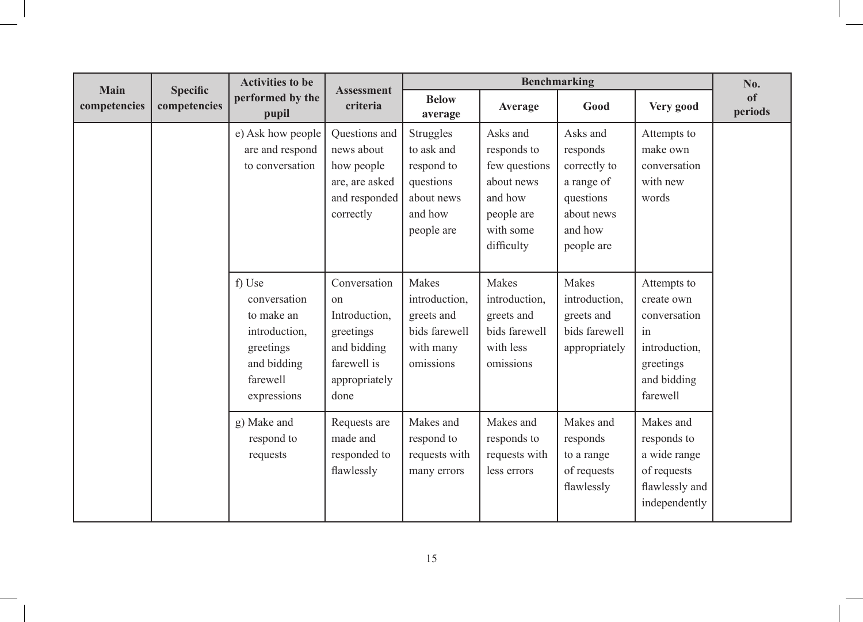| <b>Main</b>  | <b>Specific</b> | <b>Activities to be</b>                                                                                      | <b>Assessment</b>                                                                                       |                                                                                           |                                                                                                            | <b>Benchmarking</b>                                                                                    |                                                                                                          | No.                      |
|--------------|-----------------|--------------------------------------------------------------------------------------------------------------|---------------------------------------------------------------------------------------------------------|-------------------------------------------------------------------------------------------|------------------------------------------------------------------------------------------------------------|--------------------------------------------------------------------------------------------------------|----------------------------------------------------------------------------------------------------------|--------------------------|
| competencies | competencies    | performed by the<br>pupil                                                                                    | criteria                                                                                                | <b>Below</b><br>average                                                                   | Average                                                                                                    | Good                                                                                                   | Very good                                                                                                | <sub>of</sub><br>periods |
|              |                 | e) Ask how people<br>are and respond<br>to conversation                                                      | Questions and<br>news about<br>how people<br>are, are asked<br>and responded<br>correctly               | Struggles<br>to ask and<br>respond to<br>questions<br>about news<br>and how<br>people are | Asks and<br>responds to<br>few questions<br>about news<br>and how<br>people are<br>with some<br>difficulty | Asks and<br>responds<br>correctly to<br>a range of<br>questions<br>about news<br>and how<br>people are | Attempts to<br>make own<br>conversation<br>with new<br>words                                             |                          |
|              |                 | f) Use<br>conversation<br>to make an<br>introduction,<br>greetings<br>and bidding<br>farewell<br>expressions | Conversation<br>on<br>Introduction,<br>greetings<br>and bidding<br>farewell is<br>appropriately<br>done | Makes<br>introduction,<br>greets and<br>bids farewell<br>with many<br>omissions           | Makes<br>introduction,<br>greets and<br>bids farewell<br>with less<br>omissions                            | Makes<br>introduction,<br>greets and<br>bids farewell<br>appropriately                                 | Attempts to<br>create own<br>conversation<br>in<br>introduction,<br>greetings<br>and bidding<br>farewell |                          |
|              |                 | g) Make and<br>respond to<br>requests                                                                        | Requests are<br>made and<br>responded to<br>flawlessly                                                  | Makes and<br>respond to<br>requests with<br>many errors                                   | Makes and<br>responds to<br>requests with<br>less errors                                                   | Makes and<br>responds<br>to a range<br>of requests<br>flawlessly                                       | Makes and<br>responds to<br>a wide range<br>of requests<br>flawlessly and<br>independently               |                          |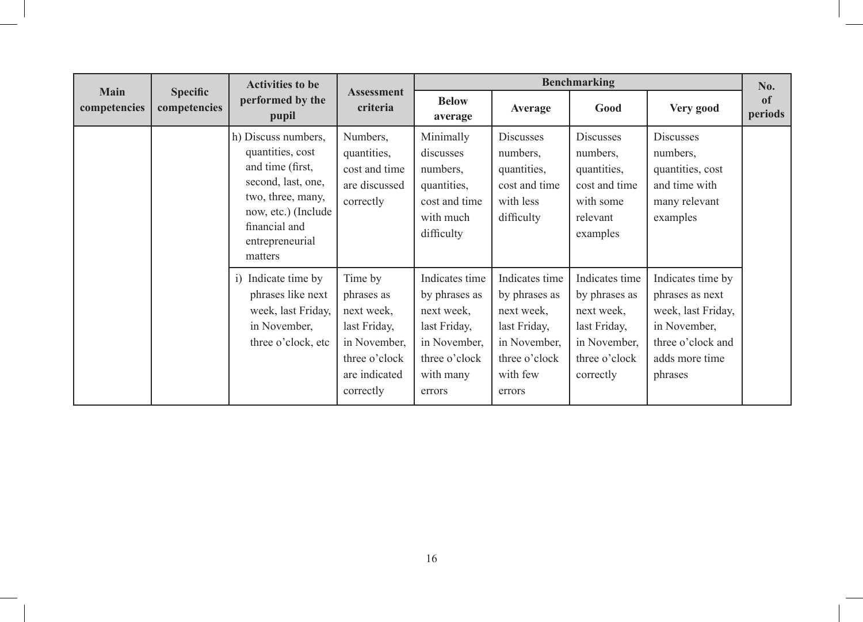|                             |                                 | <b>Activities to be</b>                                                                                                                                                      |                                                                                                                    |                                                                                                                       |                                                                                                                      | <b>Benchmarking</b>                                                                                         |                                                                                                                              | No.           |
|-----------------------------|---------------------------------|------------------------------------------------------------------------------------------------------------------------------------------------------------------------------|--------------------------------------------------------------------------------------------------------------------|-----------------------------------------------------------------------------------------------------------------------|----------------------------------------------------------------------------------------------------------------------|-------------------------------------------------------------------------------------------------------------|------------------------------------------------------------------------------------------------------------------------------|---------------|
| <b>Main</b><br>competencies | <b>Specific</b><br>competencies | performed by the<br>pupil                                                                                                                                                    | <b>Assessment</b><br>criteria                                                                                      | <b>Below</b><br>average                                                                                               | Average                                                                                                              | Good                                                                                                        | Very good                                                                                                                    | of<br>periods |
|                             |                                 | h) Discuss numbers,<br>quantities, cost<br>and time (first,<br>second, last, one,<br>two, three, many,<br>now, etc.) (Include<br>financial and<br>entrepreneurial<br>matters | Numbers,<br>quantities,<br>cost and time<br>are discussed<br>correctly                                             | Minimally<br>discusses<br>numbers,<br>quantities,<br>cost and time<br>with much<br>difficulty                         | <b>Discusses</b><br>numbers,<br>quantities,<br>cost and time<br>with less<br>difficulty                              | <b>Discusses</b><br>numbers,<br>quantities,<br>cost and time<br>with some<br>relevant<br>examples           | <b>Discusses</b><br>numbers,<br>quantities, cost<br>and time with<br>many relevant<br>examples                               |               |
|                             |                                 | i) Indicate time by<br>phrases like next<br>week, last Friday,<br>in November,<br>three o'clock, etc                                                                         | Time by<br>phrases as<br>next week,<br>last Friday,<br>in November,<br>three o'clock<br>are indicated<br>correctly | Indicates time<br>by phrases as<br>next week,<br>last Friday,<br>in November,<br>three o'clock<br>with many<br>errors | Indicates time<br>by phrases as<br>next week,<br>last Friday,<br>in November,<br>three o'clock<br>with few<br>errors | Indicates time<br>by phrases as<br>next week,<br>last Friday,<br>in November,<br>three o'clock<br>correctly | Indicates time by<br>phrases as next<br>week, last Friday,<br>in November,<br>three o'clock and<br>adds more time<br>phrases |               |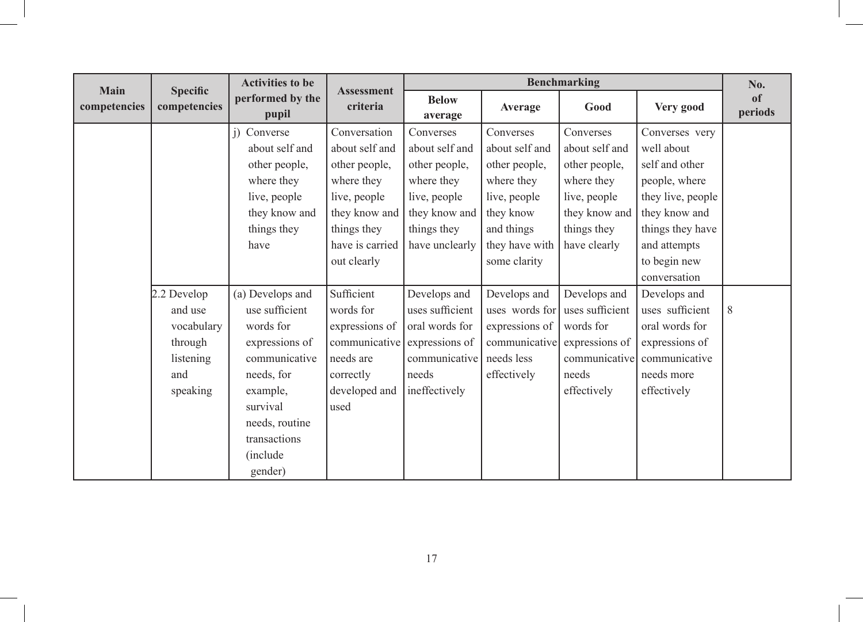| <b>Main</b>  |                                 | <b>Activities to be</b>   |                               |                         |                | <b>Benchmarking</b> |                   | No.                      |
|--------------|---------------------------------|---------------------------|-------------------------------|-------------------------|----------------|---------------------|-------------------|--------------------------|
| competencies | <b>Specific</b><br>competencies | performed by the<br>pupil | <b>Assessment</b><br>criteria | <b>Below</b><br>average | Average        | Good                | Very good         | <sub>of</sub><br>periods |
|              |                                 | j) Converse               | Conversation                  | Converses               | Converses      | Converses           | Converses very    |                          |
|              |                                 | about self and            | about self and                | about self and          | about self and | about self and      | well about        |                          |
|              |                                 | other people,             | other people,                 | other people,           | other people,  | other people,       | self and other    |                          |
|              |                                 | where they                | where they                    | where they              | where they     | where they          | people, where     |                          |
|              |                                 | live, people              | live, people                  | live, people            | live, people   | live, people        | they live, people |                          |
|              |                                 | they know and             | they know and                 | they know and           | they know      | they know and       | they know and     |                          |
|              |                                 | things they               | things they                   | things they             | and things     | things they         | things they have  |                          |
|              |                                 | have                      | have is carried               | have unclearly          | they have with | have clearly        | and attempts      |                          |
|              |                                 |                           | out clearly                   |                         | some clarity   |                     | to begin new      |                          |
|              |                                 |                           |                               |                         |                |                     | conversation      |                          |
|              | 2.2 Develop                     | (a) Develops and          | Sufficient                    | Develops and            | Develops and   | Develops and        | Develops and      |                          |
|              | and use                         | use sufficient            | words for                     | uses sufficient         | uses words for | uses sufficient     | uses sufficient   | 8                        |
|              | vocabulary                      | words for                 | expressions of                | oral words for          | expressions of | words for           | oral words for    |                          |
|              | through                         | expressions of            | communicative                 | expressions of          | communicative  | expressions of      | expressions of    |                          |
|              | listening                       | communicative             | needs are                     | communicative           | needs less     | communicative       | communicative     |                          |
|              | and                             | needs, for                | correctly                     | needs                   | effectively    | needs               | needs more        |                          |
|              | speaking                        | example,                  | developed and                 | ineffectively           |                | effectively         | effectively       |                          |
|              |                                 | survival                  | used                          |                         |                |                     |                   |                          |
|              |                                 | needs, routine            |                               |                         |                |                     |                   |                          |
|              |                                 | transactions              |                               |                         |                |                     |                   |                          |
|              |                                 | <i>(include)</i>          |                               |                         |                |                     |                   |                          |
|              |                                 | gender)                   |                               |                         |                |                     |                   |                          |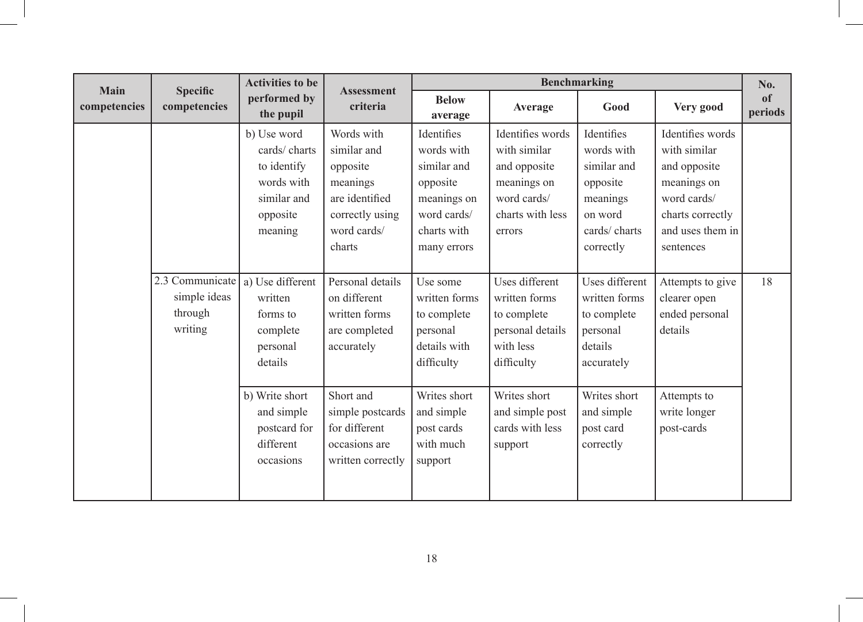| <b>Main</b>  |                                                       | <b>Activities to be</b>                                                                        | <b>Assessment</b>                                                                                               |                                                                                                                 |                                                                                                              | <b>Benchmarking</b>                                                                                     |                                                                                                                                     | No.           |
|--------------|-------------------------------------------------------|------------------------------------------------------------------------------------------------|-----------------------------------------------------------------------------------------------------------------|-----------------------------------------------------------------------------------------------------------------|--------------------------------------------------------------------------------------------------------------|---------------------------------------------------------------------------------------------------------|-------------------------------------------------------------------------------------------------------------------------------------|---------------|
| competencies | <b>Specific</b><br>competencies                       | performed by<br>the pupil                                                                      | criteria                                                                                                        | <b>Below</b><br>average                                                                                         | Average                                                                                                      | Good                                                                                                    | Very good                                                                                                                           | of<br>periods |
|              |                                                       | b) Use word<br>cards/charts<br>to identify<br>words with<br>similar and<br>opposite<br>meaning | Words with<br>similar and<br>opposite<br>meanings<br>are identified<br>correctly using<br>word cards/<br>charts | Identifies<br>words with<br>similar and<br>opposite<br>meanings on<br>word cards/<br>charts with<br>many errors | Identifies words<br>with similar<br>and opposite<br>meanings on<br>word cards/<br>charts with less<br>errors | Identifies<br>words with<br>similar and<br>opposite<br>meanings<br>on word<br>cards/charts<br>correctly | Identifies words<br>with similar<br>and opposite<br>meanings on<br>word cards/<br>charts correctly<br>and uses them in<br>sentences |               |
|              | 2.3 Communicate<br>simple ideas<br>through<br>writing | a) Use different<br>written<br>forms to<br>complete<br>personal<br>details                     | Personal details<br>on different<br>written forms<br>are completed<br>accurately                                | Use some<br>written forms<br>to complete<br>personal<br>details with<br>difficulty                              | Uses different<br>written forms<br>to complete<br>personal details<br>with less<br>difficulty                | Uses different<br>written forms<br>to complete<br>personal<br>details<br>accurately                     | Attempts to give<br>clearer open<br>ended personal<br>details                                                                       | 18            |
|              |                                                       | b) Write short<br>and simple<br>postcard for<br>different<br>occasions                         | Short and<br>simple postcards<br>for different<br>occasions are<br>written correctly                            | Writes short<br>and simple<br>post cards<br>with much<br>support                                                | Writes short<br>and simple post<br>cards with less<br>support                                                | Writes short<br>and simple<br>post card<br>correctly                                                    | Attempts to<br>write longer<br>post-cards                                                                                           |               |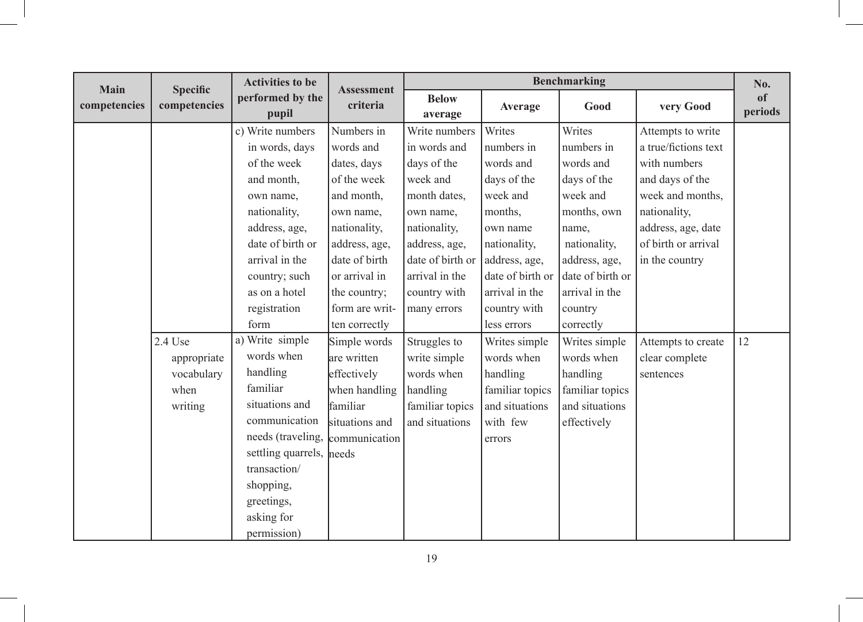| Main         | <b>Specific</b> | <b>Activities to be</b>   | <b>Assessment</b> |                         |                  | <b>Benchmarking</b> |                      | No.                      |
|--------------|-----------------|---------------------------|-------------------|-------------------------|------------------|---------------------|----------------------|--------------------------|
| competencies | competencies    | performed by the<br>pupil | criteria          | <b>Below</b><br>average | Average          | Good                | very Good            | <sub>of</sub><br>periods |
|              |                 | c) Write numbers          | Numbers in        | Write numbers           | Writes           | Writes              | Attempts to write    |                          |
|              |                 | in words, days            | words and         | in words and            | numbers in       | numbers in          | a true/fictions text |                          |
|              |                 | of the week               | dates, days       | days of the             | words and        | words and           | with numbers         |                          |
|              |                 | and month,                | of the week       | week and                | days of the      | days of the         | and days of the      |                          |
|              |                 | own name,                 | and month,        | month dates,            | week and         | week and            | week and months,     |                          |
|              |                 | nationality,              | own name,         | own name,               | months,          | months, own         | nationality,         |                          |
|              |                 | address, age,             | nationality,      | nationality,            | own name         | name,               | address, age, date   |                          |
|              |                 | date of birth or          | address, age,     | address, age,           | nationality,     | nationality,        | of birth or arrival  |                          |
|              |                 | arrival in the            | date of birth     | date of birth or        | address, age,    | address, age,       | in the country       |                          |
|              |                 | country; such             | or arrival in     | arrival in the          | date of birth or | date of birth or    |                      |                          |
|              |                 | as on a hotel             | the country;      | country with            | arrival in the   | arrival in the      |                      |                          |
|              |                 | registration              | form are writ-    | many errors             | country with     | country             |                      |                          |
|              |                 | form                      | ten correctly     |                         | less errors      | correctly           |                      |                          |
|              | 2.4 Use         | a) Write simple           | Simple words      | Struggles to            | Writes simple    | Writes simple       | Attempts to create   | 12                       |
|              | appropriate     | words when                | are written       | write simple            | words when       | words when          | clear complete       |                          |
|              | vocabulary      | handling                  | effectively       | words when              | handling         | handling            | sentences            |                          |
|              | when            | familiar                  | when handling     | handling                | familiar topics  | familiar topics     |                      |                          |
|              | writing         | situations and            | familiar          | familiar topics         | and situations   | and situations      |                      |                          |
|              |                 | communication             | situations and    | and situations          | with few         | effectively         |                      |                          |
|              |                 | needs (traveling,         | communication     |                         | errors           |                     |                      |                          |
|              |                 | settling quarrels, needs  |                   |                         |                  |                     |                      |                          |
|              |                 | transaction/              |                   |                         |                  |                     |                      |                          |
|              |                 | shopping,                 |                   |                         |                  |                     |                      |                          |
|              |                 | greetings,                |                   |                         |                  |                     |                      |                          |
|              |                 | asking for                |                   |                         |                  |                     |                      |                          |
|              |                 | permission)               |                   |                         |                  |                     |                      |                          |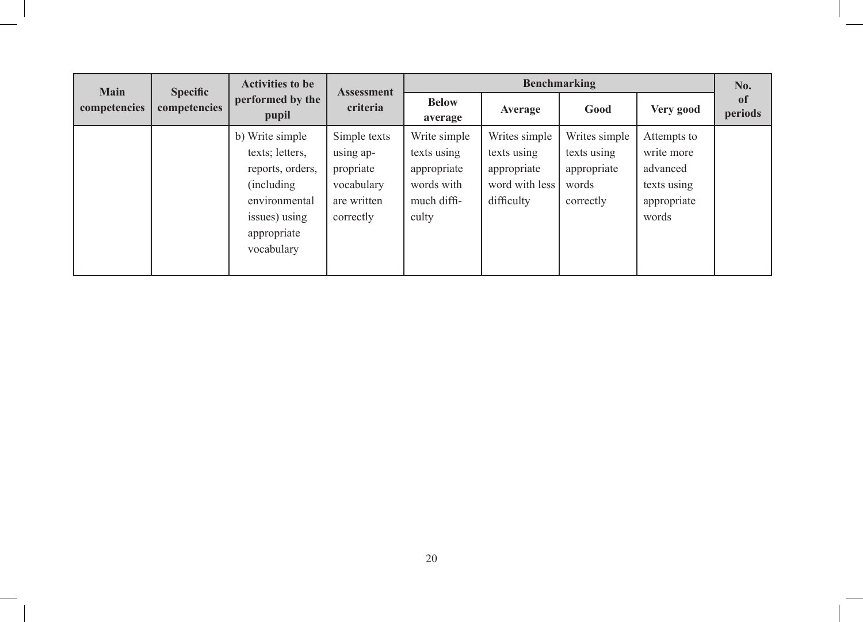| <b>Main</b>  | <b>Specific</b> | <b>Activities to be</b>                                                                                                              | <b>Assessment</b>                                                                |                                                                                  |                                                                             | <b>Benchmarking</b>                                               |                                                                              | No.                      |
|--------------|-----------------|--------------------------------------------------------------------------------------------------------------------------------------|----------------------------------------------------------------------------------|----------------------------------------------------------------------------------|-----------------------------------------------------------------------------|-------------------------------------------------------------------|------------------------------------------------------------------------------|--------------------------|
| competencies | competencies    | performed by the<br>pupil                                                                                                            | criteria                                                                         | <b>Below</b><br>average                                                          | Average                                                                     | Good                                                              | Very good                                                                    | <sub>of</sub><br>periods |
|              |                 | b) Write simple<br>texts; letters,<br>reports, orders,<br>(including)<br>environmental<br>issues) using<br>appropriate<br>vocabulary | Simple texts<br>using ap-<br>propriate<br>vocabulary<br>are written<br>correctly | Write simple<br>texts using<br>appropriate<br>words with<br>much diffi-<br>culty | Writes simple<br>texts using<br>appropriate<br>word with less<br>difficulty | Writes simple<br>texts using<br>appropriate<br>words<br>correctly | Attempts to<br>write more<br>advanced<br>texts using<br>appropriate<br>words |                          |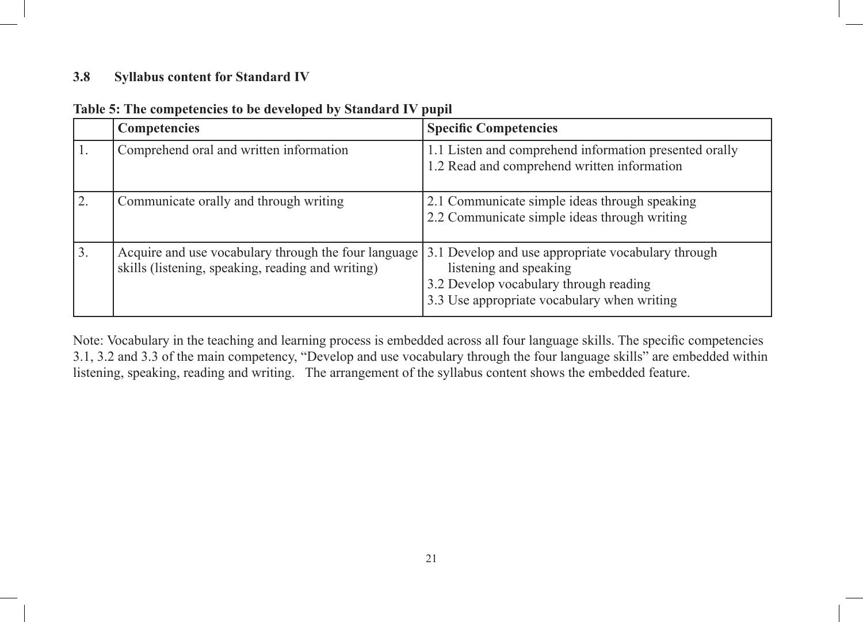#### **3.8 Syllabus content for Standard IV**

|    | <b>Competencies</b>                                                                                       | <b>Specific Competencies</b>                                                                                                                                          |
|----|-----------------------------------------------------------------------------------------------------------|-----------------------------------------------------------------------------------------------------------------------------------------------------------------------|
|    | Comprehend oral and written information                                                                   | 1.1 Listen and comprehend information presented orally<br>1.2 Read and comprehend written information                                                                 |
|    | Communicate orally and through writing                                                                    | 2.1 Communicate simple ideas through speaking<br>2.2 Communicate simple ideas through writing                                                                         |
| 3. | Acquire and use vocabulary through the four language<br>skills (listening, speaking, reading and writing) | 3.1 Develop and use appropriate vocabulary through<br>listening and speaking<br>3.2 Develop vocabulary through reading<br>3.3 Use appropriate vocabulary when writing |

| Table 5: The competencies to be developed by Standard IV pupil |
|----------------------------------------------------------------|
|----------------------------------------------------------------|

Note: Vocabulary in the teaching and learning process is embedded across all four language skills. The specific competencies 3.1, 3.2 and 3.3 of the main competency, "Develop and use vocabulary through the four language skills" are embedded within listening, speaking, reading and writing. The arrangement of the syllabus content shows the embedded feature.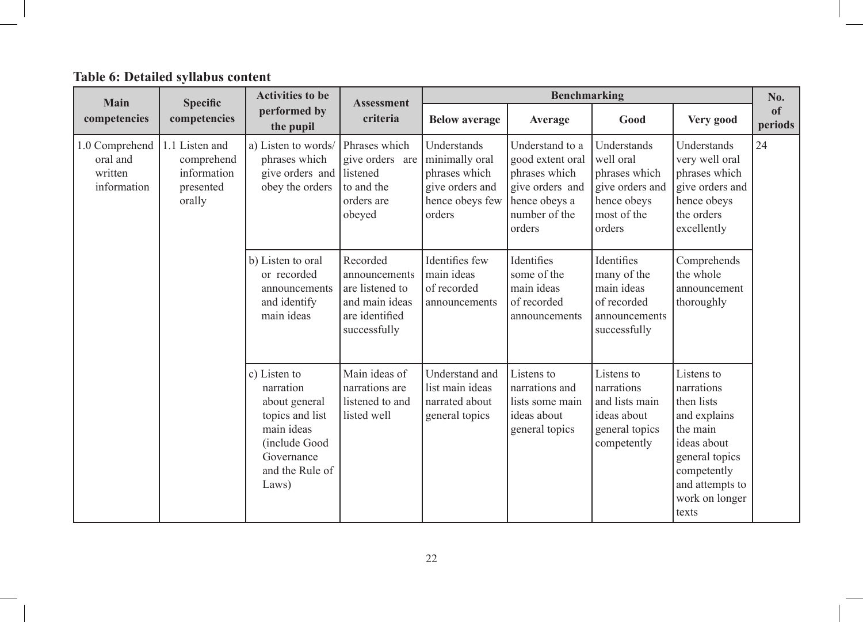# **Table 6: Detailed syllabus content**

| Main                                                 | <b>Specific</b>                                                    | <b>Activities to be</b>                                                                                                                | <b>Assessment</b>                                                                                |                                                                                                | <b>Benchmarking</b>                                                                                                 |                                                                                                      |                                                                                                                                                                  | No.                      |
|------------------------------------------------------|--------------------------------------------------------------------|----------------------------------------------------------------------------------------------------------------------------------------|--------------------------------------------------------------------------------------------------|------------------------------------------------------------------------------------------------|---------------------------------------------------------------------------------------------------------------------|------------------------------------------------------------------------------------------------------|------------------------------------------------------------------------------------------------------------------------------------------------------------------|--------------------------|
| competencies                                         | competencies                                                       | performed by<br>the pupil                                                                                                              | criteria                                                                                         | <b>Below average</b>                                                                           | Average                                                                                                             | Good                                                                                                 | Very good                                                                                                                                                        | <sub>of</sub><br>periods |
| 1.0 Comprehend<br>oral and<br>written<br>information | 1.1 Listen and<br>comprehend<br>information<br>presented<br>orally | a) Listen to words/<br>phrases which<br>give orders and listened<br>obey the orders                                                    | Phrases which<br>give orders are<br>to and the<br>orders are<br>obeyed                           | Understands<br>minimally oral<br>phrases which<br>give orders and<br>hence obeys few<br>orders | Understand to a<br>good extent oral<br>phrases which<br>give orders and<br>hence obeys a<br>number of the<br>orders | Understands<br>well oral<br>phrases which<br>give orders and<br>hence obeys<br>most of the<br>orders | Understands<br>very well oral<br>phrases which<br>give orders and<br>hence obeys<br>the orders<br>excellently                                                    | 24                       |
|                                                      |                                                                    | b) Listen to oral<br>or recorded<br>announcements<br>and identify<br>main ideas                                                        | Recorded<br>announcements<br>are listened to<br>and main ideas<br>are identified<br>successfully | Identifies few<br>main ideas<br>of recorded<br>announcements                                   | Identifies<br>some of the<br>main ideas<br>of recorded<br>announcements                                             | Identifies<br>many of the<br>main ideas<br>of recorded<br>announcements<br>successfully              | Comprehends<br>the whole<br>announcement<br>thoroughly                                                                                                           |                          |
|                                                      |                                                                    | c) Listen to<br>narration<br>about general<br>topics and list<br>main ideas<br>(include Good<br>Governance<br>and the Rule of<br>Laws) | Main ideas of<br>narrations are<br>listened to and<br>listed well                                | Understand and<br>list main ideas<br>narrated about<br>general topics                          | Listens to<br>narrations and<br>lists some main<br>ideas about<br>general topics                                    | Listens to<br>narrations<br>and lists main<br>ideas about<br>general topics<br>competently           | Listens to<br>narrations<br>then lists<br>and explains<br>the main<br>ideas about<br>general topics<br>competently<br>and attempts to<br>work on longer<br>texts |                          |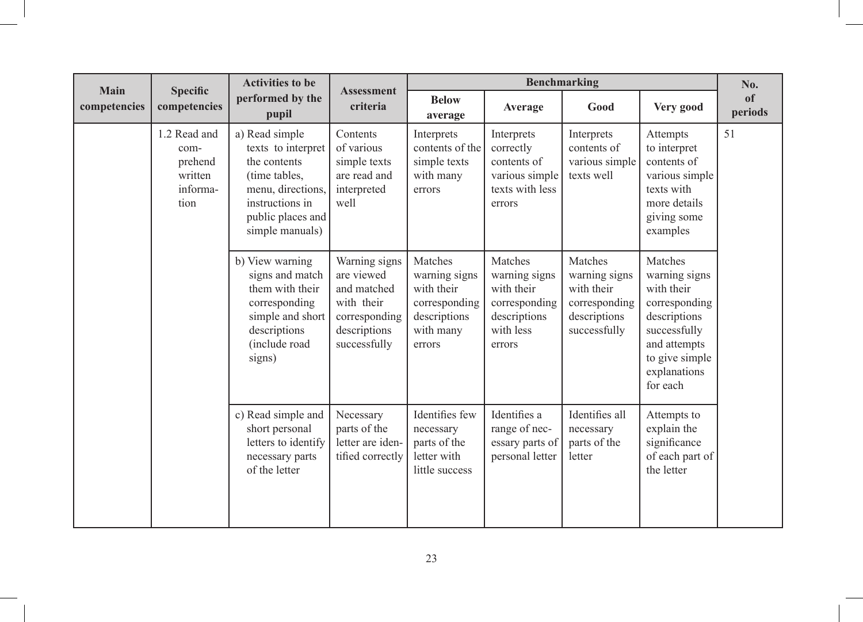| Main         | <b>Specific</b>                                                | <b>Activities to be</b>                                                                                                                               | <b>Assessment</b>                                                                                         | <b>Benchmarking</b>                                                                            |                                                                                                |                                                                                         | No.                                                                                                                                                   |                          |
|--------------|----------------------------------------------------------------|-------------------------------------------------------------------------------------------------------------------------------------------------------|-----------------------------------------------------------------------------------------------------------|------------------------------------------------------------------------------------------------|------------------------------------------------------------------------------------------------|-----------------------------------------------------------------------------------------|-------------------------------------------------------------------------------------------------------------------------------------------------------|--------------------------|
| competencies | competencies                                                   | performed by the<br>pupil                                                                                                                             | criteria                                                                                                  | <b>Below</b><br>average                                                                        | Average                                                                                        | Good                                                                                    | Very good                                                                                                                                             | <sub>of</sub><br>periods |
|              | 1.2 Read and<br>com-<br>prehend<br>written<br>informa-<br>tion | a) Read simple<br>texts to interpret<br>the contents<br>(time tables,<br>menu, directions,<br>instructions in<br>public places and<br>simple manuals) | Contents<br>of various<br>simple texts<br>are read and<br>interpreted<br>well                             | Interprets<br>contents of the<br>simple texts<br>with many<br>errors                           | Interprets<br>correctly<br>contents of<br>various simple<br>texts with less<br>errors          | Interprets<br>contents of<br>various simple<br>texts well                               | Attempts<br>to interpret<br>contents of<br>various simple<br>texts with<br>more details<br>giving some<br>examples                                    | 51                       |
|              |                                                                | b) View warning<br>signs and match<br>them with their<br>corresponding<br>simple and short<br>descriptions<br>(include road<br>signs)                 | Warning signs<br>are viewed<br>and matched<br>with their<br>corresponding<br>descriptions<br>successfully | Matches<br>warning signs<br>with their<br>corresponding<br>descriptions<br>with many<br>errors | Matches<br>warning signs<br>with their<br>corresponding<br>descriptions<br>with less<br>errors | Matches<br>warning signs<br>with their<br>corresponding<br>descriptions<br>successfully | Matches<br>warning signs<br>with their<br>corresponding<br>descriptions<br>successfully<br>and attempts<br>to give simple<br>explanations<br>for each |                          |
|              |                                                                | c) Read simple and<br>short personal<br>letters to identify<br>necessary parts<br>of the letter                                                       | Necessary<br>parts of the<br>letter are iden-<br>tified correctly                                         | Identifies few<br>necessary<br>parts of the<br>letter with<br>little success                   | Identifies a<br>range of nec-<br>essary parts of<br>personal letter                            | Identifies all<br>necessary<br>parts of the<br>letter                                   | Attempts to<br>explain the<br>significance<br>of each part of<br>the letter                                                                           |                          |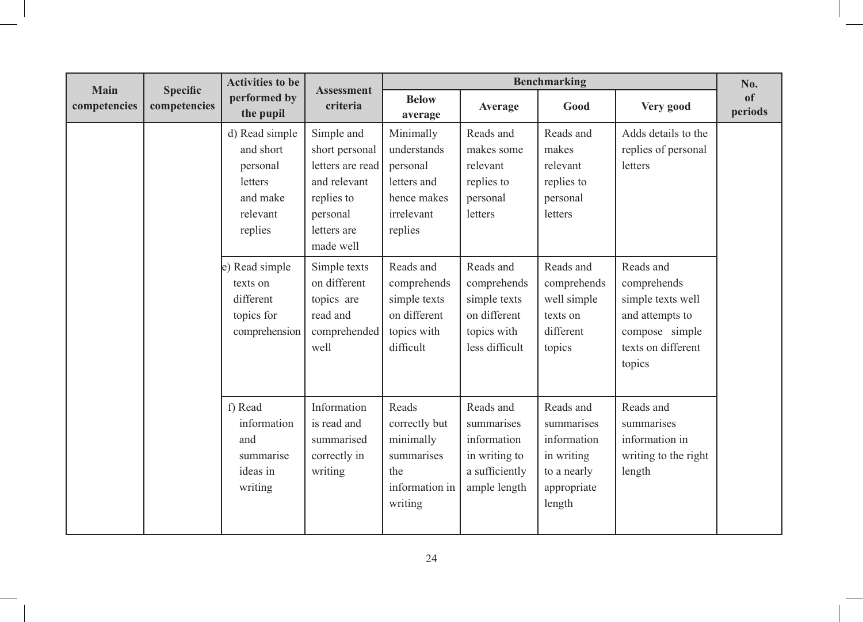| Main         | <b>Specific</b>                                                        | <b>Activities to be</b>                                                               | <b>Assessment</b>                                                                                                      |                                                                                             | No.                                                                                       |                                                                                                                    |                                                                             |               |
|--------------|------------------------------------------------------------------------|---------------------------------------------------------------------------------------|------------------------------------------------------------------------------------------------------------------------|---------------------------------------------------------------------------------------------|-------------------------------------------------------------------------------------------|--------------------------------------------------------------------------------------------------------------------|-----------------------------------------------------------------------------|---------------|
| competencies | competencies                                                           | performed by<br>the pupil                                                             | criteria                                                                                                               | <b>Below</b><br>average                                                                     | Average                                                                                   | Good                                                                                                               | Very good                                                                   | of<br>periods |
|              |                                                                        | d) Read simple<br>and short<br>personal<br>letters<br>and make<br>relevant<br>replies | Simple and<br>short personal<br>letters are read<br>and relevant<br>replies to<br>personal<br>letters are<br>made well | Minimally<br>understands<br>personal<br>letters and<br>hence makes<br>irrelevant<br>replies | Reads and<br>makes some<br>relevant<br>replies to<br>personal<br>letters                  | Reads and<br>makes<br>relevant<br>replies to<br>personal<br>letters                                                | Adds details to the<br>replies of personal<br>letters                       |               |
|              | e) Read simple<br>texts on<br>different<br>topics for<br>comprehension | Simple texts<br>on different<br>topics are<br>read and<br>comprehended<br>well        | Reads and<br>comprehends<br>simple texts<br>on different<br>topics with<br>difficult                                   | Reads and<br>comprehends<br>simple texts<br>on different<br>topics with<br>less difficult   | Reads and<br>comprehends<br>well simple<br>texts on<br>different<br>topics                | Reads and<br>comprehends<br>simple texts well<br>and attempts to<br>compose simple<br>texts on different<br>topics |                                                                             |               |
|              |                                                                        | f) Read<br>information<br>and<br>summarise<br>ideas in<br>writing                     | Information<br>is read and<br>summarised<br>correctly in<br>writing                                                    | Reads<br>correctly but<br>minimally<br>summarises<br>the<br>information in<br>writing       | Reads and<br>summarises<br>information<br>in writing to<br>a sufficiently<br>ample length | Reads and<br>summarises<br>information<br>in writing<br>to a nearly<br>appropriate<br>length                       | Reads and<br>summarises<br>information in<br>writing to the right<br>length |               |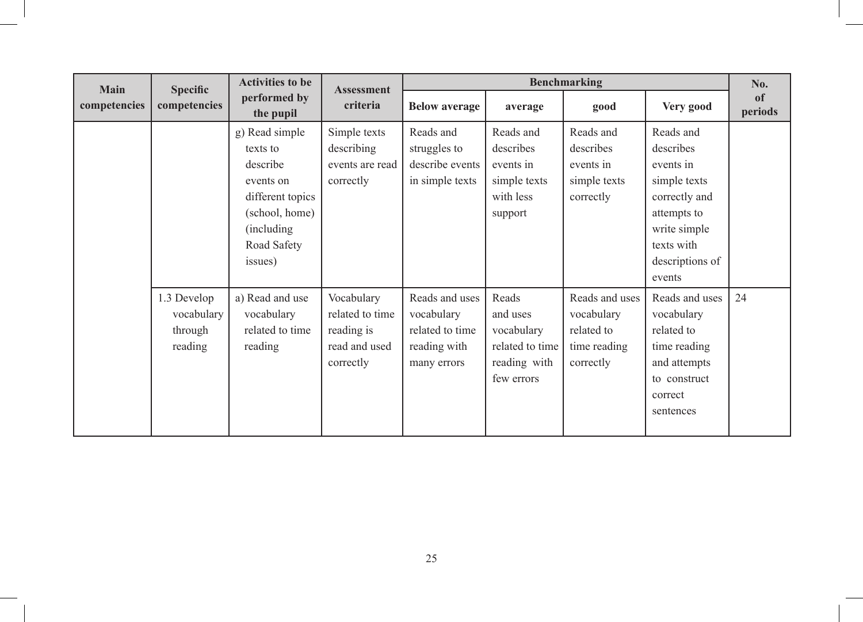| <b>Main</b>  | <b>Specific</b>                                 | <b>Activities to be</b>                                                                                                            |                                                                           | <b>Benchmarking</b><br><b>Assessment</b>                                       |                                                                                  |                                                                         |                                                                                                                                                |               |
|--------------|-------------------------------------------------|------------------------------------------------------------------------------------------------------------------------------------|---------------------------------------------------------------------------|--------------------------------------------------------------------------------|----------------------------------------------------------------------------------|-------------------------------------------------------------------------|------------------------------------------------------------------------------------------------------------------------------------------------|---------------|
| competencies | competencies                                    | performed by<br>the pupil                                                                                                          | criteria                                                                  | <b>Below average</b>                                                           | average                                                                          | good                                                                    | Very good                                                                                                                                      | of<br>periods |
|              |                                                 | g) Read simple<br>texts to<br>describe<br>events on<br>different topics<br>(school, home)<br>(including)<br>Road Safety<br>issues) | Simple texts<br>describing<br>events are read<br>correctly                | Reads and<br>struggles to<br>describe events<br>in simple texts                | Reads and<br>describes<br>events in<br>simple texts<br>with less<br>support      | Reads and<br>describes<br>events in<br>simple texts<br>correctly        | Reads and<br>describes<br>events in<br>simple texts<br>correctly and<br>attempts to<br>write simple<br>texts with<br>descriptions of<br>events |               |
|              | 1.3 Develop<br>vocabulary<br>through<br>reading | a) Read and use<br>vocabulary<br>related to time<br>reading                                                                        | Vocabulary<br>related to time<br>reading is<br>read and used<br>correctly | Reads and uses<br>vocabulary<br>related to time<br>reading with<br>many errors | Reads<br>and uses<br>vocabulary<br>related to time<br>reading with<br>few errors | Reads and uses<br>vocabulary<br>related to<br>time reading<br>correctly | Reads and uses<br>vocabulary<br>related to<br>time reading<br>and attempts<br>to construct<br>correct<br>sentences                             | 24            |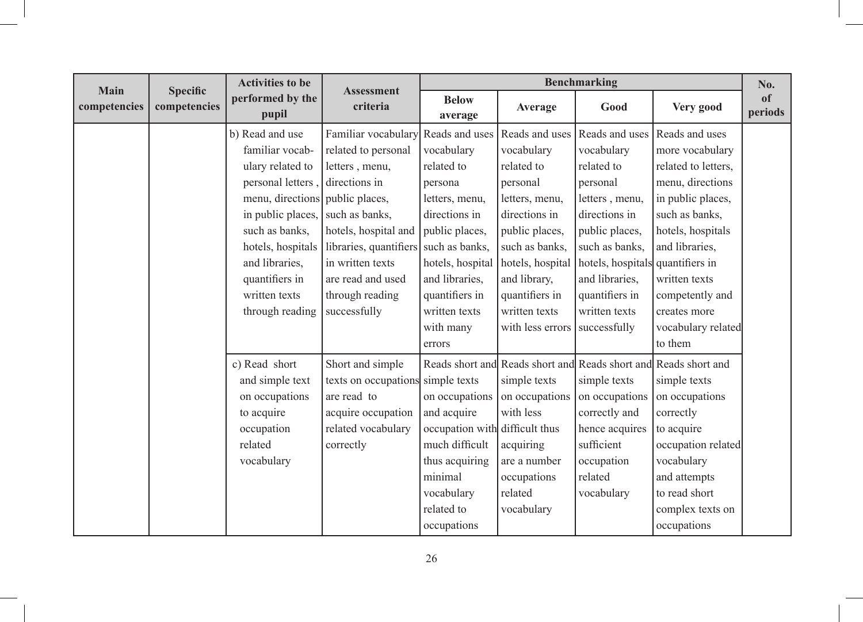| <b>Main</b>  |                                 | <b>Activities to be</b>         | <b>Assessment</b>                 | <b>Benchmarking</b>            |                  |                                  | No.                                                             |               |
|--------------|---------------------------------|---------------------------------|-----------------------------------|--------------------------------|------------------|----------------------------------|-----------------------------------------------------------------|---------------|
| competencies | <b>Specific</b><br>competencies | performed by the<br>pupil       | criteria                          | <b>Below</b><br>average        | Average          | Good                             | Very good                                                       | of<br>periods |
|              |                                 | b) Read and use                 | Familiar vocabulary               | Reads and uses                 | Reads and uses   | Reads and uses                   | Reads and uses                                                  |               |
|              |                                 | familiar vocab-                 | related to personal               | vocabulary                     | vocabulary       | vocabulary                       | more vocabulary                                                 |               |
|              |                                 | ulary related to                | letters, menu,                    | related to                     | related to       | related to                       | related to letters,                                             |               |
|              |                                 | personal letters,               | directions in                     | persona                        | personal         | personal                         | menu, directions                                                |               |
|              |                                 | menu, directions public places, |                                   | letters, menu,                 | letters, menu,   | letters, menu,                   | in public places,                                               |               |
|              |                                 | in public places,               | such as banks,                    | directions in                  | directions in    | directions in                    | such as banks,                                                  |               |
|              |                                 | such as banks,                  | hotels, hospital and              | public places,                 | public places,   | public places,                   | hotels, hospitals                                               |               |
|              |                                 | hotels, hospitals               | libraries, quantifiers            | such as banks,                 | such as banks,   | such as banks,                   | and libraries,                                                  |               |
|              |                                 | and libraries,                  | in written texts                  | hotels, hospital               | hotels, hospital | hotels, hospitals quantifiers in |                                                                 |               |
|              |                                 | quantifiers in                  | are read and used                 | and libraries,                 | and library,     | and libraries.                   | written texts                                                   |               |
|              |                                 | written texts                   | through reading                   | quantifiers in                 | quantifiers in   | quantifiers in                   | competently and                                                 |               |
|              |                                 | through reading                 | successfully                      | written texts                  | written texts    | written texts                    | creates more                                                    |               |
|              |                                 |                                 |                                   | with many                      | with less errors | successfully                     | vocabulary related                                              |               |
|              |                                 |                                 |                                   | errors                         |                  |                                  | to them                                                         |               |
|              |                                 | c) Read short                   | Short and simple                  |                                |                  |                                  | Reads short and Reads short and Reads short and Reads short and |               |
|              |                                 | and simple text                 | texts on occupations simple texts |                                | simple texts     | simple texts                     | simple texts                                                    |               |
|              |                                 | on occupations                  | are read to                       | on occupations                 | on occupations   | on occupations                   | on occupations                                                  |               |
|              |                                 | to acquire                      | acquire occupation                | and acquire                    | with less        | correctly and                    | correctly                                                       |               |
|              |                                 | occupation                      | related vocabulary                | occupation with difficult thus |                  | hence acquires                   | to acquire                                                      |               |
|              |                                 | related                         | correctly                         | much difficult                 | acquiring        | sufficient                       | occupation related                                              |               |
|              |                                 | vocabulary                      |                                   | thus acquiring                 | are a number     | occupation                       | vocabulary                                                      |               |
|              |                                 |                                 |                                   | minimal                        | occupations      | related                          | and attempts                                                    |               |
|              |                                 |                                 |                                   | vocabulary                     | related          | vocabulary                       | to read short                                                   |               |
|              |                                 |                                 |                                   | related to                     | vocabulary       |                                  | complex texts on                                                |               |
|              |                                 |                                 |                                   | occupations                    |                  |                                  | occupations                                                     |               |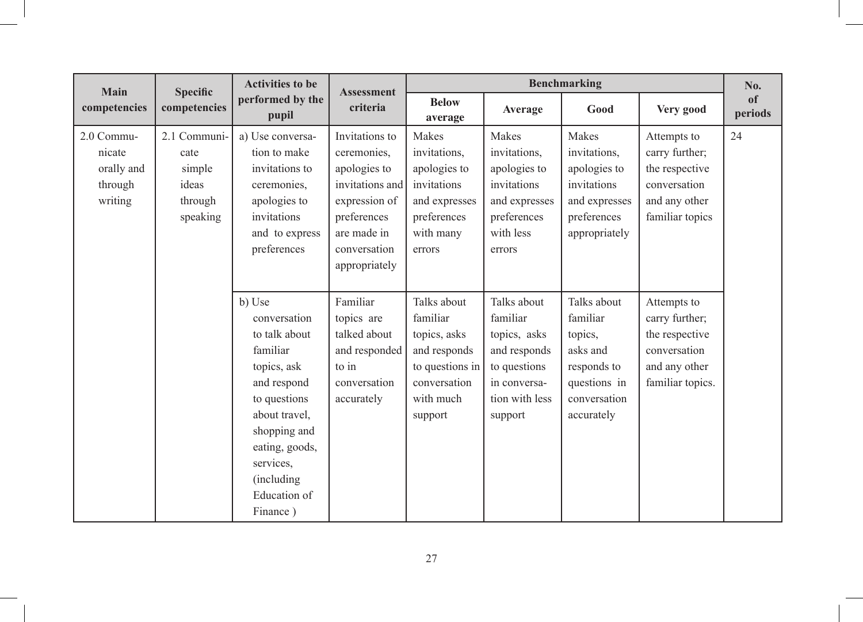| Main                                                     | <b>Specific</b>                                                | <b>Activities to be</b>                                                                                                                                                                                      | <b>Assessment</b>                                                                                                                                | <b>Benchmarking</b>                                                                                                |                                                                                                                      |                                                                                                             |                                                                                                      | No.                      |
|----------------------------------------------------------|----------------------------------------------------------------|--------------------------------------------------------------------------------------------------------------------------------------------------------------------------------------------------------------|--------------------------------------------------------------------------------------------------------------------------------------------------|--------------------------------------------------------------------------------------------------------------------|----------------------------------------------------------------------------------------------------------------------|-------------------------------------------------------------------------------------------------------------|------------------------------------------------------------------------------------------------------|--------------------------|
| competencies                                             | competencies                                                   | performed by the<br>pupil                                                                                                                                                                                    | criteria                                                                                                                                         | <b>Below</b><br>average                                                                                            | Average                                                                                                              | Good                                                                                                        | Very good                                                                                            | <sub>of</sub><br>periods |
| 2.0 Commu-<br>nicate<br>orally and<br>through<br>writing | 2.1 Communi-<br>cate<br>simple<br>ideas<br>through<br>speaking | a) Use conversa-<br>tion to make<br>invitations to<br>ceremonies,<br>apologies to<br>invitations<br>and to express<br>preferences                                                                            | Invitations to<br>ceremonies,<br>apologies to<br>invitations and<br>expression of<br>preferences<br>are made in<br>conversation<br>appropriately | Makes<br>invitations,<br>apologies to<br>invitations<br>and expresses<br>preferences<br>with many<br>errors        | Makes<br>invitations,<br>apologies to<br>invitations<br>and expresses<br>preferences<br>with less<br>errors          | Makes<br>invitations,<br>apologies to<br>invitations<br>and expresses<br>preferences<br>appropriately       | Attempts to<br>carry further;<br>the respective<br>conversation<br>and any other<br>familiar topics  | 24                       |
|                                                          |                                                                | b) Use<br>conversation<br>to talk about<br>familiar<br>topics, ask<br>and respond<br>to questions<br>about travel,<br>shopping and<br>eating, goods,<br>services,<br>(including)<br>Education of<br>Finance) | Familiar<br>topics are<br>talked about<br>and responded<br>to in<br>conversation<br>accurately                                                   | Talks about<br>familiar<br>topics, asks<br>and responds<br>to questions in<br>conversation<br>with much<br>support | Talks about<br>familiar<br>topics, asks<br>and responds<br>to questions<br>in conversa-<br>tion with less<br>support | Talks about<br>familiar<br>topics,<br>asks and<br>responds to<br>questions in<br>conversation<br>accurately | Attempts to<br>carry further;<br>the respective<br>conversation<br>and any other<br>familiar topics. |                          |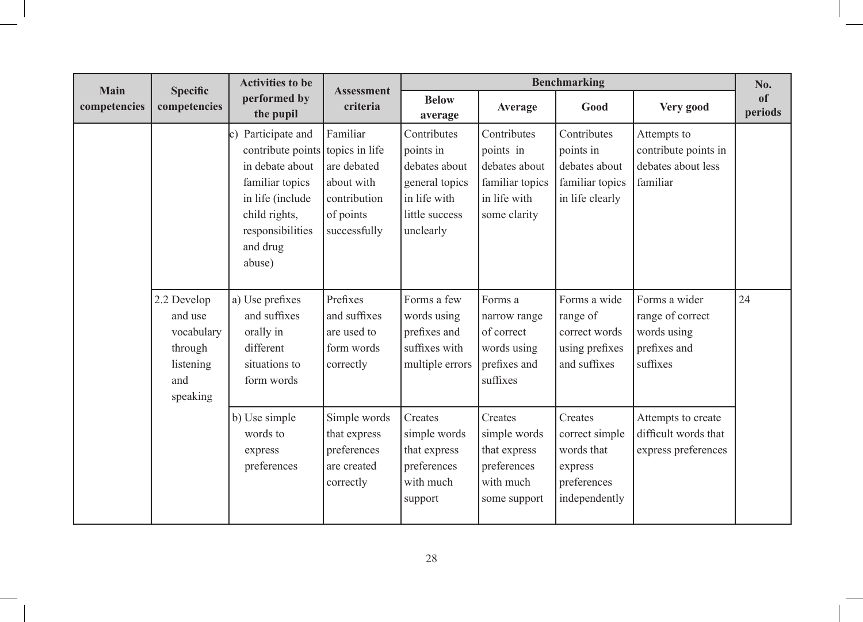| Main         | <b>Specific</b>                                                                 | <b>Activities to be</b>                                                                                                                                                         | <b>Assessment</b>                                                                  | <b>Benchmarking</b>                                                                                        |                                                                                              |                                                                                    |                                                                              | No.                      |
|--------------|---------------------------------------------------------------------------------|---------------------------------------------------------------------------------------------------------------------------------------------------------------------------------|------------------------------------------------------------------------------------|------------------------------------------------------------------------------------------------------------|----------------------------------------------------------------------------------------------|------------------------------------------------------------------------------------|------------------------------------------------------------------------------|--------------------------|
| competencies | competencies                                                                    | performed by<br>the pupil                                                                                                                                                       | criteria                                                                           | <b>Below</b><br>average                                                                                    | Average                                                                                      | Good                                                                               | Very good                                                                    | <sub>of</sub><br>periods |
|              |                                                                                 | Participate and<br>lc)<br>contribute points topics in life<br>in debate about<br>familiar topics<br>in life (include<br>child rights,<br>responsibilities<br>and drug<br>abuse) | Familiar<br>are debated<br>about with<br>contribution<br>of points<br>successfully | Contributes<br>points in<br>debates about<br>general topics<br>in life with<br>little success<br>unclearly | Contributes<br>points in<br>debates about<br>familiar topics<br>in life with<br>some clarity | Contributes<br>points in<br>debates about<br>familiar topics<br>in life clearly    | Attempts to<br>contribute points in<br>debates about less<br>familiar        |                          |
|              | 2.2 Develop<br>and use<br>vocabulary<br>through<br>listening<br>and<br>speaking | a) Use prefixes<br>and suffixes<br>orally in<br>different<br>situations to<br>form words                                                                                        | Prefixes<br>and suffixes<br>are used to<br>form words<br>correctly                 | Forms a few<br>words using<br>prefixes and<br>suffixes with<br>multiple errors                             | Forms a<br>narrow range<br>of correct<br>words using<br>prefixes and<br>suffixes             | Forms a wide<br>range of<br>correct words<br>using prefixes<br>and suffixes        | Forms a wider<br>range of correct<br>words using<br>prefixes and<br>suffixes | 24                       |
|              |                                                                                 | b) Use simple<br>words to<br>express<br>preferences                                                                                                                             | Simple words<br>that express<br>preferences<br>are created<br>correctly            | Creates<br>simple words<br>that express<br>preferences<br>with much<br>support                             | Creates<br>simple words<br>that express<br>preferences<br>with much<br>some support          | Creates<br>correct simple<br>words that<br>express<br>preferences<br>independently | Attempts to create<br>difficult words that<br>express preferences            |                          |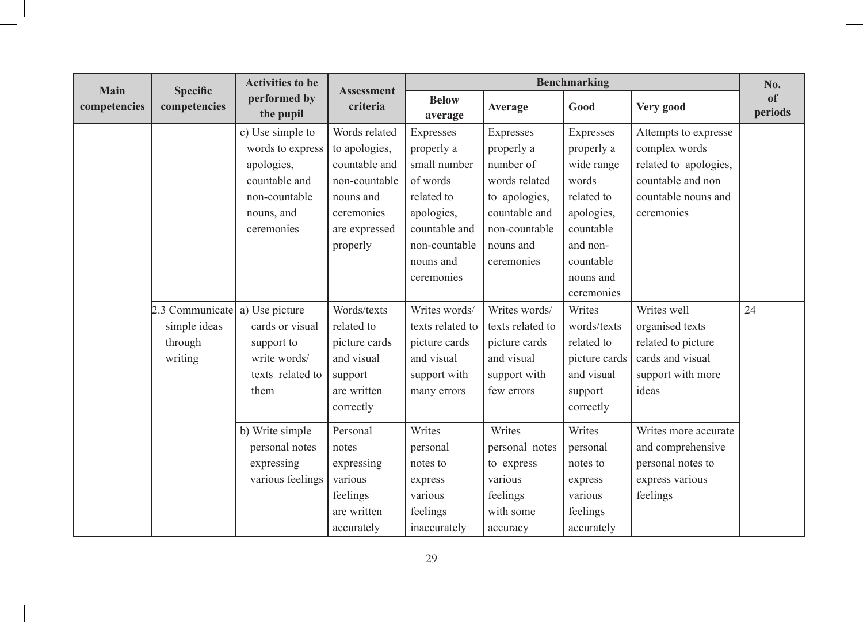| <b>Main</b>  |                                 | <b>Activities to be</b>   |                               | <b>Benchmarking</b>     |                  |               | No.                   |               |
|--------------|---------------------------------|---------------------------|-------------------------------|-------------------------|------------------|---------------|-----------------------|---------------|
| competencies | <b>Specific</b><br>competencies | performed by<br>the pupil | <b>Assessment</b><br>criteria | <b>Below</b><br>average | Average          | Good          | Very good             | of<br>periods |
|              |                                 | c) Use simple to          | Words related                 | Expresses               | Expresses        | Expresses     | Attempts to expresse  |               |
|              |                                 | words to express          | to apologies,                 | properly a              | properly a       | properly a    | complex words         |               |
|              |                                 | apologies,                | countable and                 | small number            | number of        | wide range    | related to apologies, |               |
|              |                                 | countable and             | non-countable                 | of words                | words related    | words         | countable and non     |               |
|              |                                 | non-countable             | nouns and                     | related to              | to apologies,    | related to    | countable nouns and   |               |
|              |                                 | nouns, and                | ceremonies                    | apologies,              | countable and    | apologies,    | ceremonies            |               |
|              |                                 | ceremonies                | are expressed                 | countable and           | non-countable    | countable     |                       |               |
|              |                                 |                           | properly                      | non-countable           | nouns and        | and non-      |                       |               |
|              |                                 |                           |                               | nouns and               | ceremonies       | countable     |                       |               |
|              |                                 |                           |                               | ceremonies              |                  | nouns and     |                       |               |
|              |                                 |                           |                               |                         |                  | ceremonies    |                       |               |
|              | 2.3 Communicate                 | a) Use picture            | Words/texts                   | Writes words/           | Writes words/    | Writes        | Writes well           | 24            |
|              | simple ideas                    | cards or visual           | related to                    | texts related to        | texts related to | words/texts   | organised texts       |               |
|              | through                         | support to                | picture cards                 | picture cards           | picture cards    | related to    | related to picture    |               |
|              | writing                         | write words/              | and visual                    | and visual              | and visual       | picture cards | cards and visual      |               |
|              |                                 | texts related to          | support                       | support with            | support with     | and visual    | support with more     |               |
|              |                                 | them                      | are written                   | many errors             | few errors       | support       | ideas                 |               |
|              |                                 |                           | correctly                     |                         |                  | correctly     |                       |               |
|              |                                 | b) Write simple           | Personal                      | Writes                  | Writes           | Writes        | Writes more accurate  |               |
|              |                                 | personal notes            | notes                         | personal                | personal notes   | personal      | and comprehensive     |               |
|              |                                 | expressing                | expressing                    | notes to                | to express       | notes to      | personal notes to     |               |
|              |                                 | various feelings          | various                       | express                 | various          | express       | express various       |               |
|              |                                 |                           | feelings                      | various                 | feelings         | various       | feelings              |               |
|              |                                 |                           | are written                   | feelings                | with some        | feelings      |                       |               |
|              |                                 |                           | accurately                    | inaccurately            | accuracy         | accurately    |                       |               |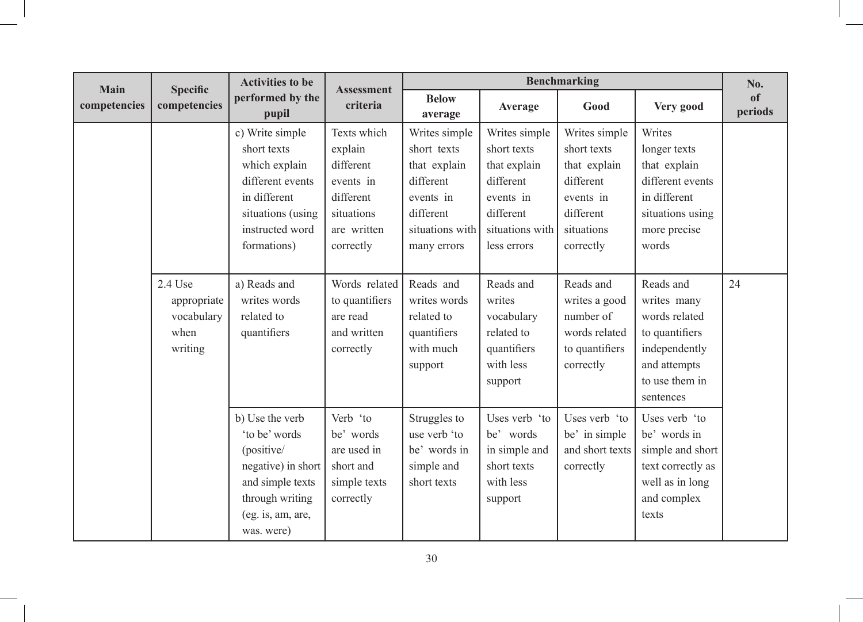| Main         | <b>Specific</b>                                         | <b>Activities to be</b><br><b>Assessment</b>                                                                                                   |                                                                                                         | <b>Benchmarking</b>                                                                                                   |                                                                                                                       |                                                                                                                |                                                                                                                             |                          |  |  |  |
|--------------|---------------------------------------------------------|------------------------------------------------------------------------------------------------------------------------------------------------|---------------------------------------------------------------------------------------------------------|-----------------------------------------------------------------------------------------------------------------------|-----------------------------------------------------------------------------------------------------------------------|----------------------------------------------------------------------------------------------------------------|-----------------------------------------------------------------------------------------------------------------------------|--------------------------|--|--|--|
| competencies | competencies                                            | performed by the<br>pupil                                                                                                                      | criteria                                                                                                | <b>Below</b><br>average                                                                                               | Average                                                                                                               | Good                                                                                                           | Very good                                                                                                                   | <sub>of</sub><br>periods |  |  |  |
|              |                                                         | c) Write simple<br>short texts<br>which explain<br>different events<br>in different<br>situations (using<br>instructed word<br>formations)     | Texts which<br>explain<br>different<br>events in<br>different<br>situations<br>are written<br>correctly | Writes simple<br>short texts<br>that explain<br>different<br>events in<br>different<br>situations with<br>many errors | Writes simple<br>short texts<br>that explain<br>different<br>events in<br>different<br>situations with<br>less errors | Writes simple<br>short texts<br>that explain<br>different<br>events in<br>different<br>situations<br>correctly | Writes<br>longer texts<br>that explain<br>different events<br>in different<br>situations using<br>more precise<br>words     |                          |  |  |  |
|              | 2.4 Use<br>appropriate<br>vocabulary<br>when<br>writing | a) Reads and<br>writes words<br>related to<br>quantifiers                                                                                      | Words related<br>to quantifiers<br>are read<br>and written<br>correctly                                 | Reads and<br>writes words<br>related to<br>quantifiers<br>with much<br>support                                        | Reads and<br>writes<br>vocabulary<br>related to<br>quantifiers<br>with less<br>support                                | Reads and<br>writes a good<br>number of<br>words related<br>to quantifiers<br>correctly                        | Reads and<br>writes many<br>words related<br>to quantifiers<br>independently<br>and attempts<br>to use them in<br>sentences | 24                       |  |  |  |
|              |                                                         | b) Use the verb<br>'to be' words<br>(positive/<br>negative) in short<br>and simple texts<br>through writing<br>(eg. is, am, are,<br>was. were) | Verb 'to<br>be' words<br>are used in<br>short and<br>simple texts<br>correctly                          | Struggles to<br>use verb 'to<br>be' words in<br>simple and<br>short texts                                             | Uses verb 'to<br>be' words<br>in simple and<br>short texts<br>with less<br>support                                    | Uses verb 'to<br>be' in simple<br>and short texts<br>correctly                                                 | Uses verb 'to<br>be' words in<br>simple and short<br>text correctly as<br>well as in long<br>and complex<br>texts           |                          |  |  |  |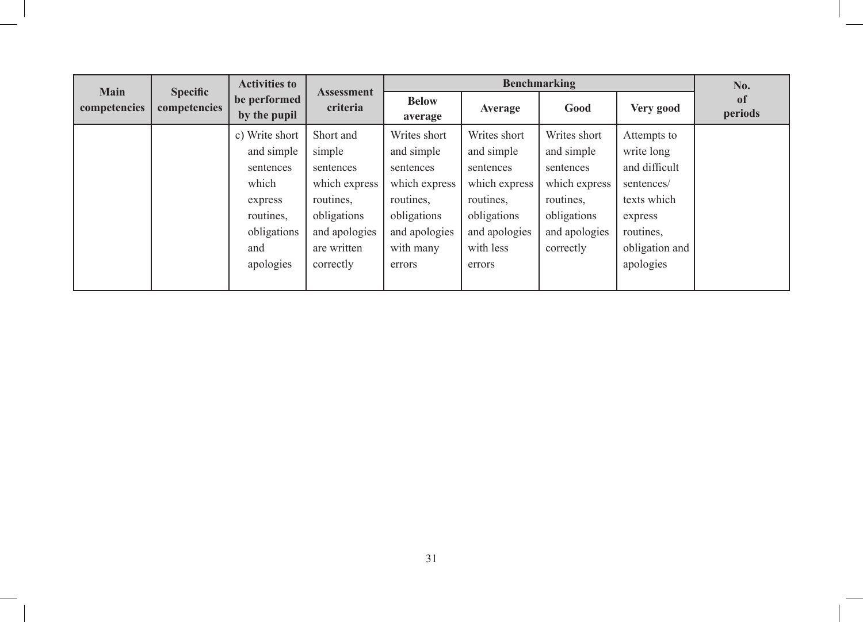| <b>Main</b>  | <b>Specific</b> | <b>Activities to</b>         |                               |                         |               | Benchmarking  |                | No.                      |
|--------------|-----------------|------------------------------|-------------------------------|-------------------------|---------------|---------------|----------------|--------------------------|
| competencies | competencies    | be performed<br>by the pupil | <b>Assessment</b><br>criteria | <b>Below</b><br>average | Average       | Good          | Very good      | <sub>of</sub><br>periods |
|              |                 | c) Write short               | Short and                     | Writes short            | Writes short  | Writes short  | Attempts to    |                          |
|              |                 | and simple                   | simple                        | and simple              | and simple    | and simple    | write long     |                          |
|              |                 | sentences                    | sentences                     | sentences               | sentences     | sentences     | and difficult  |                          |
|              |                 | which                        | which express                 | which express           | which express | which express | sentences/     |                          |
|              |                 | express                      | routines,                     | routines,               | routines,     | routines.     | texts which    |                          |
|              |                 | routines,                    | obligations                   | obligations             | obligations   | obligations   | express        |                          |
|              |                 | obligations                  | and apologies                 | and apologies           | and apologies | and apologies | routines,      |                          |
|              |                 | and                          | are written                   | with many               | with less     | correctly     | obligation and |                          |
|              |                 | apologies                    | correctly                     | errors                  | errors        |               | apologies      |                          |
|              |                 |                              |                               |                         |               |               |                |                          |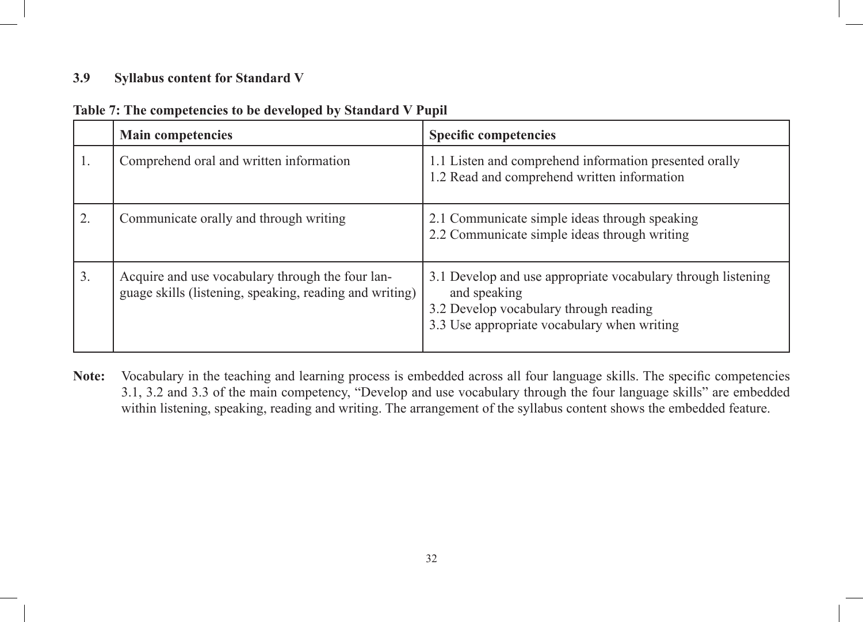### **3.9 Syllabus content for Standard V**

|    | <b>Main competencies</b>                                                                                    | <b>Specific competencies</b>                                                                                                                                          |
|----|-------------------------------------------------------------------------------------------------------------|-----------------------------------------------------------------------------------------------------------------------------------------------------------------------|
| I. | Comprehend oral and written information                                                                     | 1.1 Listen and comprehend information presented orally<br>1.2 Read and comprehend written information                                                                 |
| 2. | Communicate orally and through writing                                                                      | 2.1 Communicate simple ideas through speaking<br>2.2 Communicate simple ideas through writing                                                                         |
| 3. | Acquire and use vocabulary through the four lan-<br>guage skills (listening, speaking, reading and writing) | 3.1 Develop and use appropriate vocabulary through listening<br>and speaking<br>3.2 Develop vocabulary through reading<br>3.3 Use appropriate vocabulary when writing |

## **Table 7: The competencies to be developed by Standard V Pupil**

**Note:** Vocabulary in the teaching and learning process is embedded across all four language skills. The specific competencies 3.1, 3.2 and 3.3 of the main competency, "Develop and use vocabulary through the four language skills" are embedded within listening, speaking, reading and writing. The arrangement of the syllabus content shows the embedded feature.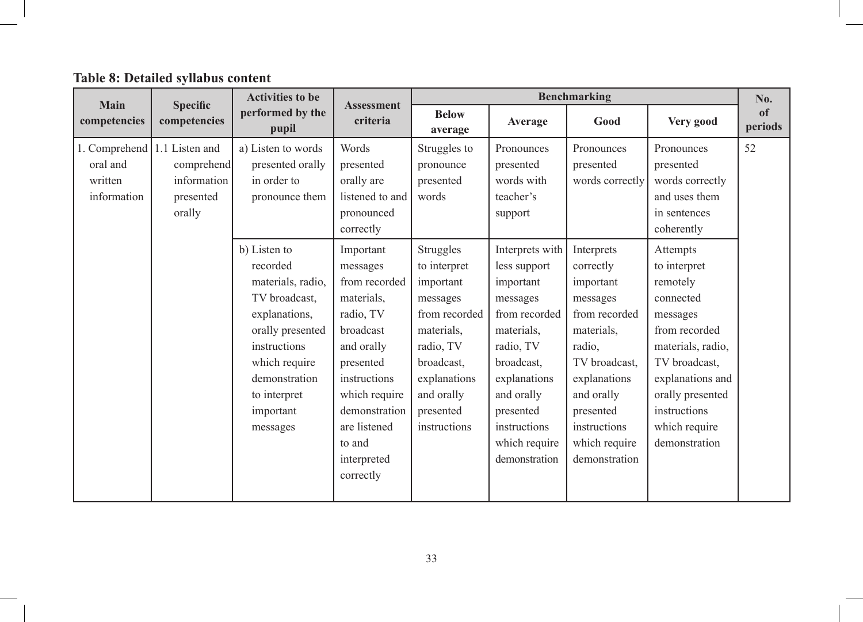**Table 8: Detailed syllabus content**

| Main                                                               | <b>Specific</b>                                  | <b>Activities to be</b>                                                                                                                                                                        |                                                                                                                                                                                                                   |                                                                                                                                                                         |                                                                                                                                                                                                                 | <b>Benchmarking</b>                                                                                                                                                                                     |                                                                                                                                                                                                                | No.           |
|--------------------------------------------------------------------|--------------------------------------------------|------------------------------------------------------------------------------------------------------------------------------------------------------------------------------------------------|-------------------------------------------------------------------------------------------------------------------------------------------------------------------------------------------------------------------|-------------------------------------------------------------------------------------------------------------------------------------------------------------------------|-----------------------------------------------------------------------------------------------------------------------------------------------------------------------------------------------------------------|---------------------------------------------------------------------------------------------------------------------------------------------------------------------------------------------------------|----------------------------------------------------------------------------------------------------------------------------------------------------------------------------------------------------------------|---------------|
| competencies                                                       | competencies                                     | performed by the<br>pupil                                                                                                                                                                      | <b>Assessment</b><br>criteria                                                                                                                                                                                     | <b>Below</b><br>average                                                                                                                                                 | Average                                                                                                                                                                                                         | Good                                                                                                                                                                                                    | Very good                                                                                                                                                                                                      | of<br>periods |
| 1. Comprehend 1.1 Listen and<br>oral and<br>written<br>information | comprehend<br>information<br>presented<br>orally | a) Listen to words<br>presented orally<br>in order to<br>pronounce them                                                                                                                        | Words<br>presented<br>orally are<br>listened to and<br>pronounced<br>correctly                                                                                                                                    | Struggles to<br>pronounce<br>presented<br>words                                                                                                                         | Pronounces<br>presented<br>words with<br>teacher's<br>support                                                                                                                                                   | Pronounces<br>presented<br>words correctly                                                                                                                                                              | Pronounces<br>presented<br>words correctly<br>and uses them<br>in sentences<br>coherently                                                                                                                      | 52            |
|                                                                    |                                                  | b) Listen to<br>recorded<br>materials, radio,<br>TV broadcast,<br>explanations,<br>orally presented<br>instructions<br>which require<br>demonstration<br>to interpret<br>important<br>messages | Important<br>messages<br>from recorded<br>materials,<br>radio, TV<br>broadcast<br>and orally<br>presented<br>instructions<br>which require<br>demonstration<br>are listened<br>to and<br>interpreted<br>correctly | Struggles<br>to interpret<br>important<br>messages<br>from recorded<br>materials,<br>radio, TV<br>broadcast,<br>explanations<br>and orally<br>presented<br>instructions | Interprets with<br>less support<br>important<br>messages<br>from recorded<br>materials.<br>radio, TV<br>broadcast,<br>explanations<br>and orally<br>presented<br>instructions<br>which require<br>demonstration | Interprets<br>correctly<br>important<br>messages<br>from recorded<br>materials.<br>radio,<br>TV broadcast,<br>explanations<br>and orally<br>presented<br>instructions<br>which require<br>demonstration | Attempts<br>to interpret<br>remotely<br>connected<br>messages<br>from recorded<br>materials, radio,<br>TV broadcast,<br>explanations and<br>orally presented<br>instructions<br>which require<br>demonstration |               |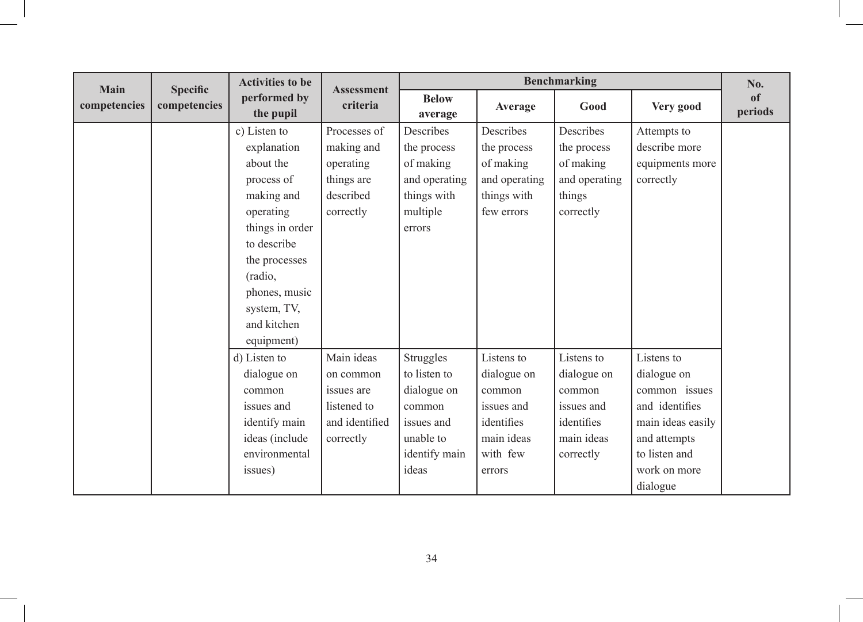| <b>Main</b>  |                                 | <b>Activities to be</b>   | <b>Assessment</b> |                         | <b>Benchmarking</b> |               |                   |                          |  |
|--------------|---------------------------------|---------------------------|-------------------|-------------------------|---------------------|---------------|-------------------|--------------------------|--|
| competencies | <b>Specific</b><br>competencies | performed by<br>the pupil | criteria          | <b>Below</b><br>average | Average             | Good          | Very good         | <sub>of</sub><br>periods |  |
|              |                                 | c) Listen to              | Processes of      | Describes               | Describes           | Describes     | Attempts to       |                          |  |
|              |                                 | explanation               | making and        | the process             | the process         | the process   | describe more     |                          |  |
|              |                                 | about the                 | operating         | of making               | of making           | of making     | equipments more   |                          |  |
|              |                                 | process of                | things are        | and operating           | and operating       | and operating | correctly         |                          |  |
|              |                                 | making and                | described         | things with             | things with         | things        |                   |                          |  |
|              |                                 | operating                 | correctly         | multiple                | few errors          | correctly     |                   |                          |  |
|              |                                 | things in order           |                   | errors                  |                     |               |                   |                          |  |
|              |                                 | to describe               |                   |                         |                     |               |                   |                          |  |
|              |                                 | the processes             |                   |                         |                     |               |                   |                          |  |
|              |                                 | (radio,                   |                   |                         |                     |               |                   |                          |  |
|              |                                 | phones, music             |                   |                         |                     |               |                   |                          |  |
|              |                                 | system, TV,               |                   |                         |                     |               |                   |                          |  |
|              |                                 | and kitchen               |                   |                         |                     |               |                   |                          |  |
|              |                                 | equipment)                |                   |                         |                     |               |                   |                          |  |
|              |                                 | d) Listen to              | Main ideas        | Struggles               | Listens to          | Listens to    | Listens to        |                          |  |
|              |                                 | dialogue on               | on common         | to listen to            | dialogue on         | dialogue on   | dialogue on       |                          |  |
|              |                                 | common                    | issues are        | dialogue on             | common              | common        | common issues     |                          |  |
|              |                                 | issues and                | listened to       | common                  | issues and          | issues and    | and identifies    |                          |  |
|              |                                 | identify main             | and identified    | issues and              | identifies          | identifies    | main ideas easily |                          |  |
|              |                                 | ideas (include            | correctly         | unable to               | main ideas          | main ideas    | and attempts      |                          |  |
|              |                                 | environmental             |                   | identify main           | with few            | correctly     | to listen and     |                          |  |
|              |                                 | issues)                   |                   | ideas                   | errors              |               | work on more      |                          |  |
|              |                                 |                           |                   |                         |                     |               | dialogue          |                          |  |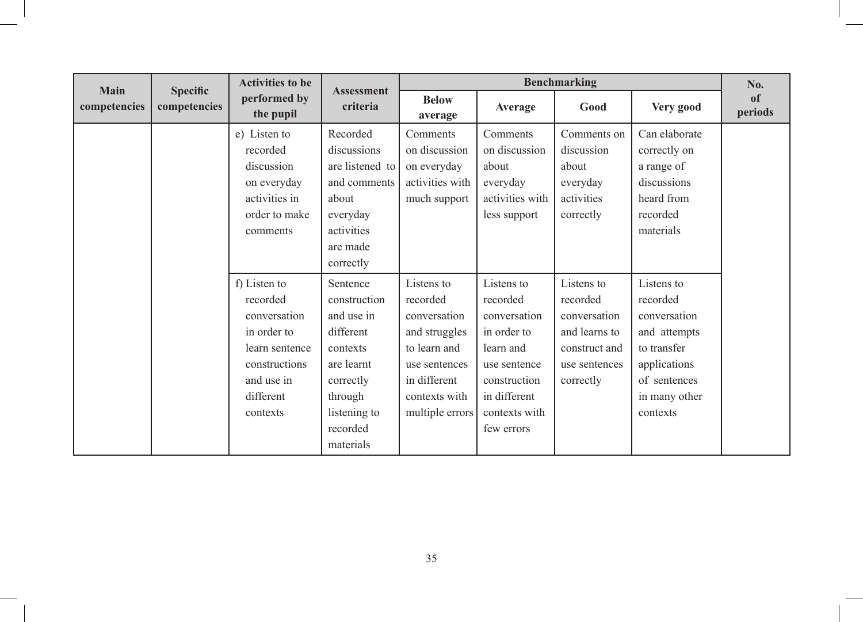| <b>Main</b>  |                                 | <b>Activities to be</b>                                                                                                           |                                                                                                                                                | <b>Benchmarking</b>                                                                                                                          |                                                                                                                                                   |                                                                                                        |                                                                                                                                    | No.           |
|--------------|---------------------------------|-----------------------------------------------------------------------------------------------------------------------------------|------------------------------------------------------------------------------------------------------------------------------------------------|----------------------------------------------------------------------------------------------------------------------------------------------|---------------------------------------------------------------------------------------------------------------------------------------------------|--------------------------------------------------------------------------------------------------------|------------------------------------------------------------------------------------------------------------------------------------|---------------|
| competencies | <b>Specific</b><br>competencies | performed by<br>the pupil                                                                                                         | <b>Assessment</b><br>criteria                                                                                                                  | <b>Below</b><br>average                                                                                                                      | Average                                                                                                                                           | Good                                                                                                   | Very good                                                                                                                          | of<br>periods |
|              |                                 | e) Listen to<br>recorded<br>discussion<br>on everyday<br>activities in<br>order to make<br>comments                               | Recorded<br>discussions<br>are listened to<br>and comments<br>about<br>everyday<br>activities<br>are made<br>correctly                         | Comments<br>on discussion<br>on everyday<br>activities with<br>much support                                                                  | Comments<br>on discussion<br>about<br>everyday<br>activities with<br>less support                                                                 | Comments on<br>discussion<br>about<br>everyday<br>activities<br>correctly                              | Can elaborate<br>correctly on<br>a range of<br>discussions<br>heard from<br>recorded<br>materials                                  |               |
|              |                                 | f) Listen to<br>recorded<br>conversation<br>in order to<br>learn sentence<br>constructions<br>and use in<br>different<br>contexts | Sentence<br>construction<br>and use in<br>different<br>contexts<br>are learnt<br>correctly<br>through<br>listening to<br>recorded<br>materials | Listens to<br>recorded<br>conversation<br>and struggles<br>to learn and<br>use sentences<br>in different<br>contexts with<br>multiple errors | Listens to<br>recorded<br>conversation<br>in order to<br>learn and<br>use sentence<br>construction<br>in different<br>contexts with<br>few errors | Listens to<br>recorded<br>conversation<br>and learns to<br>construct and<br>use sentences<br>correctly | Listens to<br>recorded<br>conversation<br>and attempts<br>to transfer<br>applications<br>of sentences<br>in many other<br>contexts |               |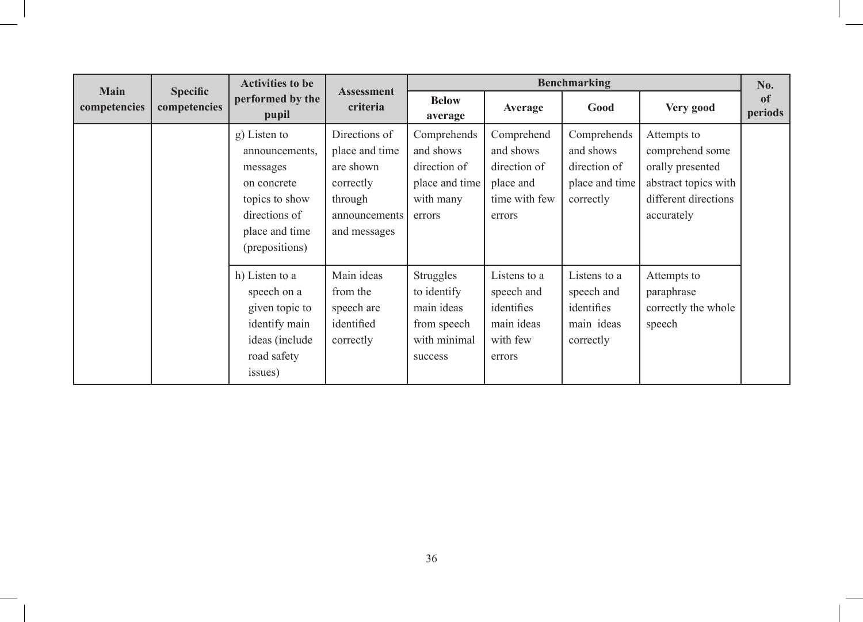| <b>Main</b>  | <b>Specific</b> | <b>Activities to be</b>                                                                                                          | <b>Assessment</b>                                                                                     | <b>Benchmarking</b>                                                               |                                                                                 |                                                                         |                                                                                                                  |               |
|--------------|-----------------|----------------------------------------------------------------------------------------------------------------------------------|-------------------------------------------------------------------------------------------------------|-----------------------------------------------------------------------------------|---------------------------------------------------------------------------------|-------------------------------------------------------------------------|------------------------------------------------------------------------------------------------------------------|---------------|
| competencies | competencies    | performed by the<br>pupil                                                                                                        | criteria                                                                                              | <b>Below</b><br>average                                                           | Average                                                                         | Good                                                                    | Very good                                                                                                        | of<br>periods |
|              |                 | g) Listen to<br>announcements,<br>messages<br>on concrete<br>topics to show<br>directions of<br>place and time<br>(prepositions) | Directions of<br>place and time<br>are shown<br>correctly<br>through<br>announcements<br>and messages | Comprehends<br>and shows<br>direction of<br>place and time<br>with many<br>errors | Comprehend<br>and shows<br>direction of<br>place and<br>time with few<br>errors | Comprehends<br>and shows<br>direction of<br>place and time<br>correctly | Attempts to<br>comprehend some<br>orally presented<br>abstract topics with<br>different directions<br>accurately |               |
|              |                 | h) Listen to a<br>speech on a<br>given topic to<br>identify main<br>ideas (include<br>road safety<br>issues)                     | Main ideas<br>from the<br>speech are<br>identified<br>correctly                                       | Struggles<br>to identify<br>main ideas<br>from speech<br>with minimal<br>success  | Listens to a<br>speech and<br>identifies<br>main ideas<br>with few<br>errors    | Listens to a<br>speech and<br>identifies<br>main ideas<br>correctly     | Attempts to<br>paraphrase<br>correctly the whole<br>speech                                                       |               |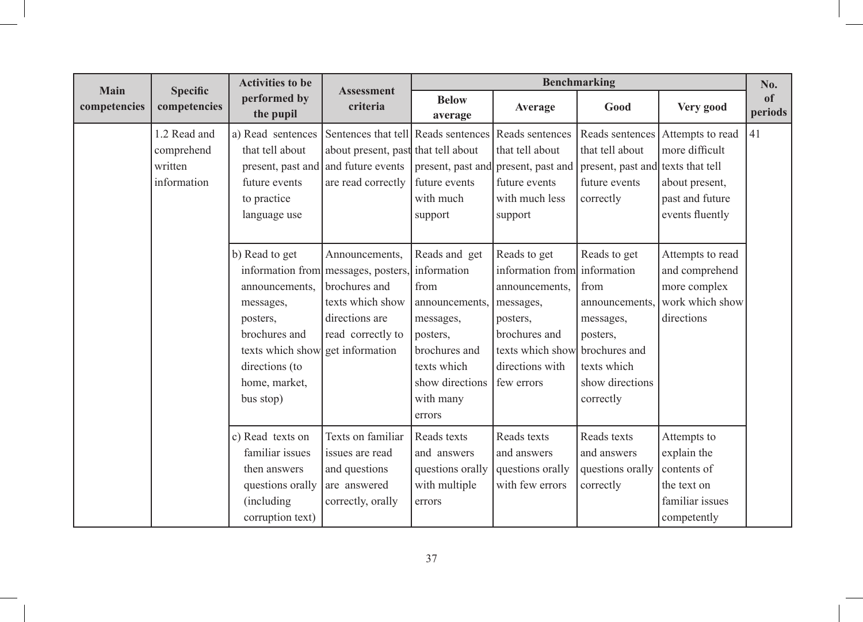| Main         | <b>Specific</b>                                      | <b>Activities to be</b>                                                                                                                                        | <b>Assessment</b>                                                                                                                 |                                                                                                                                                           | <b>Benchmarking</b>                                                                                                                                           |                                                                                                                                 |                                                                                            |               |  |
|--------------|------------------------------------------------------|----------------------------------------------------------------------------------------------------------------------------------------------------------------|-----------------------------------------------------------------------------------------------------------------------------------|-----------------------------------------------------------------------------------------------------------------------------------------------------------|---------------------------------------------------------------------------------------------------------------------------------------------------------------|---------------------------------------------------------------------------------------------------------------------------------|--------------------------------------------------------------------------------------------|---------------|--|
| competencies | competencies                                         | performed by<br>the pupil                                                                                                                                      | criteria                                                                                                                          | <b>Below</b><br>average                                                                                                                                   | Average                                                                                                                                                       | Good                                                                                                                            | Very good                                                                                  | of<br>periods |  |
|              | 1.2 Read and<br>comprehend<br>written<br>information | a) Read sentences<br>that tell about<br>present, past and<br>future events<br>to practice<br>language use                                                      | Sentences that tell Reads sentences<br>about present, past that tell about<br>and future events<br>are read correctly             | future events<br>with much<br>support                                                                                                                     | Reads sentences<br>that tell about<br>present, past and present, past and<br>future events<br>with much less<br>support                                       | Reads sentences<br>that tell about<br>present, past and texts that tell<br>future events<br>correctly                           | Attempts to read<br>more difficult<br>about present,<br>past and future<br>events fluently | 41            |  |
|              |                                                      | b) Read to get<br>announcements.<br>messages,<br>posters,<br>brochures and<br>texts which show get information<br>directions (to<br>home, market,<br>bus stop) | Announcements,<br>information from messages, posters,<br>brochures and<br>texts which show<br>directions are<br>read correctly to | Reads and get<br>information<br>from<br>announcements.<br>messages,<br>posters,<br>brochures and<br>texts which<br>show directions<br>with many<br>errors | Reads to get<br>information from information<br>announcements.<br>messages,<br>posters,<br>brochures and<br>texts which show<br>directions with<br>few errors | Reads to get<br>from<br>announcements.<br>messages,<br>posters,<br>brochures and<br>texts which<br>show directions<br>correctly | Attempts to read<br>and comprehend<br>more complex<br>work which show<br>directions        |               |  |
|              |                                                      | c) Read texts on<br>familiar issues<br>then answers<br>questions orally<br>(including)<br>corruption text)                                                     | Texts on familiar<br>issues are read<br>and questions<br>are answered<br>correctly, orally                                        | Reads texts<br>and answers<br>questions orally<br>with multiple<br>errors                                                                                 | Reads texts<br>and answers<br>questions orally<br>with few errors                                                                                             | Reads texts<br>and answers<br>questions orally<br>correctly                                                                     | Attempts to<br>explain the<br>contents of<br>the text on<br>familiar issues<br>competently |               |  |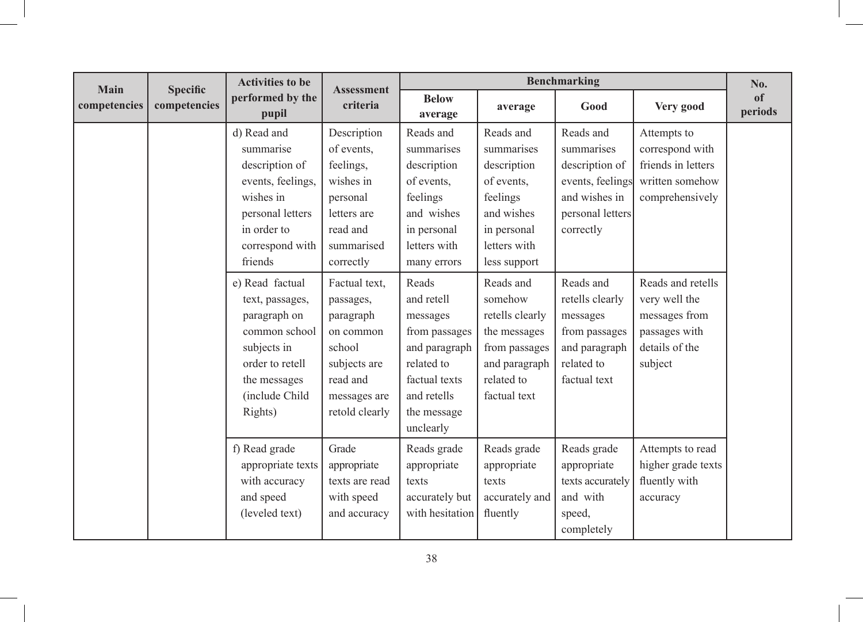| Main         | <b>Specific</b> | <b>Activities to be</b>                                                                                                                                                                                                                                                | <b>Assessment</b>                                                                                                                                                                                                   |                                                                                                                                                                                                                                  | <b>Benchmarking</b>                                                                                                                                                                                                                      |                                                                                                                                                                                                                             |                                                                                                                                                                                                 |                          |  |
|--------------|-----------------|------------------------------------------------------------------------------------------------------------------------------------------------------------------------------------------------------------------------------------------------------------------------|---------------------------------------------------------------------------------------------------------------------------------------------------------------------------------------------------------------------|----------------------------------------------------------------------------------------------------------------------------------------------------------------------------------------------------------------------------------|------------------------------------------------------------------------------------------------------------------------------------------------------------------------------------------------------------------------------------------|-----------------------------------------------------------------------------------------------------------------------------------------------------------------------------------------------------------------------------|-------------------------------------------------------------------------------------------------------------------------------------------------------------------------------------------------|--------------------------|--|
| competencies | competencies    | performed by the<br>pupil                                                                                                                                                                                                                                              | criteria                                                                                                                                                                                                            | <b>Below</b><br>average                                                                                                                                                                                                          | average                                                                                                                                                                                                                                  | Good                                                                                                                                                                                                                        | Very good                                                                                                                                                                                       | <sub>of</sub><br>periods |  |
|              |                 | d) Read and<br>summarise<br>description of<br>events, feelings,<br>wishes in<br>personal letters<br>in order to<br>correspond with<br>friends<br>e) Read factual<br>text, passages,<br>paragraph on<br>common school<br>subjects in<br>order to retell<br>the messages | Description<br>of events.<br>feelings,<br>wishes in<br>personal<br>letters are<br>read and<br>summarised<br>correctly<br>Factual text,<br>passages,<br>paragraph<br>on common<br>school<br>subjects are<br>read and | Reads and<br>summarises<br>description<br>of events.<br>feelings<br>and wishes<br>in personal<br>letters with<br>many errors<br>Reads<br>and retell<br>messages<br>from passages<br>and paragraph<br>related to<br>factual texts | Reads and<br>summarises<br>description<br>of events.<br>feelings<br>and wishes<br>in personal<br>letters with<br>less support<br>Reads and<br>somehow<br>retells clearly<br>the messages<br>from passages<br>and paragraph<br>related to | Reads and<br>summarises<br>description of<br>events, feelings<br>and wishes in<br>personal letters<br>correctly<br>Reads and<br>retells clearly<br>messages<br>from passages<br>and paragraph<br>related to<br>factual text | Attempts to<br>correspond with<br>friends in letters<br>written somehow<br>comprehensively<br>Reads and retells<br>very well the<br>messages from<br>passages with<br>details of the<br>subject |                          |  |
|              |                 | (include Child<br>Rights)                                                                                                                                                                                                                                              | messages are<br>retold clearly                                                                                                                                                                                      | and retells<br>the message<br>unclearly                                                                                                                                                                                          | factual text                                                                                                                                                                                                                             |                                                                                                                                                                                                                             |                                                                                                                                                                                                 |                          |  |
|              |                 | f) Read grade<br>appropriate texts<br>with accuracy<br>and speed<br>(leveled text)                                                                                                                                                                                     | Grade<br>appropriate<br>texts are read<br>with speed<br>and accuracy                                                                                                                                                | Reads grade<br>appropriate<br>texts<br>accurately but<br>with hesitation                                                                                                                                                         | Reads grade<br>appropriate<br>texts<br>accurately and<br>fluently                                                                                                                                                                        | Reads grade<br>appropriate<br>texts accurately<br>and with<br>speed,<br>completely                                                                                                                                          | Attempts to read<br>higher grade texts<br>fluently with<br>accuracy                                                                                                                             |                          |  |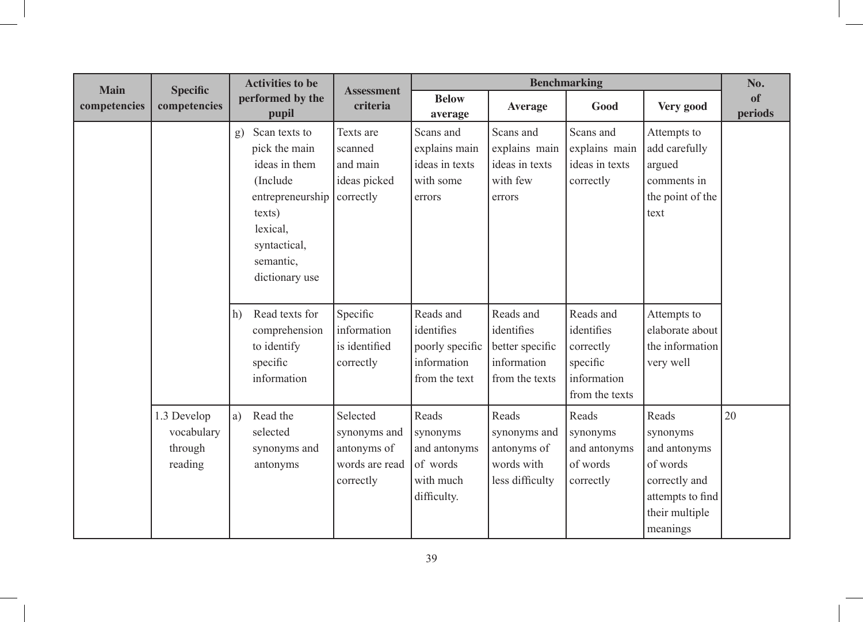| <b>Main</b>  | <b>Specific</b>                                 | <b>Activities to be</b>                                                                                                                                    | <b>Assessment</b>                                                      |                                                                            | No.                                                                         |                                                                                   |                                                                                                                  |               |
|--------------|-------------------------------------------------|------------------------------------------------------------------------------------------------------------------------------------------------------------|------------------------------------------------------------------------|----------------------------------------------------------------------------|-----------------------------------------------------------------------------|-----------------------------------------------------------------------------------|------------------------------------------------------------------------------------------------------------------|---------------|
| competencies | competencies                                    | performed by the<br>pupil                                                                                                                                  | criteria                                                               | <b>Below</b><br>average                                                    | <b>Average</b>                                                              | Good                                                                              | Very good                                                                                                        | of<br>periods |
|              |                                                 | Scan texts to<br>g)<br>pick the main<br>ideas in them<br>(Include<br>entrepreneurship<br>texts)<br>lexical,<br>syntactical,<br>semantic,<br>dictionary use | Texts are<br>scanned<br>and main<br>ideas picked<br>correctly          | Scans and<br>explains main<br>ideas in texts<br>with some<br>errors        | Scans and<br>explains main<br>ideas in texts<br>with few<br>errors          | Scans and<br>explains main<br>ideas in texts<br>correctly                         | Attempts to<br>add carefully<br>argued<br>comments in<br>the point of the<br>text                                |               |
|              |                                                 | Read texts for<br>h)<br>comprehension<br>to identify<br>specific<br>information                                                                            | Specific<br>information<br>is identified<br>correctly                  | Reads and<br>identifies<br>poorly specific<br>information<br>from the text | Reads and<br>identifies<br>better specific<br>information<br>from the texts | Reads and<br>identifies<br>correctly<br>specific<br>information<br>from the texts | Attempts to<br>elaborate about<br>the information<br>very well                                                   |               |
|              | 1.3 Develop<br>vocabulary<br>through<br>reading | Read the<br>a)<br>selected<br>synonyms and<br>antonyms                                                                                                     | Selected<br>synonyms and<br>antonyms of<br>words are read<br>correctly | Reads<br>synonyms<br>and antonyms<br>of words<br>with much<br>difficulty.  | Reads<br>synonyms and<br>antonyms of<br>words with<br>less difficulty       | Reads<br>synonyms<br>and antonyms<br>of words<br>correctly                        | Reads<br>synonyms<br>and antonyms<br>of words<br>correctly and<br>attempts to find<br>their multiple<br>meanings | 20            |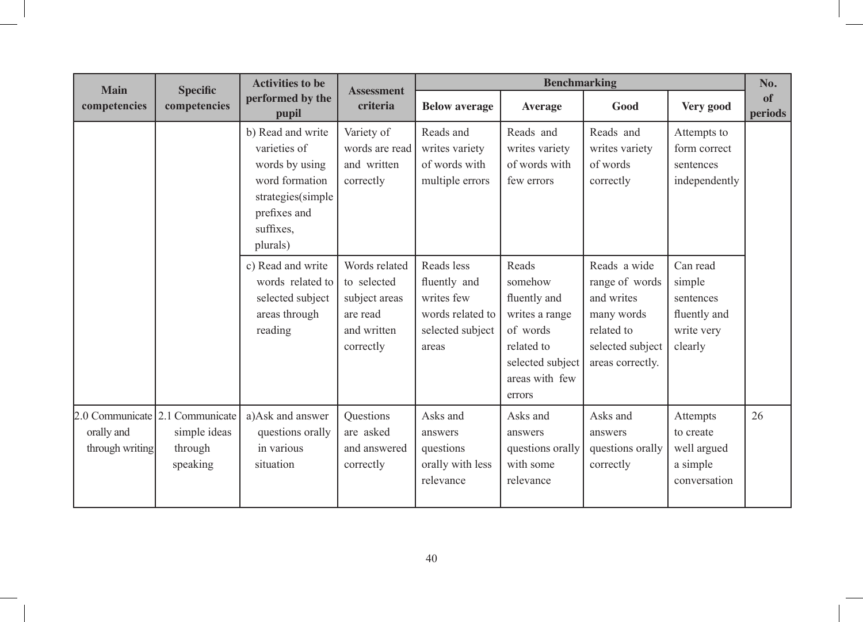| <b>Main</b>                   | <b>Specific</b>                                                        | <b>Activities to be</b>                                                                                                             | <b>Assessment</b>                                                                     | <b>Benchmarking</b>                                                                       |                                                                                                                              |                                                                                                                  |                                                                          |               |
|-------------------------------|------------------------------------------------------------------------|-------------------------------------------------------------------------------------------------------------------------------------|---------------------------------------------------------------------------------------|-------------------------------------------------------------------------------------------|------------------------------------------------------------------------------------------------------------------------------|------------------------------------------------------------------------------------------------------------------|--------------------------------------------------------------------------|---------------|
| competencies                  | competencies                                                           | performed by the<br>pupil                                                                                                           | criteria                                                                              | <b>Below average</b>                                                                      | <b>Average</b>                                                                                                               | Good                                                                                                             | Very good                                                                | of<br>periods |
|                               |                                                                        | b) Read and write<br>varieties of<br>words by using<br>word formation<br>strategies(simple<br>prefixes and<br>suffixes.<br>plurals) | Variety of<br>words are read<br>and written<br>correctly                              | Reads and<br>writes variety<br>of words with<br>multiple errors                           | Reads and<br>writes variety<br>of words with<br>few errors                                                                   | Reads and<br>writes variety<br>of words<br>correctly                                                             | Attempts to<br>form correct<br>sentences<br>independently                |               |
|                               |                                                                        | c) Read and write<br>words related to<br>selected subject<br>areas through<br>reading                                               | Words related<br>to selected<br>subject areas<br>are read<br>and written<br>correctly | Reads less<br>fluently and<br>writes few<br>words related to<br>selected subject<br>areas | Reads<br>somehow<br>fluently and<br>writes a range<br>of words<br>related to<br>selected subject<br>areas with few<br>errors | Reads a wide<br>range of words<br>and writes<br>many words<br>related to<br>selected subject<br>areas correctly. | Can read<br>simple<br>sentences<br>fluently and<br>write very<br>clearly |               |
| orally and<br>through writing | 2.0 Communicate 2.1 Communicate<br>simple ideas<br>through<br>speaking | a)Ask and answer<br>questions orally<br>in various<br>situation                                                                     | Questions<br>are asked<br>and answered<br>correctly                                   | Asks and<br>answers<br>questions<br>orally with less<br>relevance                         | Asks and<br>answers<br>questions orally<br>with some<br>relevance                                                            | Asks and<br>answers<br>questions orally<br>correctly                                                             | Attempts<br>to create<br>well argued<br>a simple<br>conversation         | 26            |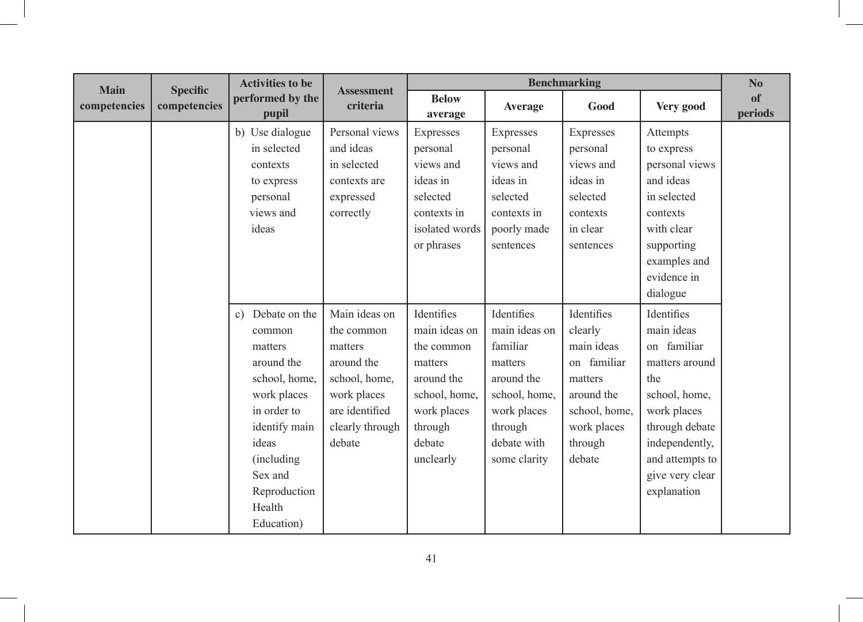| <b>Main</b>  | <b>Specific</b> | <b>Activities to be</b>                                                                                                                                                                           | <b>Assessment</b>                                                                                                                   |                                                                                                                                      | <b>Benchmarking</b>                                                                                                                        |                                                                                                                                  |                                                                                                                                                                                           |               |  |
|--------------|-----------------|---------------------------------------------------------------------------------------------------------------------------------------------------------------------------------------------------|-------------------------------------------------------------------------------------------------------------------------------------|--------------------------------------------------------------------------------------------------------------------------------------|--------------------------------------------------------------------------------------------------------------------------------------------|----------------------------------------------------------------------------------------------------------------------------------|-------------------------------------------------------------------------------------------------------------------------------------------------------------------------------------------|---------------|--|
| competencies | competencies    | performed by the<br>pupil                                                                                                                                                                         | criteria                                                                                                                            | <b>Below</b><br>average                                                                                                              | <b>Average</b>                                                                                                                             | Good                                                                                                                             | Very good                                                                                                                                                                                 | of<br>periods |  |
|              |                 | b) Use dialogue<br>in selected<br>contexts<br>to express<br>personal<br>views and<br>ideas                                                                                                        | Personal views<br>and ideas<br>in selected<br>contexts are<br>expressed<br>correctly                                                | Expresses<br>personal<br>views and<br>ideas in<br>selected<br>contexts in<br>isolated words<br>or phrases                            | Expresses<br>personal<br>views and<br>ideas in<br>selected<br>contexts in<br>poorly made<br>sentences                                      | Expresses<br>personal<br>views and<br>ideas in<br>selected<br>contexts<br>in clear<br>sentences                                  | Attempts<br>to express<br>personal views<br>and ideas<br>in selected<br>contexts<br>with clear<br>supporting<br>examples and<br>evidence in<br>dialogue                                   |               |  |
|              |                 | Debate on the<br>c)<br>common<br>matters<br>around the<br>school, home,<br>work places<br>in order to<br>identify main<br>ideas<br>(including)<br>Sex and<br>Reproduction<br>Health<br>Education) | Main ideas on<br>the common<br>matters<br>around the<br>school, home,<br>work places<br>are identified<br>clearly through<br>debate | Identifies<br>main ideas on<br>the common<br>matters<br>around the<br>school, home,<br>work places<br>through<br>debate<br>unclearly | Identifies<br>main ideas on<br>familiar<br>matters<br>around the<br>school, home,<br>work places<br>through<br>debate with<br>some clarity | Identifies<br>clearly<br>main ideas<br>on familiar<br>matters<br>around the<br>school, home,<br>work places<br>through<br>debate | Identifies<br>main ideas<br>on familiar<br>matters around<br>the<br>school, home,<br>work places<br>through debate<br>independently,<br>and attempts to<br>give very clear<br>explanation |               |  |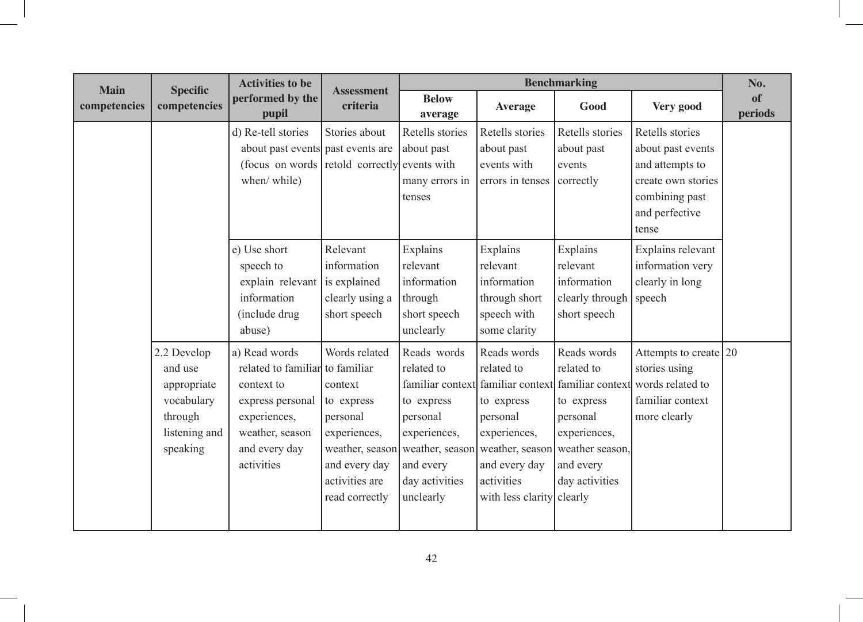| <b>Main</b>  | <b>Specific</b>                                                                             | <b>Activities to be</b>                                                                                                                              | <b>Assessment</b>                                                                                                       |                                                                                                                                     | <b>Benchmarking</b>                                                                                                                                                                |                                                                                                                       |                                                                                                                                            |               |  |
|--------------|---------------------------------------------------------------------------------------------|------------------------------------------------------------------------------------------------------------------------------------------------------|-------------------------------------------------------------------------------------------------------------------------|-------------------------------------------------------------------------------------------------------------------------------------|------------------------------------------------------------------------------------------------------------------------------------------------------------------------------------|-----------------------------------------------------------------------------------------------------------------------|--------------------------------------------------------------------------------------------------------------------------------------------|---------------|--|
| competencies | competencies                                                                                | performed by the<br>pupil                                                                                                                            | criteria                                                                                                                | <b>Below</b><br>average                                                                                                             | <b>Average</b>                                                                                                                                                                     | Good                                                                                                                  | Very good                                                                                                                                  | of<br>periods |  |
|              |                                                                                             | d) Re-tell stories<br>about past events past events are<br>(focus on words retold correctly events with<br>when/ while)                              | Stories about                                                                                                           | Retells stories<br>about past<br>many errors in<br>tenses                                                                           | Retells stories<br>about past<br>events with<br>errors in tenses                                                                                                                   | Retells stories<br>about past<br>events<br>correctly                                                                  | Retells stories<br>about past events<br>and attempts to<br>create own stories<br>combining past<br>and perfective<br>tense                 |               |  |
|              |                                                                                             | e) Use short<br>speech to<br>explain relevant<br>information<br>(include drug<br>abuse)                                                              | Relevant<br>information<br>is explained<br>clearly using a<br>short speech                                              | Explains<br>relevant<br>information<br>through<br>short speech<br>unclearly                                                         | Explains<br>relevant<br>information<br>through short<br>speech with<br>some clarity                                                                                                | Explains<br>relevant<br>information<br>clearly through speech<br>short speech                                         | Explains relevant<br>information very<br>clearly in long                                                                                   |               |  |
|              | 2.2 Develop<br>and use<br>appropriate<br>vocabulary<br>through<br>listening and<br>speaking | a) Read words<br>related to familiar to familiar<br>context to<br>express personal<br>experiences,<br>weather, season<br>and every day<br>activities | Words related<br>context<br>to express<br>personal<br>experiences,<br>and every day<br>activities are<br>read correctly | Reads words<br>related to<br>familiar context<br>to express<br>personal<br>experiences,<br>and every<br>day activities<br>unclearly | Reads words<br>related to<br>to express<br>personal<br>experiences,<br>weather, season weather, season weather, season<br>and every day<br>activities<br>with less clarity clearly | Reads words<br>related to<br>to express<br>personal<br>experiences,<br>weather season,<br>and every<br>day activities | Attempts to create $ 20\rangle$<br>stories using<br>familiar context familiar context words related to<br>familiar context<br>more clearly |               |  |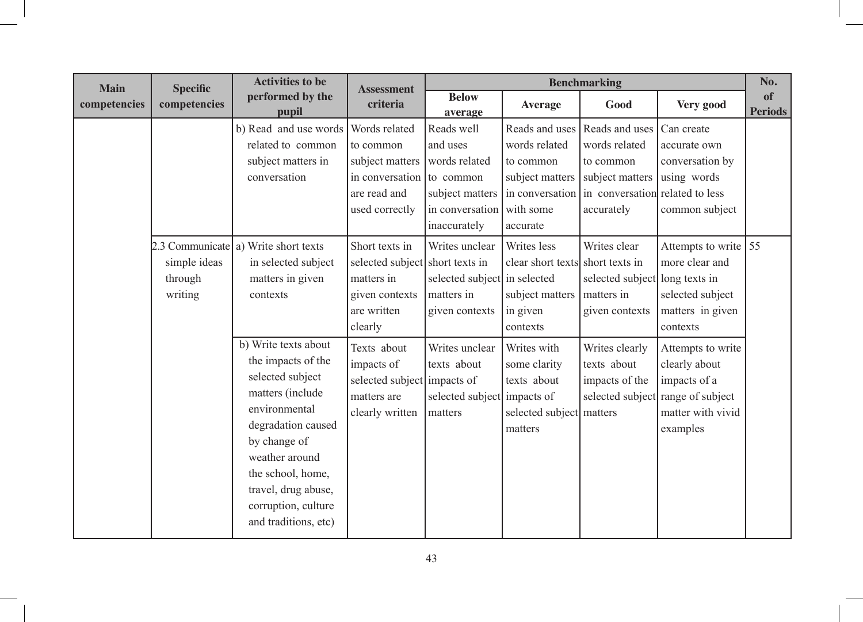| <b>Main</b>  | <b>Specific</b>                    | <b>Activities to be</b>                                                                                                                                                                                                                                | <b>Assessment</b>                                                                                            |                                                                                                         |                                                                                                | <b>Benchmarking</b>                                                                                              |                                                                                                         | No.                  |
|--------------|------------------------------------|--------------------------------------------------------------------------------------------------------------------------------------------------------------------------------------------------------------------------------------------------------|--------------------------------------------------------------------------------------------------------------|---------------------------------------------------------------------------------------------------------|------------------------------------------------------------------------------------------------|------------------------------------------------------------------------------------------------------------------|---------------------------------------------------------------------------------------------------------|----------------------|
| competencies | competencies                       | performed by the<br>pupil                                                                                                                                                                                                                              | criteria                                                                                                     | <b>Below</b><br>average                                                                                 | <b>Average</b>                                                                                 | Good                                                                                                             | Very good                                                                                               | of<br><b>Periods</b> |
|              |                                    | b) Read and use words<br>related to common<br>subject matters in<br>conversation                                                                                                                                                                       | Words related<br>to common<br>subject matters<br>in conversation to common<br>are read and<br>used correctly | Reads well<br>and uses<br>words related<br>subject matters<br>in conversation with some<br>inaccurately | Reads and uses<br>words related<br>to common<br>subject matters<br>in conversation<br>accurate | Reads and uses<br>words related<br>to common<br>subject matters<br>in conversation related to less<br>accurately | Can create<br>accurate own<br>conversation by<br>using words<br>common subject                          |                      |
|              | simple ideas<br>through<br>writing | 2.3 Communicate a) Write short texts<br>in selected subject<br>matters in given<br>contexts                                                                                                                                                            | Short texts in<br>selected subject short texts in<br>matters in<br>given contexts<br>are written<br>clearly  | Writes unclear<br>selected subject in selected<br>matters in<br>given contexts                          | Writes less<br>clear short texts short texts in<br>subject matters<br>in given<br>contexts     | Writes clear<br>selected subject long texts in<br>matters in<br>given contexts                                   | Attempts to write $\vert$ 55<br>more clear and<br>selected subject<br>matters in given<br>contexts      |                      |
|              |                                    | b) Write texts about<br>the impacts of the<br>selected subject<br>matters (include<br>environmental<br>degradation caused<br>by change of<br>weather around<br>the school, home,<br>travel, drug abuse,<br>corruption, culture<br>and traditions, etc) | Texts about<br>impacts of<br>selected subject impacts of<br>matters are<br>clearly written                   | Writes unclear<br>texts about<br>selected subject impacts of<br>matters                                 | Writes with<br>some clarity<br>texts about<br>selected subject matters<br>matters              | Writes clearly<br>texts about<br>impacts of the<br>selected subject                                              | Attempts to write<br>clearly about<br>impacts of a<br>range of subject<br>matter with vivid<br>examples |                      |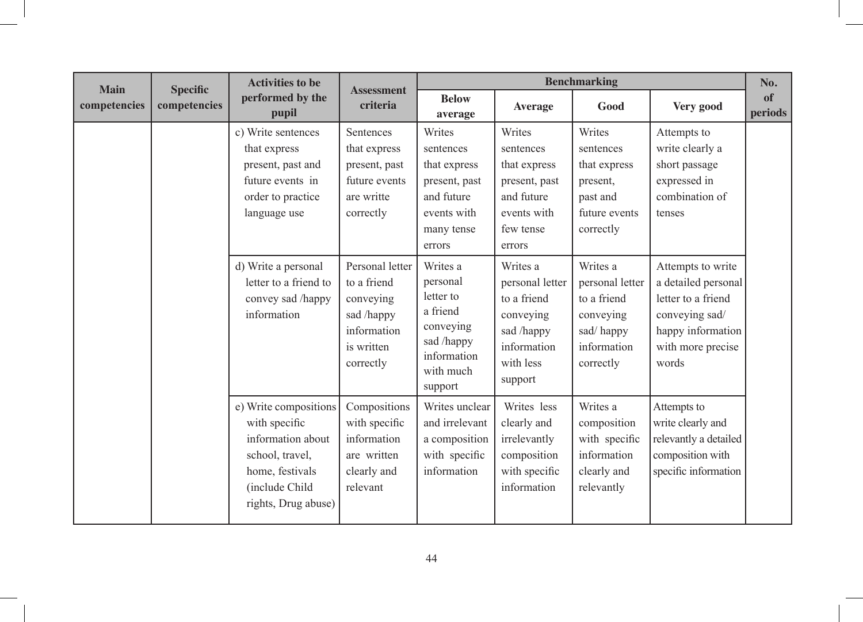|                             |                                 | <b>Activities to be</b>                                                                                                                    |                                                                                                     |                                                                                                                 |                                                                                                              | <b>Benchmarking</b>                                                                              |                                                                                                                                     | No.           |
|-----------------------------|---------------------------------|--------------------------------------------------------------------------------------------------------------------------------------------|-----------------------------------------------------------------------------------------------------|-----------------------------------------------------------------------------------------------------------------|--------------------------------------------------------------------------------------------------------------|--------------------------------------------------------------------------------------------------|-------------------------------------------------------------------------------------------------------------------------------------|---------------|
| <b>Main</b><br>competencies | <b>Specific</b><br>competencies | performed by the<br>pupil                                                                                                                  | <b>Assessment</b><br>criteria                                                                       | <b>Below</b><br>average                                                                                         | <b>Average</b>                                                                                               | Good                                                                                             | Very good                                                                                                                           | of<br>periods |
|                             |                                 | c) Write sentences<br>that express<br>present, past and<br>future events in<br>order to practice<br>language use                           | Sentences<br>that express<br>present, past<br>future events<br>are writte<br>correctly              | Writes<br>sentences<br>that express<br>present, past<br>and future<br>events with<br>many tense<br>errors       | Writes<br>sentences<br>that express<br>present, past<br>and future<br>events with<br>few tense<br>errors     | Writes<br>sentences<br>that express<br>present,<br>past and<br>future events<br>correctly        | Attempts to<br>write clearly a<br>short passage<br>expressed in<br>combination of<br>tenses                                         |               |
|                             |                                 | d) Write a personal<br>letter to a friend to<br>convey sad /happy<br>information                                                           | Personal letter<br>to a friend<br>conveying<br>sad /happy<br>information<br>is written<br>correctly | Writes a<br>personal<br>letter to<br>a friend<br>conveying<br>sad /happy<br>information<br>with much<br>support | Writes a<br>personal letter<br>to a friend<br>conveying<br>sad /happy<br>information<br>with less<br>support | Writes a<br>personal letter<br>to a friend<br>conveying<br>sad/happy<br>information<br>correctly | Attempts to write<br>a detailed personal<br>letter to a friend<br>conveying sad/<br>happy information<br>with more precise<br>words |               |
|                             |                                 | e) Write compositions<br>with specific<br>information about<br>school, travel,<br>home, festivals<br>(include Child<br>rights, Drug abuse) | Compositions<br>with specific<br>information<br>are written<br>clearly and<br>relevant              | Writes unclear<br>and irrelevant<br>a composition<br>with specific<br>information                               | Writes less<br>clearly and<br>irrelevantly<br>composition<br>with specific<br>information                    | Writes a<br>composition<br>with specific<br>information<br>clearly and<br>relevantly             | Attempts to<br>write clearly and<br>relevantly a detailed<br>composition with<br>specific information                               |               |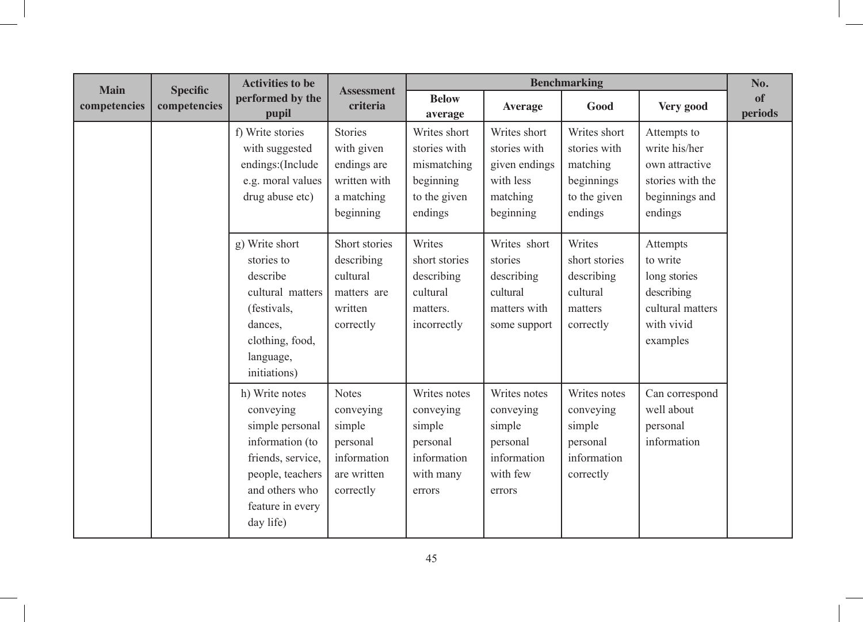| <b>Main</b>  | <b>Specific</b> | <b>Activities to be</b>                                                                                                                                       | <b>Assessment</b>                                                                          |                                                                                       |                                                                                      | <b>Benchmarking</b>                                                               |                                                                                                  | No.           |
|--------------|-----------------|---------------------------------------------------------------------------------------------------------------------------------------------------------------|--------------------------------------------------------------------------------------------|---------------------------------------------------------------------------------------|--------------------------------------------------------------------------------------|-----------------------------------------------------------------------------------|--------------------------------------------------------------------------------------------------|---------------|
| competencies | competencies    | performed by the<br>pupil                                                                                                                                     | criteria                                                                                   | <b>Below</b><br>average                                                               | <b>Average</b>                                                                       | Good                                                                              | Very good                                                                                        | of<br>periods |
|              |                 | f) Write stories<br>with suggested<br>endings: (Include<br>e.g. moral values<br>drug abuse etc)                                                               | <b>Stories</b><br>with given<br>endings are<br>written with<br>a matching<br>beginning     | Writes short<br>stories with<br>mismatching<br>beginning<br>to the given<br>endings   | Writes short<br>stories with<br>given endings<br>with less<br>matching<br>beginning  | Writes short<br>stories with<br>matching<br>beginnings<br>to the given<br>endings | Attempts to<br>write his/her<br>own attractive<br>stories with the<br>beginnings and<br>endings  |               |
|              |                 | g) Write short<br>stories to<br>describe<br>cultural matters<br>(festivals,<br>dances,<br>clothing, food,<br>language,<br>initiations)                        | Short stories<br>describing<br>cultural<br>matters are<br>written<br>correctly             | Writes<br>short stories<br>describing<br>cultural<br>matters.<br>incorrectly          | Writes short<br>stories<br>describing<br>cultural<br>matters with<br>some support    | Writes<br>short stories<br>describing<br>cultural<br>matters<br>correctly         | Attempts<br>to write<br>long stories<br>describing<br>cultural matters<br>with vivid<br>examples |               |
|              |                 | h) Write notes<br>conveying<br>simple personal<br>information (to<br>friends, service,<br>people, teachers<br>and others who<br>feature in every<br>day life) | <b>Notes</b><br>conveying<br>simple<br>personal<br>information<br>are written<br>correctly | Writes notes<br>conveying<br>simple<br>personal<br>information<br>with many<br>errors | Writes notes<br>conveying<br>simple<br>personal<br>information<br>with few<br>errors | Writes notes<br>conveying<br>simple<br>personal<br>information<br>correctly       | Can correspond<br>well about<br>personal<br>information                                          |               |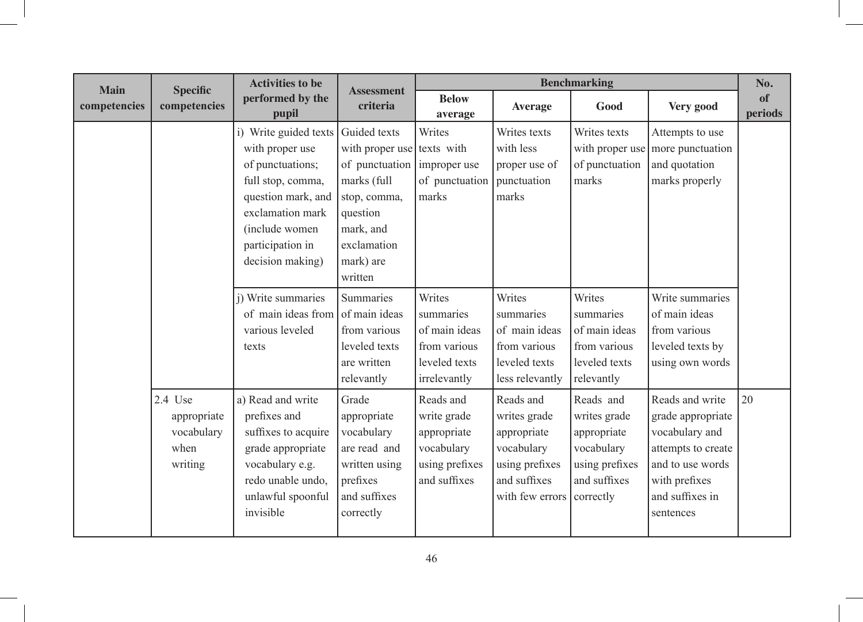| <b>Main</b>  | <b>Specific</b>                                         | <b>Activities to be</b>                                                                                                                                                                | <b>Assessment</b>                                                                                                                                                        |                                                                                         |                                                                                                                       | <b>Benchmarking</b>                                                                      |                                                                                                                                                   | No.           |
|--------------|---------------------------------------------------------|----------------------------------------------------------------------------------------------------------------------------------------------------------------------------------------|--------------------------------------------------------------------------------------------------------------------------------------------------------------------------|-----------------------------------------------------------------------------------------|-----------------------------------------------------------------------------------------------------------------------|------------------------------------------------------------------------------------------|---------------------------------------------------------------------------------------------------------------------------------------------------|---------------|
| competencies | competencies                                            | performed by the<br>pupil                                                                                                                                                              | criteria                                                                                                                                                                 | <b>Below</b><br>average                                                                 | <b>Average</b>                                                                                                        | Good                                                                                     | Very good                                                                                                                                         | of<br>periods |
|              |                                                         | i) Write guided texts<br>with proper use<br>of punctuations;<br>full stop, comma,<br>question mark, and<br>exclamation mark<br>(include women)<br>participation in<br>decision making) | Guided texts<br>with proper use texts with<br>of punctuation improper use<br>marks (full<br>stop, comma,<br>question<br>mark, and<br>exclamation<br>mark) are<br>written | Writes<br>of punctuation<br>marks                                                       | Writes texts<br>with less<br>proper use of<br>punctuation<br>marks                                                    | Writes texts<br>with proper use<br>of punctuation<br>marks                               | Attempts to use<br>more punctuation<br>and quotation<br>marks properly                                                                            |               |
|              |                                                         | i) Write summaries<br>of main ideas from<br>various leveled<br>texts                                                                                                                   | <b>Summaries</b><br>of main ideas<br>from various<br>leveled texts<br>are written<br>relevantly                                                                          | Writes<br>summaries<br>of main ideas<br>from various<br>leveled texts<br>irrelevantly   | Writes<br>summaries<br>of main ideas<br>from various<br>leveled texts<br>less relevantly                              | Writes<br>summaries<br>of main ideas<br>from various<br>leveled texts<br>relevantly      | Write summaries<br>of main ideas<br>from various<br>leveled texts by<br>using own words                                                           |               |
|              | 2.4 Use<br>appropriate<br>vocabulary<br>when<br>writing | a) Read and write<br>prefixes and<br>suffixes to acquire<br>grade appropriate<br>vocabulary e.g.<br>redo unable undo,<br>unlawful spoonful<br>invisible                                | Grade<br>appropriate<br>vocabulary<br>are read and<br>written using<br>prefixes<br>and suffixes<br>correctly                                                             | Reads and<br>write grade<br>appropriate<br>vocabulary<br>using prefixes<br>and suffixes | Reads and<br>writes grade<br>appropriate<br>vocabulary<br>using prefixes<br>and suffixes<br>with few errors correctly | Reads and<br>writes grade<br>appropriate<br>vocabulary<br>using prefixes<br>and suffixes | Reads and write<br>grade appropriate<br>vocabulary and<br>attempts to create<br>and to use words<br>with prefixes<br>and suffixes in<br>sentences | 20            |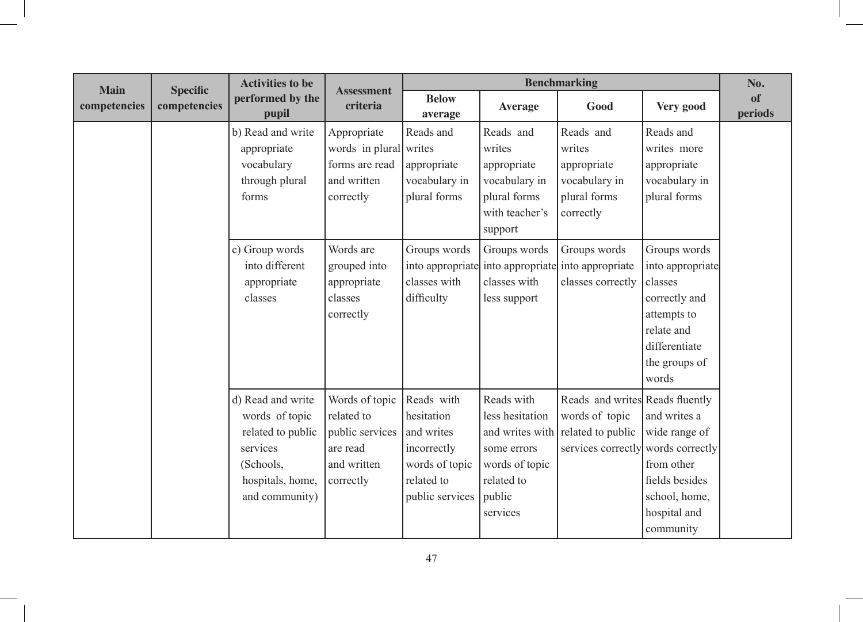| <b>Main</b>  | <b>Specific</b> | <b>Activities to be</b>                                                                                                 | <b>Assessment</b>                                                                       |                                                                                                          |                                                                                                                       | <b>Benchmarking</b>                                                                          |                                                                                                                                      | No.           |
|--------------|-----------------|-------------------------------------------------------------------------------------------------------------------------|-----------------------------------------------------------------------------------------|----------------------------------------------------------------------------------------------------------|-----------------------------------------------------------------------------------------------------------------------|----------------------------------------------------------------------------------------------|--------------------------------------------------------------------------------------------------------------------------------------|---------------|
| competencies | competencies    | performed by the<br>pupil                                                                                               | criteria                                                                                | <b>Below</b><br>average                                                                                  | <b>Average</b>                                                                                                        | Good                                                                                         | Very good                                                                                                                            | of<br>periods |
|              |                 | b) Read and write<br>appropriate<br>vocabulary<br>through plural<br>forms                                               | Appropriate<br>words in plural writes<br>forms are read<br>and written<br>correctly     | Reads and<br>appropriate<br>vocabulary in<br>plural forms                                                | Reads and<br>writes<br>appropriate<br>vocabulary in<br>plural forms<br>with teacher's<br>support                      | Reads and<br>writes<br>appropriate<br>vocabulary in<br>plural forms<br>correctly             | Reads and<br>writes more<br>appropriate<br>vocabulary in<br>plural forms                                                             |               |
|              |                 | c) Group words<br>into different<br>appropriate<br>classes                                                              | Words are<br>grouped into<br>appropriate<br>classes<br>correctly                        | Groups words<br>classes with<br>difficulty                                                               | Groups words<br>classes with<br>less support                                                                          | Groups words<br>into appropriate into appropriate into appropriate<br>classes correctly      | Groups words<br>into appropriate<br>classes<br>correctly and<br>attempts to<br>relate and<br>differentiate<br>the groups of<br>words |               |
|              |                 | d) Read and write<br>words of topic<br>related to public<br>services<br>(Schools,<br>hospitals, home,<br>and community) | Words of topic<br>related to<br>public services<br>are read<br>and written<br>correctly | Reads with<br>hesitation<br>and writes<br>incorrectly<br>words of topic<br>related to<br>public services | Reads with<br>less hesitation<br>and writes with<br>some errors<br>words of topic<br>related to<br>public<br>services | Reads and writes Reads fluently<br>words of topic<br>related to public<br>services correctly | and writes a<br>wide range of<br>words correctly<br>from other<br>fields besides<br>school, home,<br>hospital and<br>community       |               |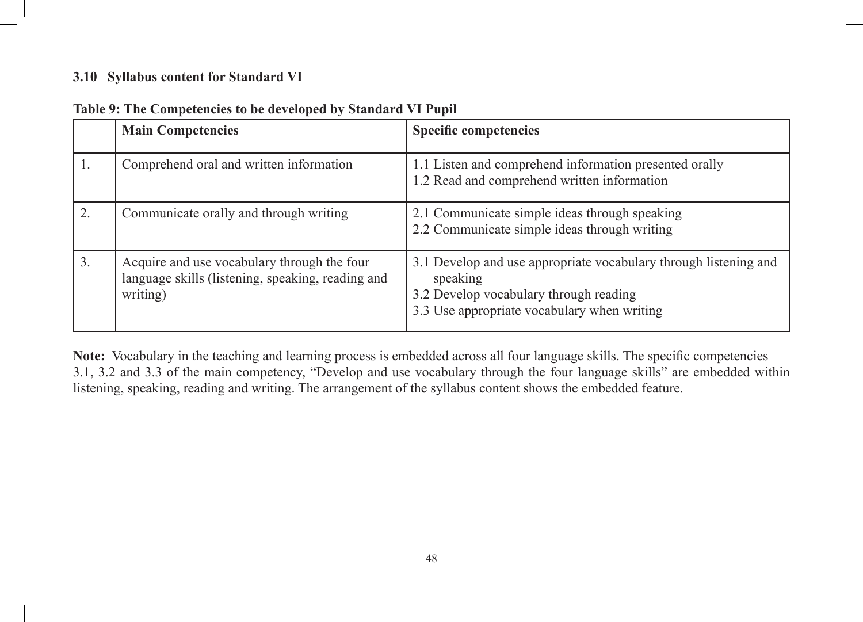## **3.10 Syllabus content for Standard VI**

|    | <b>Main Competencies</b>                                                                                     | <b>Specific competencies</b>                                                                                                                                          |
|----|--------------------------------------------------------------------------------------------------------------|-----------------------------------------------------------------------------------------------------------------------------------------------------------------------|
| 1. | Comprehend oral and written information                                                                      | 1.1 Listen and comprehend information presented orally<br>1.2 Read and comprehend written information                                                                 |
| 2. | Communicate orally and through writing                                                                       | 2.1 Communicate simple ideas through speaking<br>2.2 Communicate simple ideas through writing                                                                         |
| 3. | Acquire and use vocabulary through the four<br>language skills (listening, speaking, reading and<br>writing) | 3.1 Develop and use appropriate vocabulary through listening and<br>speaking<br>3.2 Develop vocabulary through reading<br>3.3 Use appropriate vocabulary when writing |

| Table 9: The Competencies to be developed by Standard VI Pupil |
|----------------------------------------------------------------|
|----------------------------------------------------------------|

**Note:** Vocabulary in the teaching and learning process is embedded across all four language skills. The specific competencies 3.1, 3.2 and 3.3 of the main competency, "Develop and use vocabulary through the four language skills" are embedded within listening, speaking, reading and writing. The arrangement of the syllabus content shows the embedded feature.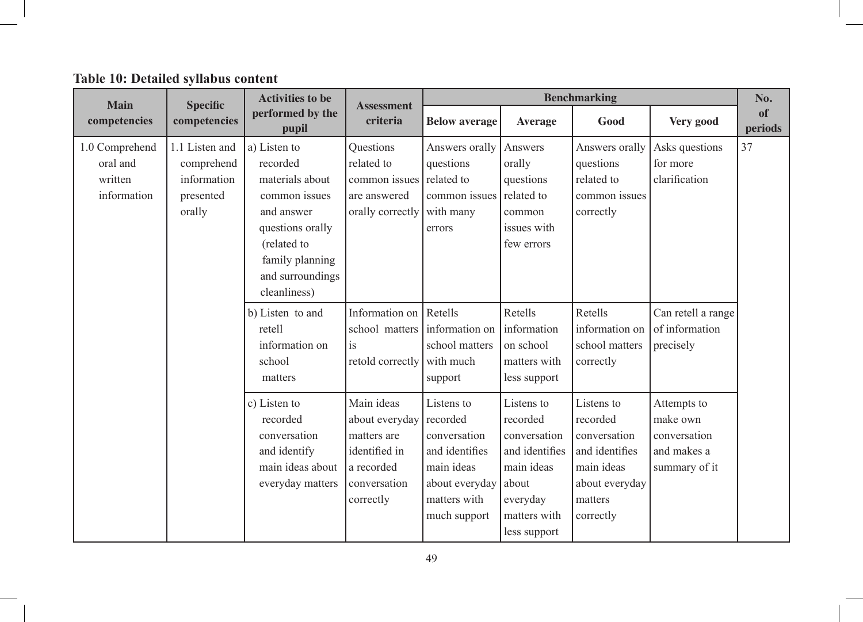# **Table 10: Detailed syllabus content**

| Main                                                 | <b>Specific</b>                                                    | <b>Activities to be</b>                                                                                                                                              | <b>Assessment</b>                                                                                       |                                                                                                                          |                                                                                                                             | <b>Benchmarking</b>                                                                                              |                                                                         | No.           |
|------------------------------------------------------|--------------------------------------------------------------------|----------------------------------------------------------------------------------------------------------------------------------------------------------------------|---------------------------------------------------------------------------------------------------------|--------------------------------------------------------------------------------------------------------------------------|-----------------------------------------------------------------------------------------------------------------------------|------------------------------------------------------------------------------------------------------------------|-------------------------------------------------------------------------|---------------|
| competencies                                         | competencies                                                       | performed by the<br>pupil                                                                                                                                            | criteria                                                                                                | <b>Below average</b>                                                                                                     | Average                                                                                                                     | Good                                                                                                             | Very good                                                               | of<br>periods |
| 1.0 Comprehend<br>oral and<br>written<br>information | 1.1 Listen and<br>comprehend<br>information<br>presented<br>orally | a) Listen to<br>recorded<br>materials about<br>common issues<br>and answer<br>questions orally<br>(related to<br>family planning<br>and surroundings<br>cleanliness) | Questions<br>related to<br>common issues<br>are answered<br>orally correctly                            | Answers orally<br>questions<br>related to<br>common issues<br>with many<br>errors                                        | Answers<br>orally<br>questions<br>related to<br>common<br>issues with<br>few errors                                         | Answers orally<br>questions<br>related to<br>common issues<br>correctly                                          | Asks questions<br>for more<br>clarification                             | 37            |
|                                                      |                                                                    | b) Listen to and<br>retell<br>information on<br>school<br>matters                                                                                                    | Information on<br>school matters<br>is<br>retold correctly                                              | Retells<br>information on<br>school matters<br>with much<br>support                                                      | Retells<br>information<br>on school<br>matters with<br>less support                                                         | Retells<br>information on<br>school matters<br>correctly                                                         | Can retell a range<br>of information<br>precisely                       |               |
|                                                      |                                                                    | c) Listen to<br>recorded<br>conversation<br>and identify<br>main ideas about<br>everyday matters                                                                     | Main ideas<br>about everyday<br>matters are<br>identified in<br>a recorded<br>conversation<br>correctly | Listens to<br>recorded<br>conversation<br>and identifies<br>main ideas<br>about everyday<br>matters with<br>much support | Listens to<br>recorded<br>conversation<br>and identifies<br>main ideas<br>about<br>everyday<br>matters with<br>less support | Listens to<br>recorded<br>conversation<br>and identifies<br>main ideas<br>about everyday<br>matters<br>correctly | Attempts to<br>make own<br>conversation<br>and makes a<br>summary of it |               |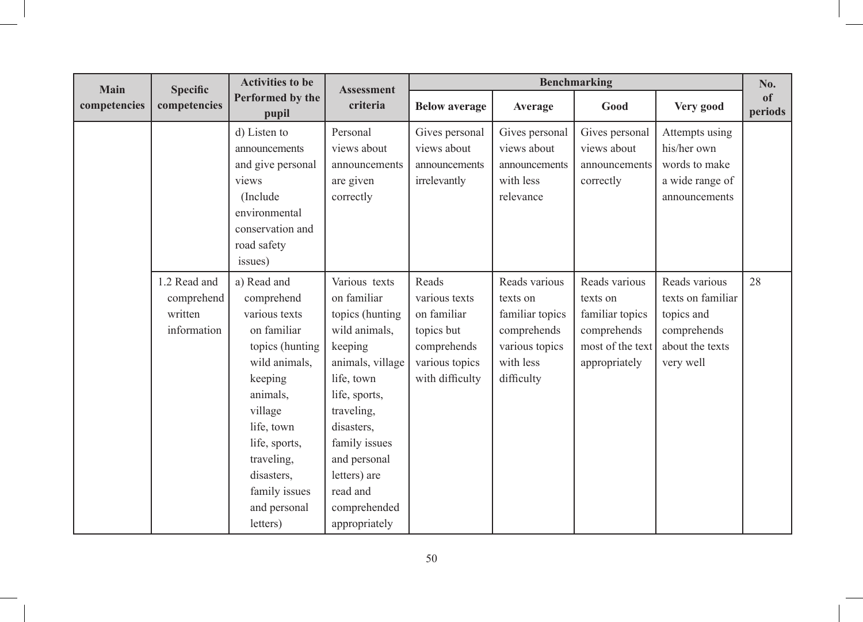| Main         | <b>Specific</b>                                      | <b>Activities to be</b>                                                                                                                                                                                                                 | <b>Assessment</b>                                                                                                                                                                                                                                        |                                                                                                         |                                                                                                          | <b>Benchmarking</b>                                                                              |                                                                                                 | No.           |
|--------------|------------------------------------------------------|-----------------------------------------------------------------------------------------------------------------------------------------------------------------------------------------------------------------------------------------|----------------------------------------------------------------------------------------------------------------------------------------------------------------------------------------------------------------------------------------------------------|---------------------------------------------------------------------------------------------------------|----------------------------------------------------------------------------------------------------------|--------------------------------------------------------------------------------------------------|-------------------------------------------------------------------------------------------------|---------------|
| competencies | competencies                                         | Performed by the<br>pupil                                                                                                                                                                                                               | criteria                                                                                                                                                                                                                                                 | <b>Below average</b>                                                                                    | Average                                                                                                  | Good                                                                                             | Very good                                                                                       | of<br>periods |
|              |                                                      | d) Listen to<br>announcements<br>and give personal<br>views<br>(Include)<br>environmental<br>conservation and<br>road safety<br>issues)                                                                                                 | Personal<br>views about<br>announcements<br>are given<br>correctly                                                                                                                                                                                       | Gives personal<br>views about<br>announcements<br>irrelevantly                                          | Gives personal<br>views about<br>announcements<br>with less<br>relevance                                 | Gives personal<br>views about<br>announcements<br>correctly                                      | Attempts using<br>his/her own<br>words to make<br>a wide range of<br>announcements              |               |
|              | 1.2 Read and<br>comprehend<br>written<br>information | a) Read and<br>comprehend<br>various texts<br>on familiar<br>topics (hunting<br>wild animals,<br>keeping<br>animals,<br>village<br>life, town<br>life, sports,<br>traveling,<br>disasters.<br>family issues<br>and personal<br>letters) | Various texts<br>on familiar<br>topics (hunting<br>wild animals,<br>keeping<br>animals, village<br>life, town<br>life, sports,<br>traveling,<br>disasters,<br>family issues<br>and personal<br>letters) are<br>read and<br>comprehended<br>appropriately | Reads<br>various texts<br>on familiar<br>topics but<br>comprehends<br>various topics<br>with difficulty | Reads various<br>texts on<br>familiar topics<br>comprehends<br>various topics<br>with less<br>difficulty | Reads various<br>texts on<br>familiar topics<br>comprehends<br>most of the text<br>appropriately | Reads various<br>texts on familiar<br>topics and<br>comprehends<br>about the texts<br>very well | 28            |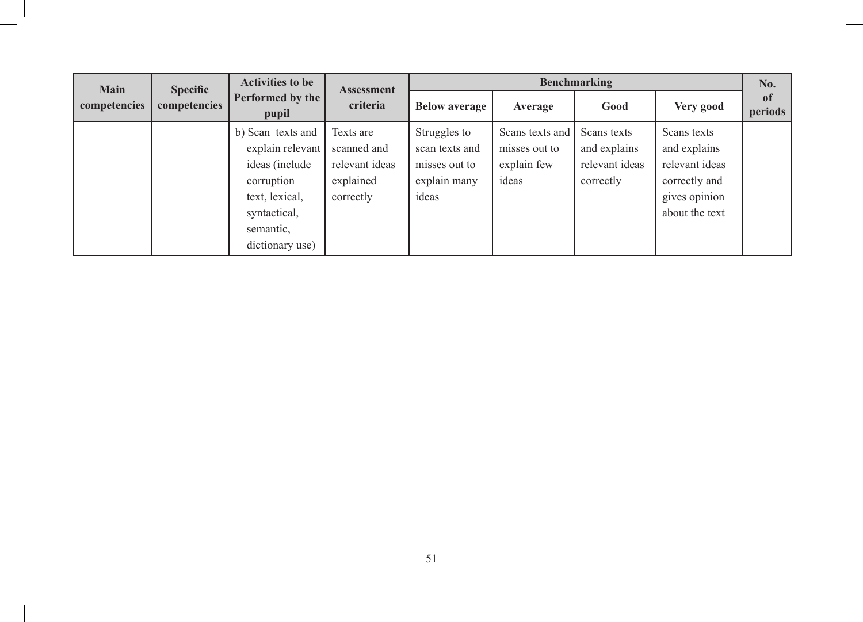| <b>Main</b><br><b>Specific</b> |              | <b>Activities to be</b>                                                                                                                  | <b>Assessment</b>                                                    | <b>Benchmarking</b>                                                      |                                                          |                                                            |                                                                                                   |                          |
|--------------------------------|--------------|------------------------------------------------------------------------------------------------------------------------------------------|----------------------------------------------------------------------|--------------------------------------------------------------------------|----------------------------------------------------------|------------------------------------------------------------|---------------------------------------------------------------------------------------------------|--------------------------|
| competencies                   | competencies | Performed by the<br>pupil                                                                                                                | criteria                                                             | <b>Below average</b>                                                     | Average                                                  | Good                                                       | Very good                                                                                         | <sub>of</sub><br>periods |
|                                |              | b) Scan texts and<br>explain relevant<br>ideas (include)<br>corruption<br>text, lexical,<br>syntactical,<br>semantic,<br>dictionary use) | Texts are<br>scanned and<br>relevant ideas<br>explained<br>correctly | Struggles to<br>scan texts and<br>misses out to<br>explain many<br>ideas | Scans texts and<br>misses out to<br>explain few<br>ideas | Scans texts<br>and explains<br>relevant ideas<br>correctly | Scans texts<br>and explains<br>relevant ideas<br>correctly and<br>gives opinion<br>about the text |                          |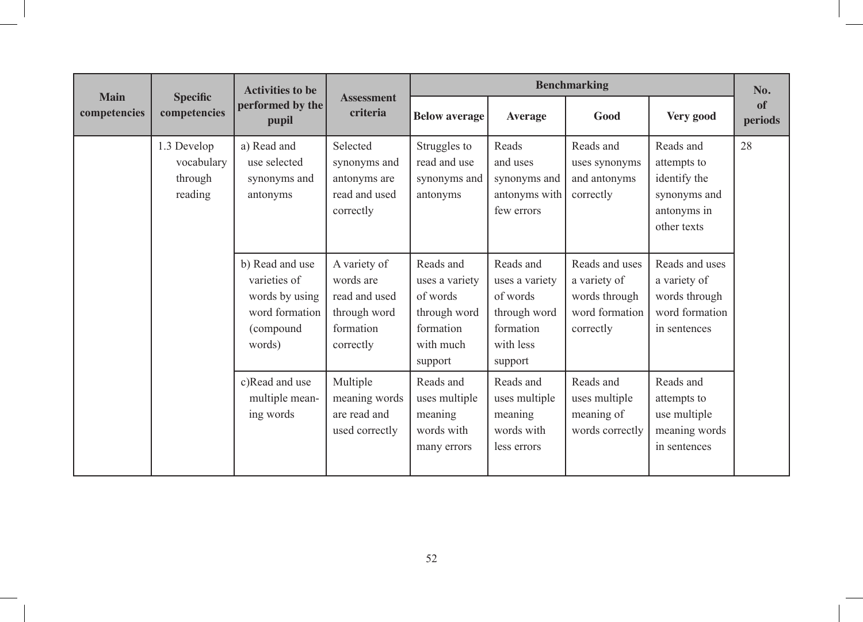|                             |                                                 | <b>Activities to be</b>                                                                    |                                                                                      |                                                                                              | <b>Benchmarking</b>                                                                          |                                                                                |                                                                                        |               |  |
|-----------------------------|-------------------------------------------------|--------------------------------------------------------------------------------------------|--------------------------------------------------------------------------------------|----------------------------------------------------------------------------------------------|----------------------------------------------------------------------------------------------|--------------------------------------------------------------------------------|----------------------------------------------------------------------------------------|---------------|--|
| <b>Main</b><br>competencies | <b>Specific</b><br>competencies                 | performed by the<br>pupil                                                                  | <b>Assessment</b><br>criteria                                                        | <b>Below average</b>                                                                         | <b>Average</b>                                                                               | Good                                                                           | Very good                                                                              | of<br>periods |  |
|                             | 1.3 Develop<br>vocabulary<br>through<br>reading | a) Read and<br>use selected<br>synonyms and<br>antonyms                                    | Selected<br>synonyms and<br>antonyms are<br>read and used<br>correctly               | Struggles to<br>read and use<br>synonyms and<br>antonyms                                     | Reads<br>and uses<br>synonyms and<br>antonyms with<br>few errors                             | Reads and<br>uses synonyms<br>and antonyms<br>correctly                        | Reads and<br>attempts to<br>identify the<br>synonyms and<br>antonyms in<br>other texts | 28            |  |
|                             |                                                 | b) Read and use<br>varieties of<br>words by using<br>word formation<br>(compound<br>words) | A variety of<br>words are<br>read and used<br>through word<br>formation<br>correctly | Reads and<br>uses a variety<br>of words<br>through word<br>formation<br>with much<br>support | Reads and<br>uses a variety<br>of words<br>through word<br>formation<br>with less<br>support | Reads and uses<br>a variety of<br>words through<br>word formation<br>correctly | Reads and uses<br>a variety of<br>words through<br>word formation<br>in sentences      |               |  |
|                             |                                                 | c)Read and use<br>multiple mean-<br>ing words                                              | Multiple<br>meaning words<br>are read and<br>used correctly                          | Reads and<br>uses multiple<br>meaning<br>words with<br>many errors                           | Reads and<br>uses multiple<br>meaning<br>words with<br>less errors                           | Reads and<br>uses multiple<br>meaning of<br>words correctly                    | Reads and<br>attempts to<br>use multiple<br>meaning words<br>in sentences              |               |  |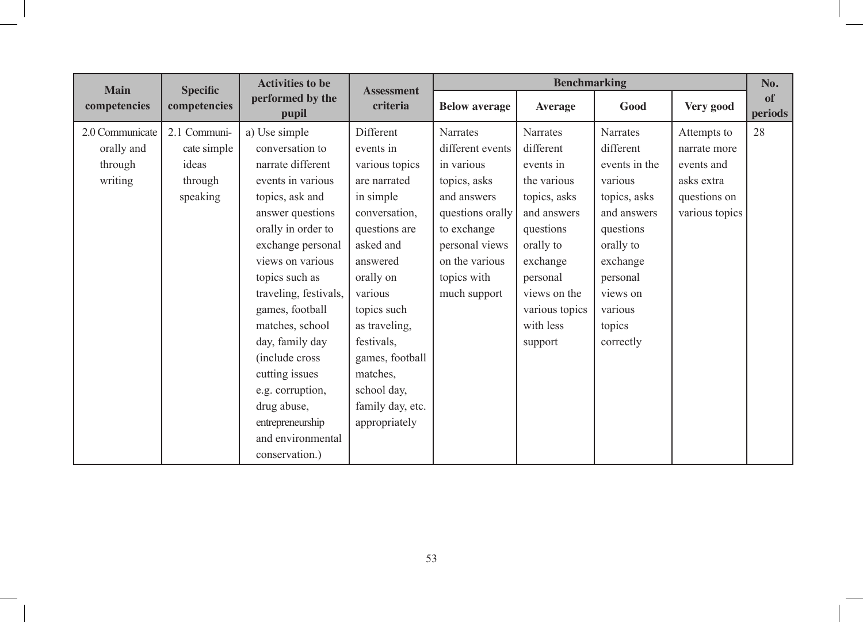| <b>Main</b>     | <b>Specific</b> | <b>Activities to be</b>   | <b>Assessment</b> |                      | <b>Benchmarking</b> |                 |                | No.           |
|-----------------|-----------------|---------------------------|-------------------|----------------------|---------------------|-----------------|----------------|---------------|
| competencies    | competencies    | performed by the<br>pupil | criteria          | <b>Below average</b> | <b>Average</b>      | Good            | Very good      | of<br>periods |
| 2.0 Communicate | 2.1 Communi-    | a) Use simple             | Different         | <b>Narrates</b>      | Narrates            | <b>Narrates</b> | Attempts to    | 28            |
| orally and      | cate simple     | conversation to           | events in         | different events     | different           | different       | narrate more   |               |
| through         | ideas           | narrate different         | various topics    | in various           | events in           | events in the   | events and     |               |
| writing         | through         | events in various         | are narrated      | topics, asks         | the various         | various         | asks extra     |               |
|                 | speaking        | topics, ask and           | in simple         | and answers          | topics, asks        | topics, asks    | questions on   |               |
|                 |                 | answer questions          | conversation,     | questions orally     | and answers         | and answers     | various topics |               |
|                 |                 | orally in order to        | questions are     | to exchange          | questions           | questions       |                |               |
|                 |                 | exchange personal         | asked and         | personal views       | orally to           | orally to       |                |               |
|                 |                 | views on various          | answered          | on the various       | exchange            | exchange        |                |               |
|                 |                 | topics such as            | orally on         | topics with          | personal            | personal        |                |               |
|                 |                 | traveling, festivals,     | various           | much support         | views on the        | views on        |                |               |
|                 |                 | games, football           | topics such       |                      | various topics      | various         |                |               |
|                 |                 | matches, school           | as traveling,     |                      | with less           | topics          |                |               |
|                 |                 | day, family day           | festivals,        |                      | support             | correctly       |                |               |
|                 |                 | (include cross)           | games, football   |                      |                     |                 |                |               |
|                 |                 | cutting issues            | matches,          |                      |                     |                 |                |               |
|                 |                 | e.g. corruption,          | school day,       |                      |                     |                 |                |               |
|                 |                 | drug abuse,               | family day, etc.  |                      |                     |                 |                |               |
|                 |                 | entrepreneurship          | appropriately     |                      |                     |                 |                |               |
|                 |                 | and environmental         |                   |                      |                     |                 |                |               |
|                 |                 | conservation.)            |                   |                      |                     |                 |                |               |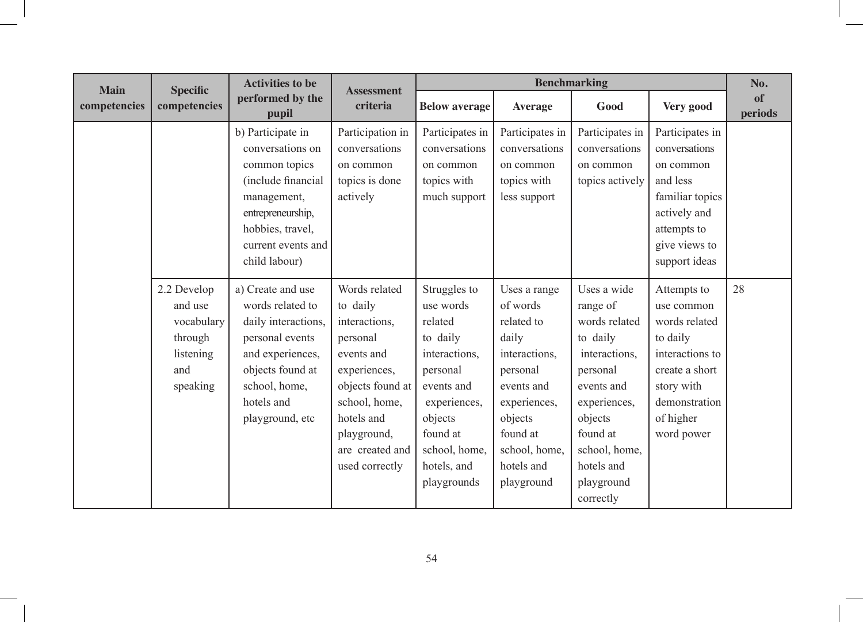| <b>Main</b>  | <b>Specific</b>                                                                 | <b>Activities to be</b>                                                                                                                                                     | <b>Assessment</b>                                                                                                                                                                           |                                                                                                                                                                                   |                                                                                                                                                                                | <b>Benchmarking</b>                                                                                                                                                                              |                                                                                                                                                       | No.           |
|--------------|---------------------------------------------------------------------------------|-----------------------------------------------------------------------------------------------------------------------------------------------------------------------------|---------------------------------------------------------------------------------------------------------------------------------------------------------------------------------------------|-----------------------------------------------------------------------------------------------------------------------------------------------------------------------------------|--------------------------------------------------------------------------------------------------------------------------------------------------------------------------------|--------------------------------------------------------------------------------------------------------------------------------------------------------------------------------------------------|-------------------------------------------------------------------------------------------------------------------------------------------------------|---------------|
| competencies | competencies                                                                    | performed by the<br>pupil                                                                                                                                                   | criteria                                                                                                                                                                                    | <b>Below average</b>                                                                                                                                                              | <b>Average</b>                                                                                                                                                                 | Good                                                                                                                                                                                             | Very good                                                                                                                                             | of<br>periods |
|              |                                                                                 | b) Participate in<br>conversations on<br>common topics<br>(include financial<br>management,<br>entrepreneurship,<br>hobbies, travel,<br>current events and<br>child labour) | Participation in<br>conversations<br>on common<br>topics is done<br>actively                                                                                                                | Participates in<br>conversations<br>on common<br>topics with<br>much support                                                                                                      | Participates in<br>conversations<br>on common<br>topics with<br>less support                                                                                                   | Participates in<br>conversations<br>on common<br>topics actively                                                                                                                                 | Participates in<br>conversations<br>on common<br>and less<br>familiar topics<br>actively and<br>attempts to<br>give views to<br>support ideas         |               |
|              | 2.2 Develop<br>and use<br>vocabulary<br>through<br>listening<br>and<br>speaking | a) Create and use<br>words related to<br>daily interactions,<br>personal events<br>and experiences,<br>objects found at<br>school, home,<br>hotels and<br>playground, etc   | Words related<br>to daily<br>interactions,<br>personal<br>events and<br>experiences,<br>objects found at<br>school, home,<br>hotels and<br>playground,<br>are created and<br>used correctly | Struggles to<br>use words<br>related<br>to daily<br>interactions,<br>personal<br>events and<br>experiences,<br>objects<br>found at<br>school, home,<br>hotels, and<br>playgrounds | Uses a range<br>of words<br>related to<br>daily<br>interactions.<br>personal<br>events and<br>experiences,<br>objects<br>found at<br>school, home,<br>hotels and<br>playground | Uses a wide<br>range of<br>words related<br>to daily<br>interactions,<br>personal<br>events and<br>experiences,<br>objects<br>found at<br>school, home,<br>hotels and<br>playground<br>correctly | Attempts to<br>use common<br>words related<br>to daily<br>interactions to<br>create a short<br>story with<br>demonstration<br>of higher<br>word power | 28            |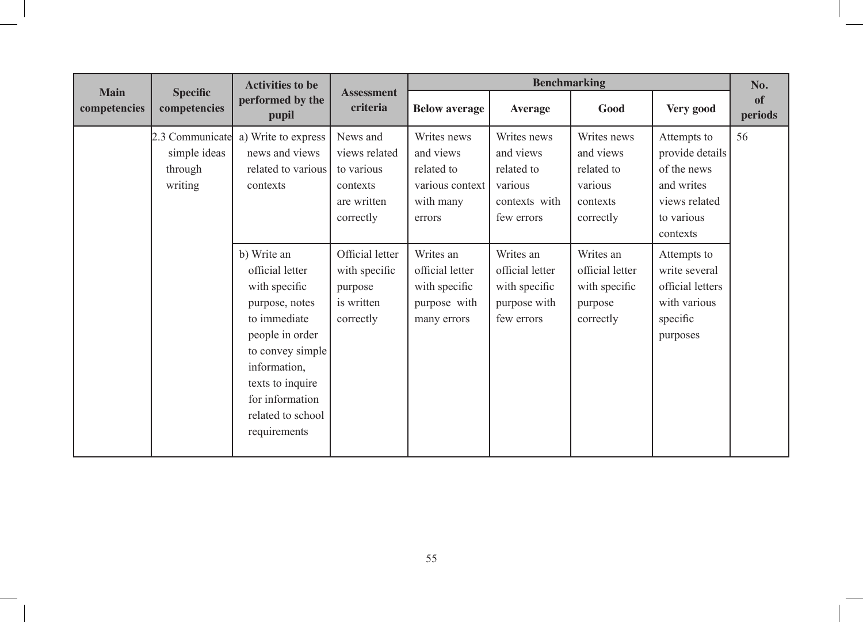|                             | <b>Benchmarking</b><br><b>Activities to be</b><br><b>Assessment</b> |                                                                                                                                                                                                                      | No.                                                                             |                                                                                  |                                                                                  |                                                                            |                                                                                                        |               |
|-----------------------------|---------------------------------------------------------------------|----------------------------------------------------------------------------------------------------------------------------------------------------------------------------------------------------------------------|---------------------------------------------------------------------------------|----------------------------------------------------------------------------------|----------------------------------------------------------------------------------|----------------------------------------------------------------------------|--------------------------------------------------------------------------------------------------------|---------------|
| <b>Main</b><br>competencies | <b>Specific</b><br>competencies                                     | performed by the<br>pupil                                                                                                                                                                                            | criteria                                                                        | <b>Below average</b>                                                             | <b>Average</b>                                                                   | Good                                                                       | Very good                                                                                              | of<br>periods |
|                             | 2.3 Communicate<br>simple ideas<br>through<br>writing               | a) Write to express<br>news and views<br>related to various<br>contexts                                                                                                                                              | News and<br>views related<br>to various<br>contexts<br>are written<br>correctly | Writes news<br>and views<br>related to<br>various context<br>with many<br>errors | Writes news<br>and views<br>related to<br>various<br>contexts with<br>few errors | Writes news<br>and views<br>related to<br>various<br>contexts<br>correctly | Attempts to<br>provide details<br>of the news<br>and writes<br>views related<br>to various<br>contexts | 56            |
|                             |                                                                     | b) Write an<br>official letter<br>with specific<br>purpose, notes<br>to immediate<br>people in order<br>to convey simple<br>information,<br>texts to inquire<br>for information<br>related to school<br>requirements | Official letter<br>with specific<br>purpose<br>is written<br>correctly          | Writes an<br>official letter<br>with specific<br>purpose with<br>many errors     | Writes an<br>official letter<br>with specific<br>purpose with<br>few errors      | Writes an<br>official letter<br>with specific<br>purpose<br>correctly      | Attempts to<br>write several<br>official letters<br>with various<br>specific<br>purposes               |               |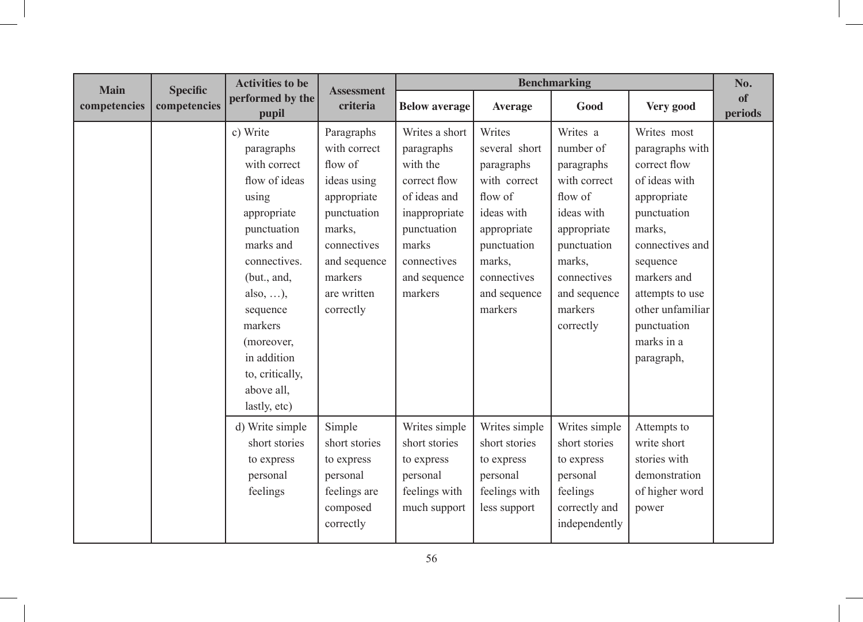| <b>Main</b>  | <b>Specific</b> | <b>Activities to be</b>                                                                                                                                                                                                                                             | <b>Assessment</b>                                                                                                                                                  | <b>Benchmarking</b>                                                                                                                                         |                                                                                                                                                                  |                                                                                                                                                                             |                                                                                                                                                                                                                                         | No.           |
|--------------|-----------------|---------------------------------------------------------------------------------------------------------------------------------------------------------------------------------------------------------------------------------------------------------------------|--------------------------------------------------------------------------------------------------------------------------------------------------------------------|-------------------------------------------------------------------------------------------------------------------------------------------------------------|------------------------------------------------------------------------------------------------------------------------------------------------------------------|-----------------------------------------------------------------------------------------------------------------------------------------------------------------------------|-----------------------------------------------------------------------------------------------------------------------------------------------------------------------------------------------------------------------------------------|---------------|
| competencies | competencies    | performed by the<br>pupil                                                                                                                                                                                                                                           | criteria                                                                                                                                                           | <b>Below average</b>                                                                                                                                        | <b>Average</b>                                                                                                                                                   | Good                                                                                                                                                                        | Very good                                                                                                                                                                                                                               | of<br>periods |
|              |                 | c) Write<br>paragraphs<br>with correct<br>flow of ideas<br>using<br>appropriate<br>punctuation<br>marks and<br>connectives.<br>(but., and,<br>also, $\dots$ ),<br>sequence<br>markers<br>(moreover,<br>in addition<br>to, critically,<br>above all.<br>lastly, etc) | Paragraphs<br>with correct<br>flow of<br>ideas using<br>appropriate<br>punctuation<br>marks,<br>connectives<br>and sequence<br>markers<br>are written<br>correctly | Writes a short<br>paragraphs<br>with the<br>correct flow<br>of ideas and<br>inappropriate<br>punctuation<br>marks<br>connectives<br>and sequence<br>markers | Writes<br>several short<br>paragraphs<br>with correct<br>flow of<br>ideas with<br>appropriate<br>punctuation<br>marks,<br>connectives<br>and sequence<br>markers | Writes a<br>number of<br>paragraphs<br>with correct<br>flow of<br>ideas with<br>appropriate<br>punctuation<br>marks,<br>connectives<br>and sequence<br>markers<br>correctly | Writes most<br>paragraphs with<br>correct flow<br>of ideas with<br>appropriate<br>punctuation<br>marks.<br>connectives and<br>sequence<br>markers and<br>attempts to use<br>other unfamiliar<br>punctuation<br>marks in a<br>paragraph, |               |
|              |                 | d) Write simple<br>short stories<br>to express<br>personal<br>feelings                                                                                                                                                                                              | Simple<br>short stories<br>to express<br>personal<br>feelings are<br>composed<br>correctly                                                                         | Writes simple<br>short stories<br>to express<br>personal<br>feelings with<br>much support                                                                   | Writes simple<br>short stories<br>to express<br>personal<br>feelings with<br>less support                                                                        | Writes simple<br>short stories<br>to express<br>personal<br>feelings<br>correctly and<br>independently                                                                      | Attempts to<br>write short<br>stories with<br>demonstration<br>of higher word<br>power                                                                                                                                                  |               |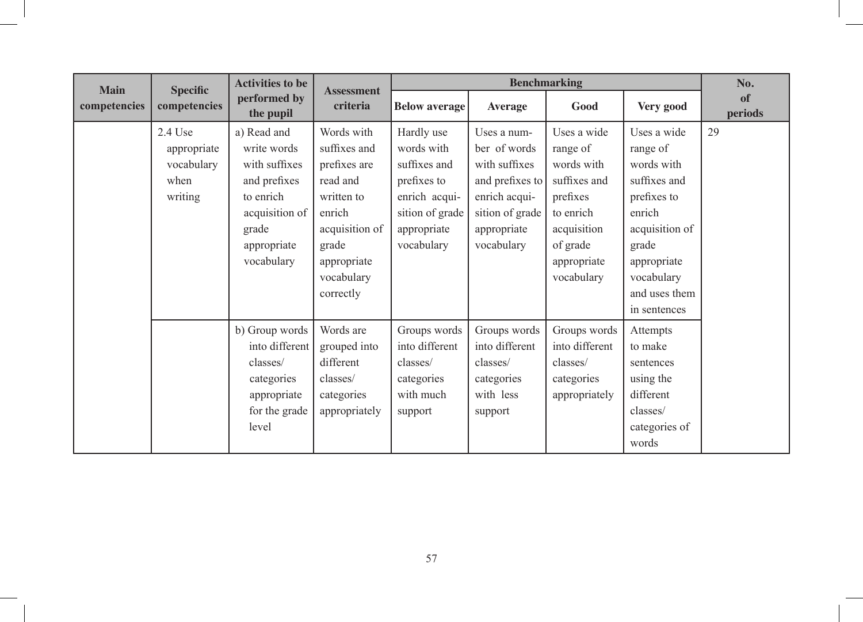| <b>Main</b>  | <b>Specific</b>                                           | <b>Activities to be</b>                                                                                                          | <b>Assessment</b>                                                                                                                                   |                                                                                                                          |                                                                                                                                  | <b>Benchmarking</b>                                                                                                                    |                                                                                                                                                                         | No.           |
|--------------|-----------------------------------------------------------|----------------------------------------------------------------------------------------------------------------------------------|-----------------------------------------------------------------------------------------------------------------------------------------------------|--------------------------------------------------------------------------------------------------------------------------|----------------------------------------------------------------------------------------------------------------------------------|----------------------------------------------------------------------------------------------------------------------------------------|-------------------------------------------------------------------------------------------------------------------------------------------------------------------------|---------------|
| competencies | competencies                                              | performed by<br>the pupil                                                                                                        | criteria                                                                                                                                            | <b>Below average</b>                                                                                                     | <b>Average</b>                                                                                                                   | Good                                                                                                                                   | Very good                                                                                                                                                               | of<br>periods |
|              | $2.4$ Use<br>appropriate<br>vocabulary<br>when<br>writing | a) Read and<br>write words<br>with suffixes<br>and prefixes<br>to enrich<br>acquisition of<br>grade<br>appropriate<br>vocabulary | Words with<br>suffixes and<br>prefixes are<br>read and<br>written to<br>enrich<br>acquisition of<br>grade<br>appropriate<br>vocabulary<br>correctly | Hardly use<br>words with<br>suffixes and<br>prefixes to<br>enrich acqui-<br>sition of grade<br>appropriate<br>vocabulary | Uses a num-<br>ber of words<br>with suffixes<br>and prefixes to<br>enrich acqui-<br>sition of grade<br>appropriate<br>vocabulary | Uses a wide<br>range of<br>words with<br>suffixes and<br>prefixes<br>to enrich<br>acquisition<br>of grade<br>appropriate<br>vocabulary | Uses a wide<br>range of<br>words with<br>suffixes and<br>prefixes to<br>enrich<br>acquisition of<br>grade<br>appropriate<br>vocabulary<br>and uses them<br>in sentences | 29            |
|              |                                                           | b) Group words<br>into different<br>classes/<br>categories<br>appropriate<br>for the grade<br>level                              | Words are<br>grouped into<br>different<br>classes/<br>categories<br>appropriately                                                                   | Groups words<br>into different<br>classes/<br>categories<br>with much<br>support                                         | Groups words<br>into different<br>classes/<br>categories<br>with less<br>support                                                 | Groups words<br>into different<br>classes/<br>categories<br>appropriately                                                              | Attempts<br>to make<br>sentences<br>using the<br>different<br>classes/<br>categories of<br>words                                                                        |               |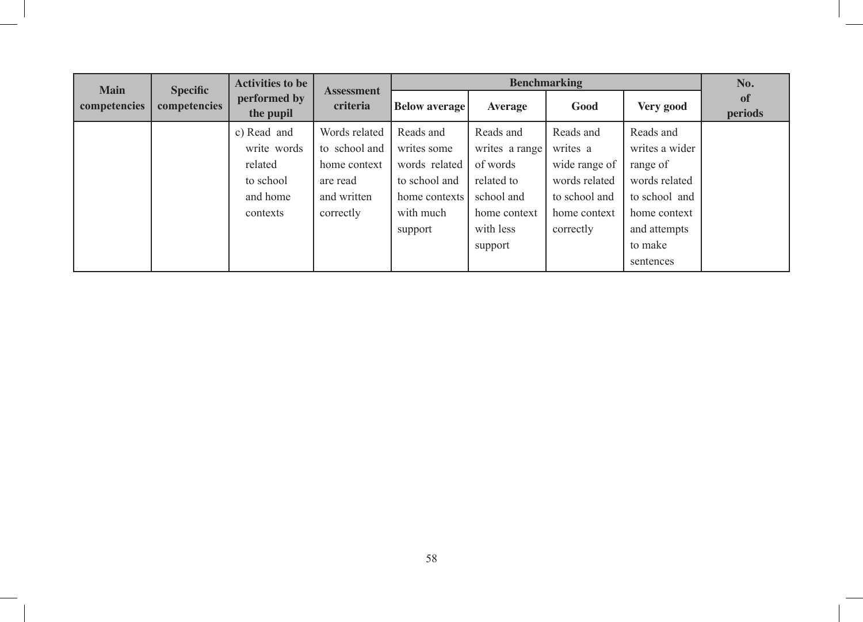| <b>Main</b>  | <b>Specific</b> | <b>Activities to be</b>                                                    | <b>Assessment</b>                                                                      |                                                                                                     |                                                                                                  | No.                                                                                                   |                                                                                                           |               |
|--------------|-----------------|----------------------------------------------------------------------------|----------------------------------------------------------------------------------------|-----------------------------------------------------------------------------------------------------|--------------------------------------------------------------------------------------------------|-------------------------------------------------------------------------------------------------------|-----------------------------------------------------------------------------------------------------------|---------------|
| competencies | competencies    | performed by<br>the pupil                                                  | criteria                                                                               | <b>Below average</b>                                                                                | Average                                                                                          | Good                                                                                                  | Very good                                                                                                 | of<br>periods |
|              |                 | c) Read and<br>write words<br>related<br>to school<br>and home<br>contexts | Words related<br>to school and<br>home context<br>are read<br>and written<br>correctly | Reads and<br>writes some<br>words related<br>to school and<br>home contexts<br>with much<br>support | Reads and<br>writes a range<br>of words<br>related to<br>school and<br>home context<br>with less | Reads and<br>writes a<br>wide range of<br>words related<br>to school and<br>home context<br>correctly | Reads and<br>writes a wider<br>range of<br>words related<br>to school and<br>home context<br>and attempts |               |
|              |                 |                                                                            |                                                                                        |                                                                                                     | support                                                                                          |                                                                                                       | to make<br>sentences                                                                                      |               |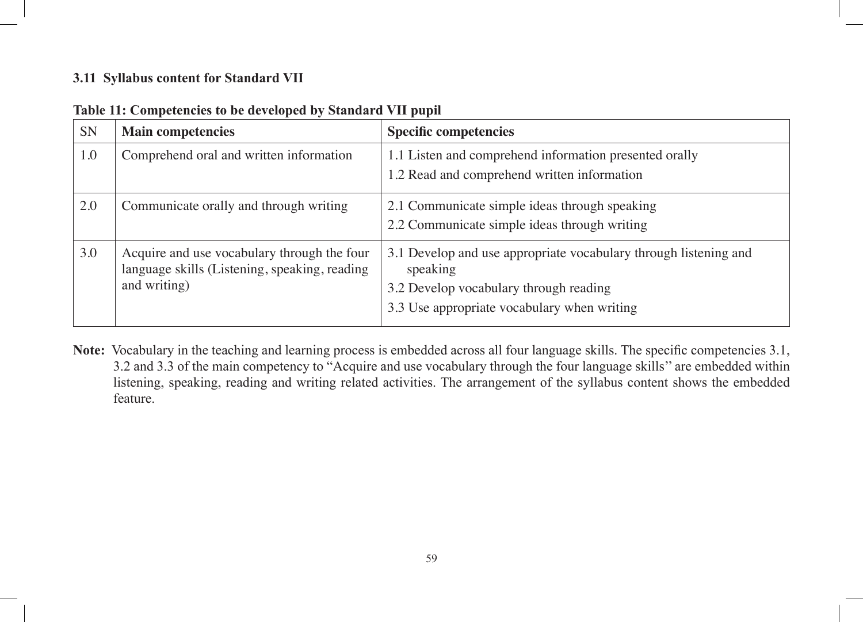### **3.11 Syllabus content for Standard VII**

| <b>SN</b> | <b>Main competencies</b>                                                                                     | <b>Specific competencies</b>                                                                                                                                          |
|-----------|--------------------------------------------------------------------------------------------------------------|-----------------------------------------------------------------------------------------------------------------------------------------------------------------------|
| 1.0       | Comprehend oral and written information                                                                      | 1.1 Listen and comprehend information presented orally<br>1.2 Read and comprehend written information                                                                 |
| 2.0       | Communicate orally and through writing                                                                       | 2.1 Communicate simple ideas through speaking<br>2.2 Communicate simple ideas through writing                                                                         |
| 3.0       | Acquire and use vocabulary through the four<br>language skills (Listening, speaking, reading<br>and writing) | 3.1 Develop and use appropriate vocabulary through listening and<br>speaking<br>3.2 Develop vocabulary through reading<br>3.3 Use appropriate vocabulary when writing |

| Table 11: Competencies to be developed by Standard VII pupil |  |  |  |  |  |
|--------------------------------------------------------------|--|--|--|--|--|
|--------------------------------------------------------------|--|--|--|--|--|

**Note:** Vocabulary in the teaching and learning process is embedded across all four language skills. The specific competencies 3.1, 3.2 and 3.3 of the main competency to "Acquire and use vocabulary through the four language skills'' are embedded within listening, speaking, reading and writing related activities. The arrangement of the syllabus content shows the embedded feature.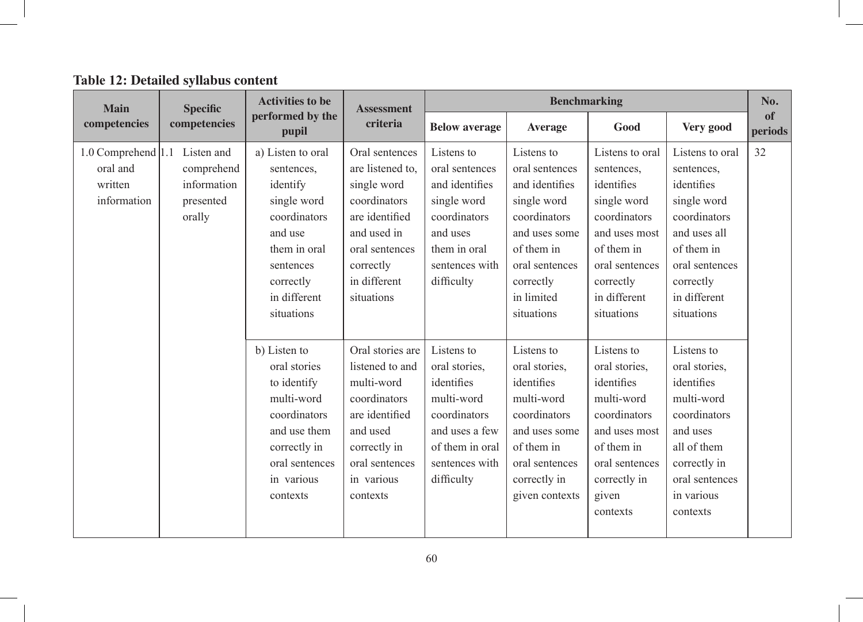| Table 12: Detailed syllabus content |  |  |
|-------------------------------------|--|--|
|-------------------------------------|--|--|

| <b>Main</b>                                                         | <b>Specific</b>                                  | <b>Activities to be</b>                                                                                                                                       | <b>Assessment</b>                                                                                                                                               |                                                                                                                                              |                                                                                                                                                                         | <b>Benchmarking</b>                                                                                                                                                    |                                                                                                                                                                       | No.           |
|---------------------------------------------------------------------|--------------------------------------------------|---------------------------------------------------------------------------------------------------------------------------------------------------------------|-----------------------------------------------------------------------------------------------------------------------------------------------------------------|----------------------------------------------------------------------------------------------------------------------------------------------|-------------------------------------------------------------------------------------------------------------------------------------------------------------------------|------------------------------------------------------------------------------------------------------------------------------------------------------------------------|-----------------------------------------------------------------------------------------------------------------------------------------------------------------------|---------------|
| competencies                                                        | competencies                                     | performed by the<br>pupil                                                                                                                                     | criteria                                                                                                                                                        | <b>Below average</b>                                                                                                                         | <b>Average</b>                                                                                                                                                          | Good                                                                                                                                                                   | Very good                                                                                                                                                             | of<br>periods |
| 1.0 Comprehend 1.1 Listen and<br>oral and<br>written<br>information | comprehend<br>information<br>presented<br>orally | a) Listen to oral<br>sentences.<br>identify<br>single word<br>coordinators<br>and use<br>them in oral<br>sentences<br>correctly<br>in different<br>situations | Oral sentences<br>are listened to,<br>single word<br>coordinators<br>are identified<br>and used in<br>oral sentences<br>correctly<br>in different<br>situations | Listens to<br>oral sentences<br>and identifies<br>single word<br>coordinators<br>and uses<br>them in oral<br>sentences with<br>difficulty    | Listens to<br>oral sentences<br>and identifies<br>single word<br>coordinators<br>and uses some<br>of them in<br>oral sentences<br>correctly<br>in limited<br>situations | Listens to oral<br>sentences,<br>identifies<br>single word<br>coordinators<br>and uses most<br>of them in<br>oral sentences<br>correctly<br>in different<br>situations | Listens to oral<br>sentences,<br>identifies<br>single word<br>coordinators<br>and uses all<br>of them in<br>oral sentences<br>correctly<br>in different<br>situations | 32            |
|                                                                     |                                                  | b) Listen to<br>oral stories<br>to identify<br>multi-word<br>coordinators<br>and use them<br>correctly in<br>oral sentences<br>in various<br>contexts         | Oral stories are<br>listened to and<br>multi-word<br>coordinators<br>are identified<br>and used<br>correctly in<br>oral sentences<br>in various<br>contexts     | Listens to<br>oral stories,<br>identifies<br>multi-word<br>coordinators<br>and uses a few<br>of them in oral<br>sentences with<br>difficulty | Listens to<br>oral stories,<br>identifies<br>multi-word<br>coordinators<br>and uses some<br>of them in<br>oral sentences<br>correctly in<br>given contexts              | Listens to<br>oral stories,<br>identifies<br>multi-word<br>coordinators<br>and uses most<br>of them in<br>oral sentences<br>correctly in<br>given<br>contexts          | Listens to<br>oral stories,<br>identifies<br>multi-word<br>coordinators<br>and uses<br>all of them<br>correctly in<br>oral sentences<br>in various<br>contexts        |               |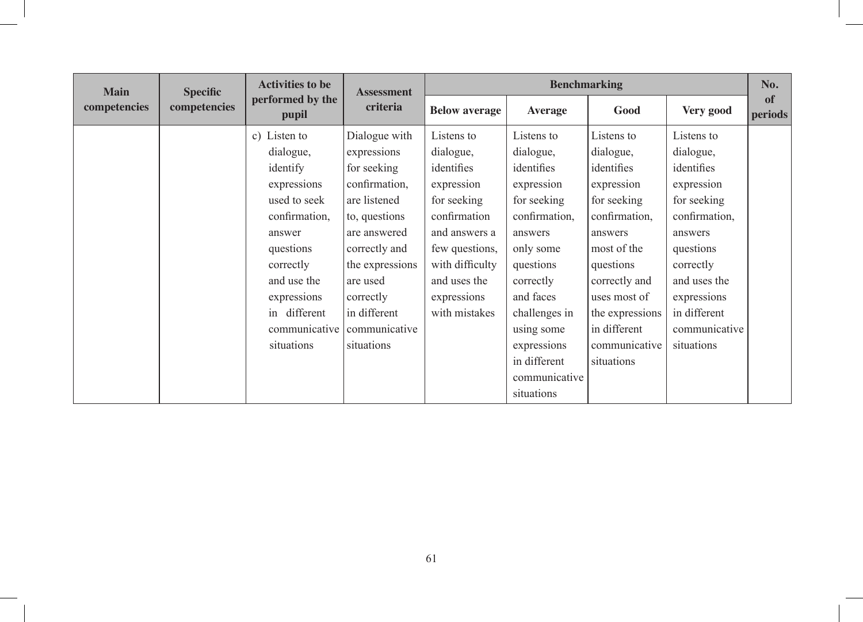| <b>Main</b>  | <b>Specific</b> | <b>Activities to be</b>   | <b>Assessment</b> | <b>Benchmarking</b>  |                |                 |               |               |
|--------------|-----------------|---------------------------|-------------------|----------------------|----------------|-----------------|---------------|---------------|
| competencies | competencies    | performed by the<br>pupil | criteria          | <b>Below average</b> | <b>Average</b> | Good            | Very good     | of<br>periods |
|              |                 | c) Listen to              | Dialogue with     | Listens to           | Listens to     | Listens to      | Listens to    |               |
|              |                 | dialogue,                 | expressions       | dialogue,            | dialogue,      | dialogue,       | dialogue,     |               |
|              |                 | identify                  | for seeking       | identifies           | identifies     | identifies      | identifies    |               |
|              |                 | expressions               | confirmation,     | expression           | expression     | expression      | expression    |               |
|              |                 | used to seek              | are listened      | for seeking          | for seeking    | for seeking     | for seeking   |               |
|              |                 | confirmation,             | to, questions     | confirmation         | confirmation,  | confirmation,   | confirmation, |               |
|              |                 | answer                    | are answered      | and answers a        | answers        | answers         | answers       |               |
|              |                 | questions                 | correctly and     | few questions,       | only some      | most of the     | questions     |               |
|              |                 | correctly                 | the expressions   | with difficulty      | questions      | questions       | correctly     |               |
|              |                 | and use the               | are used          | and uses the         | correctly      | correctly and   | and uses the  |               |
|              |                 | expressions               | correctly         | expressions          | and faces      | uses most of    | expressions   |               |
|              |                 | in different              | in different      | with mistakes        | challenges in  | the expressions | in different  |               |
|              |                 | communicative             | communicative     |                      | using some     | in different    | communicative |               |
|              |                 | situations                | situations        |                      | expressions    | communicative   | situations    |               |
|              |                 |                           |                   |                      | in different   | situations      |               |               |
|              |                 |                           |                   |                      | communicative  |                 |               |               |
|              |                 |                           |                   |                      | situations     |                 |               |               |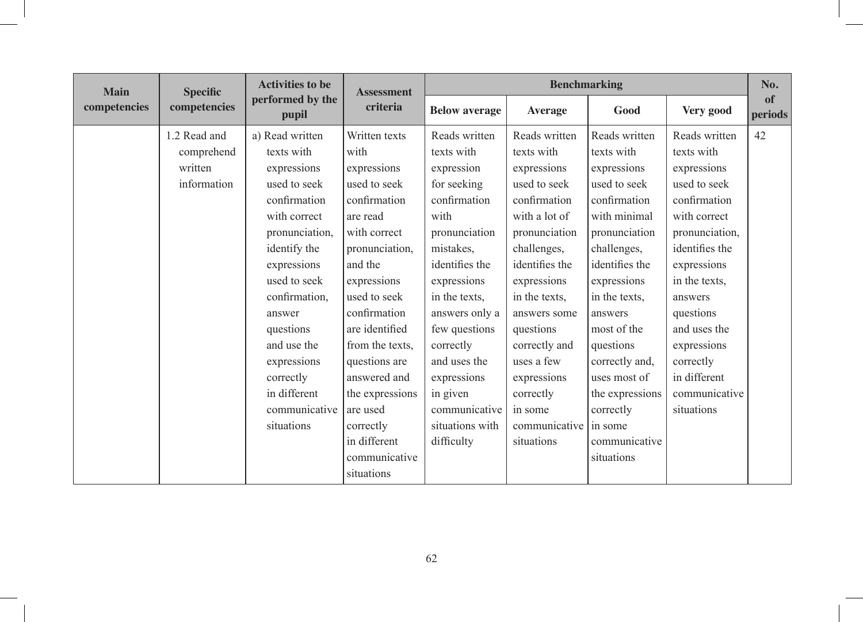| <b>Main</b>  | <b>Specific</b> | <b>Activities to be</b>   | <b>Assessment</b> | <b>Benchmarking</b>  |                |                 |                |               |
|--------------|-----------------|---------------------------|-------------------|----------------------|----------------|-----------------|----------------|---------------|
| competencies | competencies    | performed by the<br>pupil | criteria          | <b>Below average</b> | <b>Average</b> | Good            | Very good      | of<br>periods |
|              | 1.2 Read and    | a) Read written           | Written texts     | Reads written        | Reads written  | Reads written   | Reads written  | 42            |
|              | comprehend      | texts with                | with              | texts with           | texts with     | texts with      | texts with     |               |
|              | written         | expressions               | expressions       | expression           | expressions    | expressions     | expressions    |               |
|              | information     | used to seek              | used to seek      | for seeking          | used to seek   | used to seek    | used to seek   |               |
|              |                 | confirmation              | confirmation      | confirmation         | confirmation   | confirmation    | confirmation   |               |
|              |                 | with correct              | are read          | with                 | with a lot of  | with minimal    | with correct   |               |
|              |                 | pronunciation,            | with correct      | pronunciation        | pronunciation  | pronunciation   | pronunciation, |               |
|              |                 | identify the              | pronunciation,    | mistakes.            | challenges,    | challenges,     | identifies the |               |
|              |                 | expressions               | and the           | identifies the       | identifies the | identifies the  | expressions    |               |
|              |                 | used to seek              | expressions       | expressions          | expressions    | expressions     | in the texts,  |               |
|              |                 | confirmation,             | used to seek      | in the texts.        | in the texts,  | in the texts.   | answers        |               |
|              |                 | answer                    | confirmation      | answers only a       | answers some   | answers         | questions      |               |
|              |                 | questions                 | are identified    | few questions        | questions      | most of the     | and uses the   |               |
|              |                 | and use the               | from the texts,   | correctly            | correctly and  | questions       | expressions    |               |
|              |                 | expressions               | questions are     | and uses the         | uses a few     | correctly and,  | correctly      |               |
|              |                 | correctly                 | answered and      | expressions          | expressions    | uses most of    | in different   |               |
|              |                 | in different              | the expressions   | in given             | correctly      | the expressions | communicative  |               |
|              |                 | communicative             | are used          | communicative        | in some        | correctly       | situations     |               |
|              |                 | situations                | correctly         | situations with      | communicative  | in some         |                |               |
|              |                 |                           | in different      | difficulty           | situations     | communicative   |                |               |
|              |                 |                           | communicative     |                      |                | situations      |                |               |
|              |                 |                           | situations        |                      |                |                 |                |               |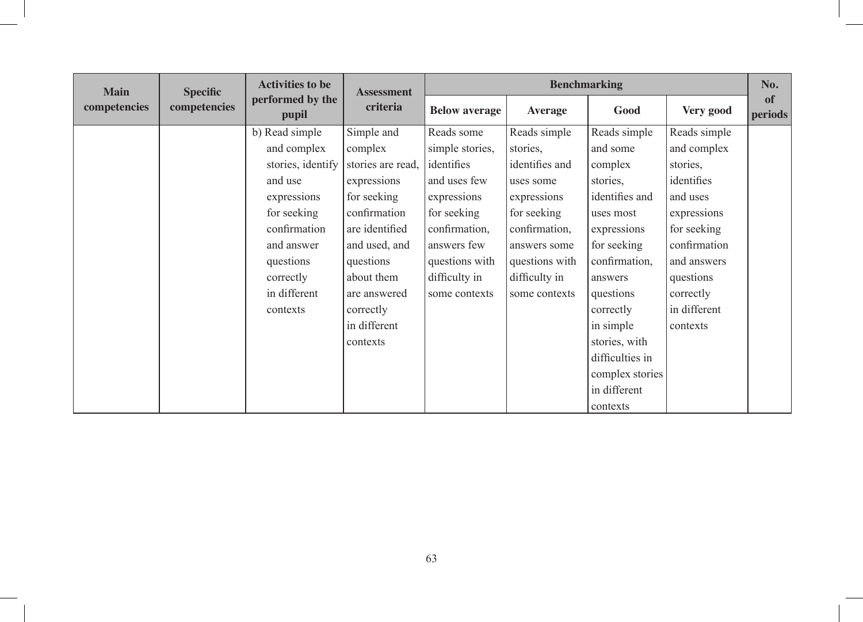|              | <b>Activities to be</b><br><b>Main</b><br><b>Specific</b> |                           |                   | <b>Benchmarking</b><br><b>Assessment</b> |                |                 |              |               |  |
|--------------|-----------------------------------------------------------|---------------------------|-------------------|------------------------------------------|----------------|-----------------|--------------|---------------|--|
| competencies | competencies                                              | performed by the<br>pupil | criteria          | <b>Below average</b>                     | <b>Average</b> | Good            | Very good    | of<br>periods |  |
|              |                                                           | b) Read simple            | Simple and        | Reads some                               | Reads simple   | Reads simple    | Reads simple |               |  |
|              |                                                           | and complex               | complex           | simple stories,                          | stories,       | and some        | and complex  |               |  |
|              |                                                           | stories, identify         | stories are read. | identifies                               | identifies and | complex         | stories,     |               |  |
|              |                                                           | and use                   | expressions       | and uses few                             | uses some      | stories,        | identifies   |               |  |
|              |                                                           | expressions               | for seeking       | expressions                              | expressions    | identifies and  | and uses     |               |  |
|              |                                                           | for seeking               | confirmation      | for seeking                              | for seeking    | uses most       | expressions  |               |  |
|              |                                                           | confirmation              | are identified    | confirmation,                            | confirmation,  | expressions     | for seeking  |               |  |
|              |                                                           | and answer                | and used, and     | answers few                              | answers some   | for seeking     | confirmation |               |  |
|              |                                                           | questions                 | questions         | questions with                           | questions with | confirmation,   | and answers  |               |  |
|              |                                                           | correctly                 | about them        | difficulty in                            | difficulty in  | answers         | questions    |               |  |
|              |                                                           | in different              | are answered      | some contexts                            | some contexts  | questions       | correctly    |               |  |
|              |                                                           | contexts                  | correctly         |                                          |                | correctly       | in different |               |  |
|              |                                                           |                           | in different      |                                          |                | in simple       | contexts     |               |  |
|              |                                                           |                           | contexts          |                                          |                | stories, with   |              |               |  |
|              |                                                           |                           |                   |                                          |                | difficulties in |              |               |  |
|              |                                                           |                           |                   |                                          |                | complex stories |              |               |  |
|              |                                                           |                           |                   |                                          |                | in different    |              |               |  |
|              |                                                           |                           |                   |                                          |                | contexts        |              |               |  |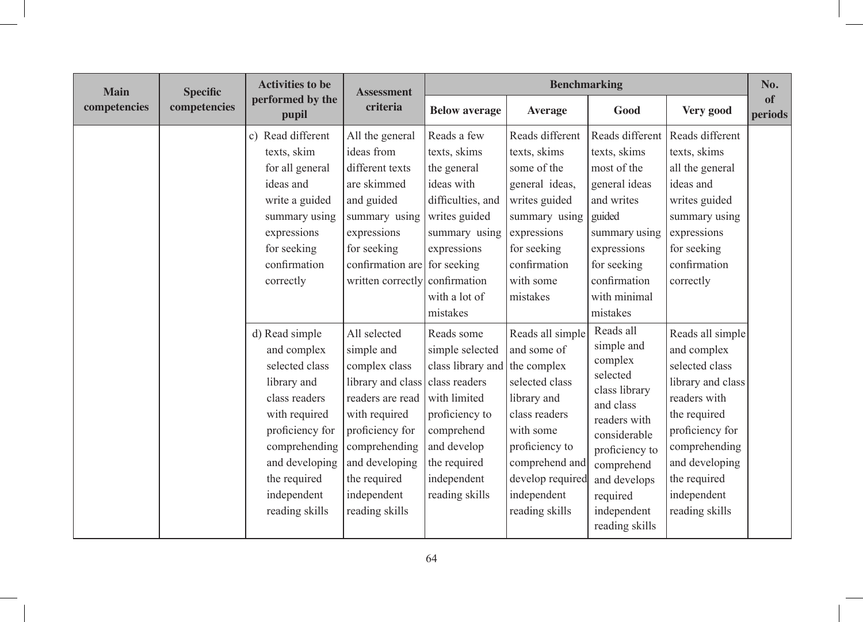| <b>Main</b><br><b>Specific</b><br>competencies |              | <b>Activities to be</b>                                                                                                                                                                                 | <b>Assessment</b><br>criteria                                                                                                                                                                                | <b>Benchmarking</b>                                                                                                                                                                 |                                                                                                                                                                                                        |                                                                                                                                                                                                           |                                                                                                                                                                                                               |               |
|------------------------------------------------|--------------|---------------------------------------------------------------------------------------------------------------------------------------------------------------------------------------------------------|--------------------------------------------------------------------------------------------------------------------------------------------------------------------------------------------------------------|-------------------------------------------------------------------------------------------------------------------------------------------------------------------------------------|--------------------------------------------------------------------------------------------------------------------------------------------------------------------------------------------------------|-----------------------------------------------------------------------------------------------------------------------------------------------------------------------------------------------------------|---------------------------------------------------------------------------------------------------------------------------------------------------------------------------------------------------------------|---------------|
|                                                | competencies | performed by the<br>pupil                                                                                                                                                                               |                                                                                                                                                                                                              | <b>Below average</b>                                                                                                                                                                | <b>Average</b>                                                                                                                                                                                         | Good                                                                                                                                                                                                      | Very good                                                                                                                                                                                                     | of<br>periods |
|                                                |              | c) Read different<br>texts, skim<br>for all general<br>ideas and<br>write a guided<br>summary using<br>expressions<br>for seeking<br>confirmation<br>correctly                                          | All the general<br>ideas from<br>different texts<br>are skimmed<br>and guided<br>summary using<br>expressions<br>for seeking<br>confirmation are for seeking<br>written correctly                            | Reads a few<br>texts, skims<br>the general<br>ideas with<br>difficulties, and<br>writes guided<br>summary using<br>expressions<br>confirmation<br>with a lot of<br>mistakes         | Reads different<br>texts, skims<br>some of the<br>general ideas,<br>writes guided<br>summary using<br>expressions<br>for seeking<br>confirmation<br>with some<br>mistakes                              | Reads different<br>texts, skims<br>most of the<br>general ideas<br>and writes<br>guided<br>summary using<br>expressions<br>for seeking<br>confirmation<br>with minimal<br>mistakes                        | Reads different<br>texts, skims<br>all the general<br>ideas and<br>writes guided<br>summary using<br>expressions<br>for seeking<br>confirmation<br>correctly                                                  |               |
|                                                |              | d) Read simple<br>and complex<br>selected class<br>library and<br>class readers<br>with required<br>proficiency for<br>comprehending<br>and developing<br>the required<br>independent<br>reading skills | All selected<br>simple and<br>complex class<br>library and class<br>readers are read<br>with required<br>proficiency for<br>comprehending<br>and developing<br>the required<br>independent<br>reading skills | Reads some<br>simple selected<br>class library and<br>class readers<br>with limited<br>proficiency to<br>comprehend<br>and develop<br>the required<br>independent<br>reading skills | Reads all simple<br>and some of<br>the complex<br>selected class<br>library and<br>class readers<br>with some<br>proficiency to<br>comprehend and<br>develop required<br>independent<br>reading skills | Reads all<br>simple and<br>complex<br>selected<br>class library<br>and class<br>readers with<br>considerable<br>proficiency to<br>comprehend<br>and develops<br>required<br>independent<br>reading skills | Reads all simple<br>and complex<br>selected class<br>library and class<br>readers with<br>the required<br>proficiency for<br>comprehending<br>and developing<br>the required<br>independent<br>reading skills |               |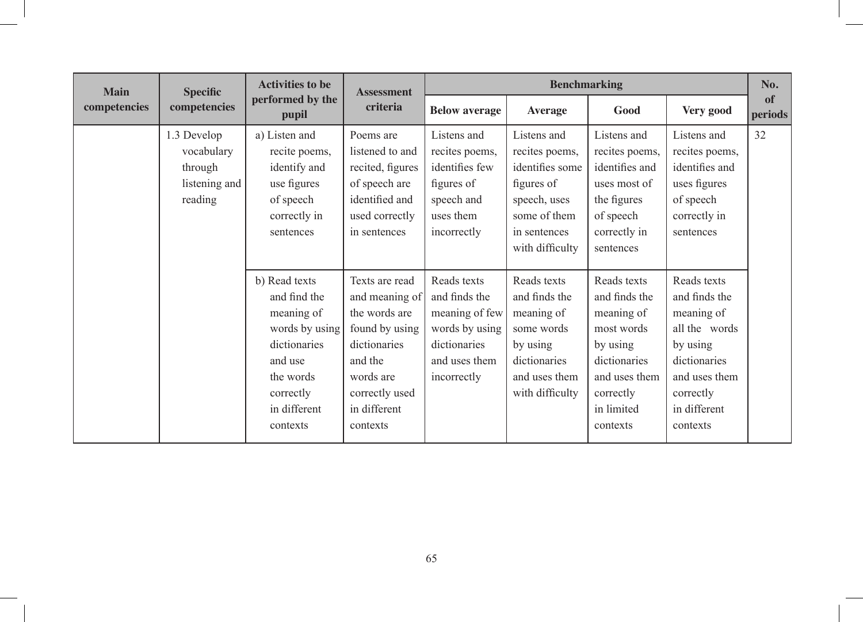| <b>Main</b><br>competencies | <b>Specific</b><br>competencies                                  | <b>Activities to be</b><br>performed by the<br>pupil                                                                                           | <b>Assessment</b><br>criteria                                                                                                                             | <b>Benchmarking</b>                                                                                              |                                                                                                                                   |                                                                                                                                              |                                                                                                                                                   |               |
|-----------------------------|------------------------------------------------------------------|------------------------------------------------------------------------------------------------------------------------------------------------|-----------------------------------------------------------------------------------------------------------------------------------------------------------|------------------------------------------------------------------------------------------------------------------|-----------------------------------------------------------------------------------------------------------------------------------|----------------------------------------------------------------------------------------------------------------------------------------------|---------------------------------------------------------------------------------------------------------------------------------------------------|---------------|
|                             |                                                                  |                                                                                                                                                |                                                                                                                                                           | <b>Below average</b>                                                                                             | <b>Average</b>                                                                                                                    | Good                                                                                                                                         | Very good                                                                                                                                         | of<br>periods |
|                             | 1.3 Develop<br>vocabulary<br>through<br>listening and<br>reading | a) Listen and<br>recite poems,<br>identify and<br>use figures<br>of speech<br>correctly in<br>sentences                                        | Poems are<br>listened to and<br>recited, figures<br>of speech are<br>identified and<br>used correctly<br>in sentences                                     | Listens and<br>recites poems,<br>identifies few<br>figures of<br>speech and<br>uses them<br>incorrectly          | Listens and<br>recites poems,<br>identifies some<br>figures of<br>speech, uses<br>some of them<br>in sentences<br>with difficulty | Listens and<br>recites poems,<br>identifies and<br>uses most of<br>the figures<br>of speech<br>correctly in<br>sentences                     | Listens and<br>recites poems,<br>identifies and<br>uses figures<br>of speech<br>correctly in<br>sentences                                         | 32            |
|                             |                                                                  | b) Read texts<br>and find the<br>meaning of<br>words by using<br>dictionaries<br>and use<br>the words<br>correctly<br>in different<br>contexts | Texts are read<br>and meaning of<br>the words are<br>found by using<br>dictionaries<br>and the<br>words are<br>correctly used<br>in different<br>contexts | Reads texts<br>and finds the<br>meaning of few<br>words by using<br>dictionaries<br>and uses them<br>incorrectly | Reads texts<br>and finds the<br>meaning of<br>some words<br>by using<br>dictionaries<br>and uses them<br>with difficulty          | Reads texts<br>and finds the<br>meaning of<br>most words<br>by using<br>dictionaries<br>and uses them<br>correctly<br>in limited<br>contexts | Reads texts<br>and finds the<br>meaning of<br>all the words<br>by using<br>dictionaries<br>and uses them<br>correctly<br>in different<br>contexts |               |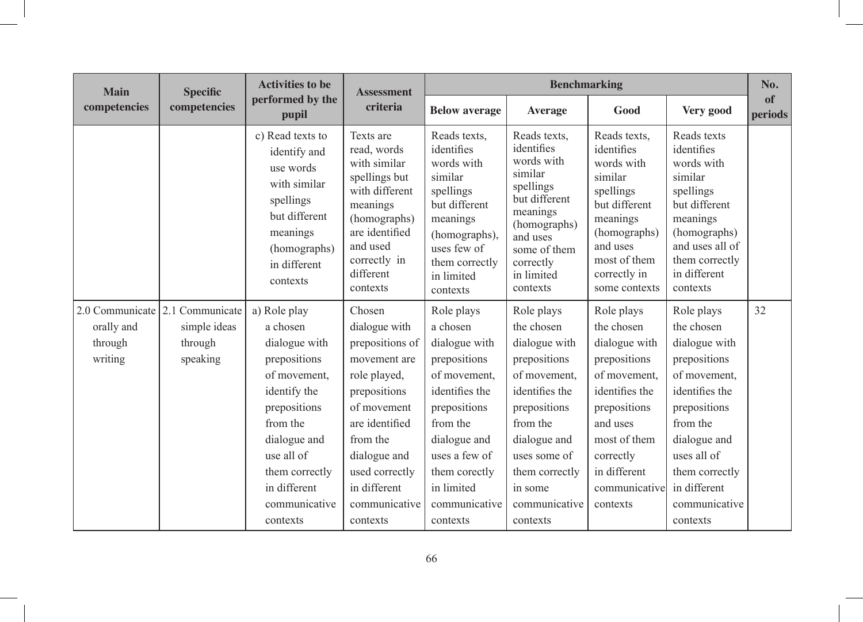| <b>Main</b><br>competencies | <b>Specific</b><br>competencies | <b>Activities to be</b><br>performed by the<br>pupil                                                                                                | <b>Assessment</b><br>criteria                                                                                                                                                  | <b>Benchmarking</b>                                                                                                                                                       |                                                                                                                                                                                  |                                                                                                                                                                            |                                                                                                                                                                               |                      |
|-----------------------------|---------------------------------|-----------------------------------------------------------------------------------------------------------------------------------------------------|--------------------------------------------------------------------------------------------------------------------------------------------------------------------------------|---------------------------------------------------------------------------------------------------------------------------------------------------------------------------|----------------------------------------------------------------------------------------------------------------------------------------------------------------------------------|----------------------------------------------------------------------------------------------------------------------------------------------------------------------------|-------------------------------------------------------------------------------------------------------------------------------------------------------------------------------|----------------------|
|                             |                                 |                                                                                                                                                     |                                                                                                                                                                                | <b>Below average</b>                                                                                                                                                      | <b>Average</b>                                                                                                                                                                   | Good                                                                                                                                                                       | Very good                                                                                                                                                                     | of<br><b>periods</b> |
|                             |                                 | c) Read texts to<br>identify and<br>use words<br>with similar<br>spellings<br>but different<br>meanings<br>(homographs)<br>in different<br>contexts | Texts are<br>read, words<br>with similar<br>spellings but<br>with different<br>meanings<br>(homographs)<br>are identified<br>and used<br>correctly in<br>different<br>contexts | Reads texts,<br>identifies<br>words with<br>similar<br>spellings<br>but different<br>meanings<br>(homographs),<br>uses few of<br>them correctly<br>in limited<br>contexts | Reads texts,<br>identifies<br>words with<br>similar<br>spellings<br>but different<br>meanings<br>(homographs)<br>and uses<br>some of them<br>correctly<br>in limited<br>contexts | Reads texts,<br>identifies<br>words with<br>similar<br>spellings<br>but different<br>meanings<br>(homographs)<br>and uses<br>most of them<br>correctly in<br>some contexts | Reads texts<br>identifies<br>words with<br>similar<br>spellings<br>but different<br>meanings<br>(homographs)<br>and uses all of<br>them correctly<br>in different<br>contexts |                      |
|                             | 2.0 Communicate 2.1 Communicate | a) Role play                                                                                                                                        | Chosen                                                                                                                                                                         | Role plays                                                                                                                                                                | Role plays                                                                                                                                                                       | Role plays                                                                                                                                                                 | Role plays                                                                                                                                                                    | 32                   |
| orally and                  | simple ideas                    | a chosen                                                                                                                                            | dialogue with                                                                                                                                                                  | a chosen                                                                                                                                                                  | the chosen                                                                                                                                                                       | the chosen                                                                                                                                                                 | the chosen                                                                                                                                                                    |                      |
| through                     | through                         | dialogue with                                                                                                                                       | prepositions of                                                                                                                                                                | dialogue with                                                                                                                                                             | dialogue with                                                                                                                                                                    | dialogue with                                                                                                                                                              | dialogue with                                                                                                                                                                 |                      |
| writing                     | speaking                        | prepositions                                                                                                                                        | movement are                                                                                                                                                                   | prepositions                                                                                                                                                              | prepositions                                                                                                                                                                     | prepositions                                                                                                                                                               | prepositions                                                                                                                                                                  |                      |
|                             |                                 | of movement.                                                                                                                                        | role played,                                                                                                                                                                   | of movement.                                                                                                                                                              | of movement,                                                                                                                                                                     | of movement.                                                                                                                                                               | of movement.                                                                                                                                                                  |                      |
|                             |                                 | identify the                                                                                                                                        | prepositions                                                                                                                                                                   | identifies the                                                                                                                                                            | identifies the                                                                                                                                                                   | identifies the                                                                                                                                                             | identifies the                                                                                                                                                                |                      |
|                             |                                 | prepositions                                                                                                                                        | of movement                                                                                                                                                                    | prepositions                                                                                                                                                              | prepositions                                                                                                                                                                     | prepositions                                                                                                                                                               | prepositions                                                                                                                                                                  |                      |
|                             |                                 | from the                                                                                                                                            | are identified                                                                                                                                                                 | from the                                                                                                                                                                  | from the                                                                                                                                                                         | and uses                                                                                                                                                                   | from the                                                                                                                                                                      |                      |
|                             |                                 | dialogue and                                                                                                                                        | from the                                                                                                                                                                       | dialogue and                                                                                                                                                              | dialogue and                                                                                                                                                                     | most of them                                                                                                                                                               | dialogue and                                                                                                                                                                  |                      |
|                             |                                 | use all of                                                                                                                                          | dialogue and                                                                                                                                                                   | uses a few of                                                                                                                                                             | uses some of                                                                                                                                                                     | correctly                                                                                                                                                                  | uses all of                                                                                                                                                                   |                      |
|                             |                                 | them correctly                                                                                                                                      | used correctly                                                                                                                                                                 | them corectly                                                                                                                                                             | them correctly                                                                                                                                                                   | in different                                                                                                                                                               | them correctly                                                                                                                                                                |                      |
|                             |                                 | in different                                                                                                                                        | in different                                                                                                                                                                   | in limited                                                                                                                                                                | in some                                                                                                                                                                          | communicative                                                                                                                                                              | in different                                                                                                                                                                  |                      |
|                             |                                 | communicative                                                                                                                                       | communicative                                                                                                                                                                  | communicative                                                                                                                                                             | communicative                                                                                                                                                                    | contexts                                                                                                                                                                   | communicative                                                                                                                                                                 |                      |
|                             |                                 | contexts                                                                                                                                            | contexts                                                                                                                                                                       | contexts                                                                                                                                                                  | contexts                                                                                                                                                                         |                                                                                                                                                                            | contexts                                                                                                                                                                      |                      |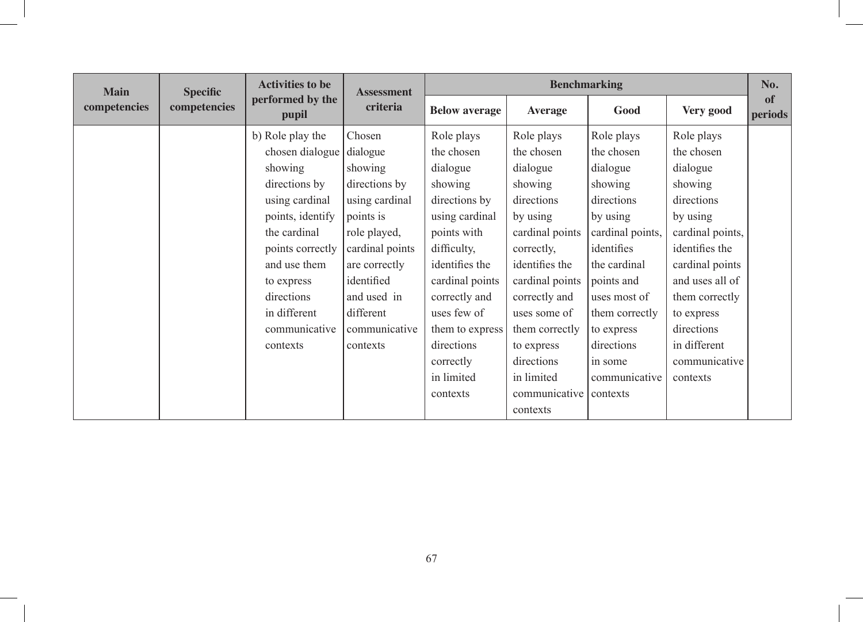| <b>Main</b>  |              | <b>Activities to be</b><br><b>Specific</b> |                 | <b>Assessment</b>    | <b>Benchmarking</b> |                  |                  |               |  |
|--------------|--------------|--------------------------------------------|-----------------|----------------------|---------------------|------------------|------------------|---------------|--|
| competencies | competencies | performed by the<br>pupil                  | criteria        | <b>Below average</b> | <b>Average</b>      | Good             | Very good        | of<br>periods |  |
|              |              | b) Role play the                           | Chosen          | Role plays           | Role plays          | Role plays       | Role plays       |               |  |
|              |              | chosen dialogue                            | dialogue        | the chosen           | the chosen          | the chosen       | the chosen       |               |  |
|              |              | showing                                    | showing         | dialogue             | dialogue            | dialogue         | dialogue         |               |  |
|              |              | directions by                              | directions by   | showing              | showing             | showing          | showing          |               |  |
|              |              | using cardinal                             | using cardinal  | directions by        | directions          | directions       | directions       |               |  |
|              |              | points, identify                           | points is       | using cardinal       | by using            | by using         | by using         |               |  |
|              |              | the cardinal                               | role played,    | points with          | cardinal points     | cardinal points, | cardinal points, |               |  |
|              |              | points correctly                           | cardinal points | difficulty,          | correctly,          | identifies       | identifies the   |               |  |
|              |              | and use them                               | are correctly   | identifies the       | identifies the      | the cardinal     | cardinal points  |               |  |
|              |              | to express                                 | identified      | cardinal points      | cardinal points     | points and       | and uses all of  |               |  |
|              |              | directions                                 | and used in     | correctly and        | correctly and       | uses most of     | them correctly   |               |  |
|              |              | in different                               | different       | uses few of          | uses some of        | them correctly   | to express       |               |  |
|              |              | communicative                              | communicative   | them to express      | them correctly      | to express       | directions       |               |  |
|              |              | contexts                                   | contexts        | directions           | to express          | directions       | in different     |               |  |
|              |              |                                            |                 | correctly            | directions          | in some          | communicative    |               |  |
|              |              |                                            |                 | in limited           | in limited          | communicative    | contexts         |               |  |
|              |              |                                            |                 | contexts             | communicative       | contexts         |                  |               |  |
|              |              |                                            |                 |                      | contexts            |                  |                  |               |  |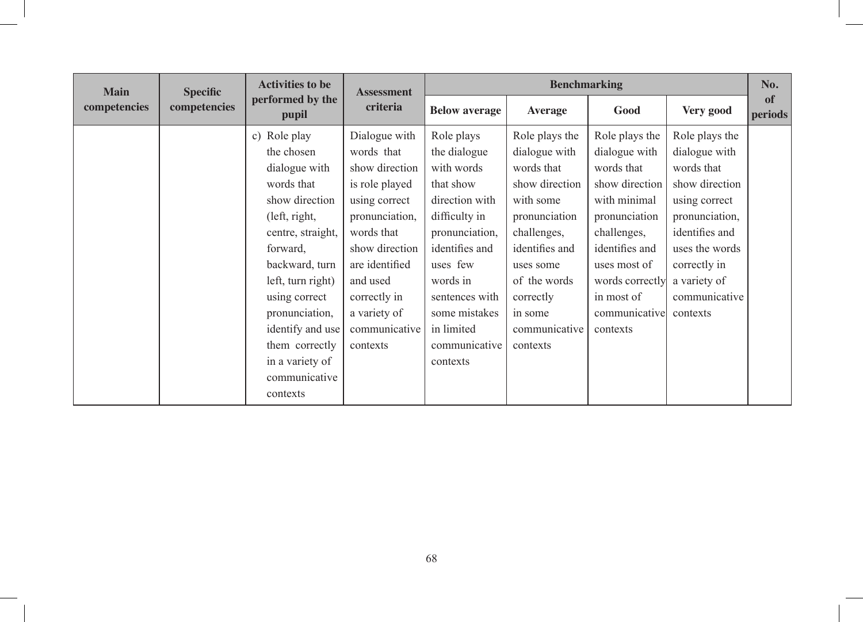| <b>Main</b>  | <b>Specific</b> | <b>Activities to be</b>                                                                                                                                                                                                                                                           |                                                                                                                                                                                                                               | <b>Benchmarking</b><br><b>Assessment</b>                                                                                                                                                                                           |                                                                                                                                                                                                                  |                                                                                                                                                                                                                 |                                                                                                                                                                                                     | No.           |
|--------------|-----------------|-----------------------------------------------------------------------------------------------------------------------------------------------------------------------------------------------------------------------------------------------------------------------------------|-------------------------------------------------------------------------------------------------------------------------------------------------------------------------------------------------------------------------------|------------------------------------------------------------------------------------------------------------------------------------------------------------------------------------------------------------------------------------|------------------------------------------------------------------------------------------------------------------------------------------------------------------------------------------------------------------|-----------------------------------------------------------------------------------------------------------------------------------------------------------------------------------------------------------------|-----------------------------------------------------------------------------------------------------------------------------------------------------------------------------------------------------|---------------|
| competencies | competencies    | performed by the<br>pupil                                                                                                                                                                                                                                                         | criteria                                                                                                                                                                                                                      | <b>Below average</b>                                                                                                                                                                                                               | <b>Average</b>                                                                                                                                                                                                   | Good                                                                                                                                                                                                            | Very good                                                                                                                                                                                           | of<br>periods |
|              |                 | c) Role play<br>the chosen<br>dialogue with<br>words that<br>show direction<br>(left, right,<br>centre, straight,<br>forward,<br>backward, turn<br>left, turn right)<br>using correct<br>pronunciation,<br>identify and use<br>them correctly<br>in a variety of<br>communicative | Dialogue with<br>words that<br>show direction<br>is role played<br>using correct<br>pronunciation,<br>words that<br>show direction<br>are identified<br>and used<br>correctly in<br>a variety of<br>communicative<br>contexts | Role plays<br>the dialogue<br>with words<br>that show<br>direction with<br>difficulty in<br>pronunciation,<br>identifies and<br>uses few<br>words in<br>sentences with<br>some mistakes<br>in limited<br>communicative<br>contexts | Role plays the<br>dialogue with<br>words that<br>show direction<br>with some<br>pronunciation<br>challenges,<br>identifies and<br>uses some<br>of the words<br>correctly<br>in some<br>communicative<br>contexts | Role plays the<br>dialogue with<br>words that<br>show direction<br>with minimal<br>pronunciation<br>challenges,<br>identifies and<br>uses most of<br>words correctly<br>in most of<br>communicative<br>contexts | Role plays the<br>dialogue with<br>words that<br>show direction<br>using correct<br>pronunciation,<br>identifies and<br>uses the words<br>correctly in<br>a variety of<br>communicative<br>contexts |               |
|              |                 | contexts                                                                                                                                                                                                                                                                          |                                                                                                                                                                                                                               |                                                                                                                                                                                                                                    |                                                                                                                                                                                                                  |                                                                                                                                                                                                                 |                                                                                                                                                                                                     |               |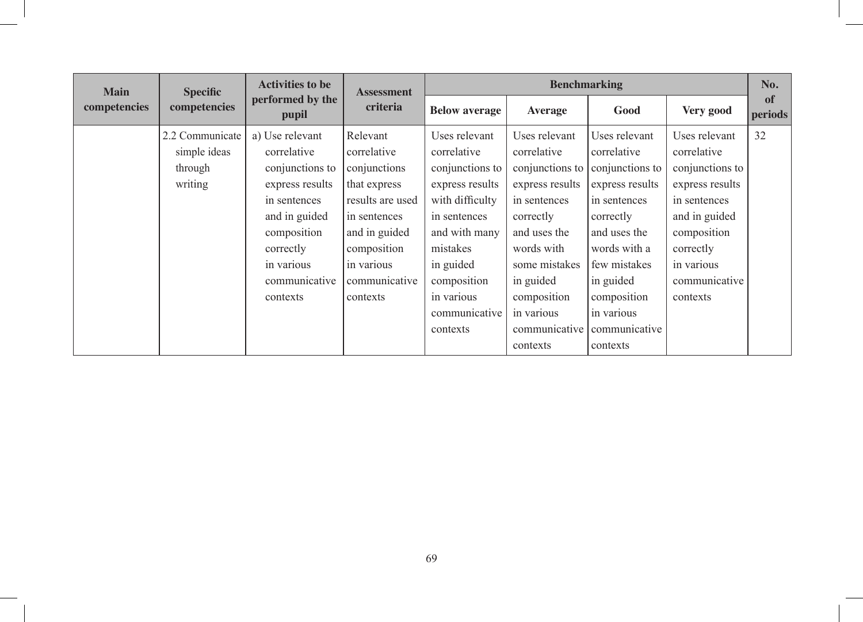| <b>Main</b>  |                                                       | <b>Activities to be</b><br><b>Specific</b>                                                                                                                                   | <b>Assessment</b>                                                                                                                                                      |                                                                                                                                                                                                           | <b>Benchmarking</b>                                                                                                                                                                                                   |                                                                                                                                                                                                                        |                                                                                                                                                                            |               |
|--------------|-------------------------------------------------------|------------------------------------------------------------------------------------------------------------------------------------------------------------------------------|------------------------------------------------------------------------------------------------------------------------------------------------------------------------|-----------------------------------------------------------------------------------------------------------------------------------------------------------------------------------------------------------|-----------------------------------------------------------------------------------------------------------------------------------------------------------------------------------------------------------------------|------------------------------------------------------------------------------------------------------------------------------------------------------------------------------------------------------------------------|----------------------------------------------------------------------------------------------------------------------------------------------------------------------------|---------------|
| competencies | competencies                                          | performed by the<br>pupil                                                                                                                                                    | criteria                                                                                                                                                               | <b>Below average</b>                                                                                                                                                                                      | <b>Average</b>                                                                                                                                                                                                        | Good                                                                                                                                                                                                                   | Very good                                                                                                                                                                  | of<br>periods |
|              | 2.2 Communicate<br>simple ideas<br>through<br>writing | a) Use relevant<br>correlative<br>conjunctions to<br>express results<br>in sentences<br>and in guided<br>composition<br>correctly<br>in various<br>communicative<br>contexts | Relevant<br>correlative<br>conjunctions<br>that express<br>results are used<br>in sentences<br>and in guided<br>composition<br>in various<br>communicative<br>contexts | Uses relevant<br>correlative<br>conjunctions to<br>express results<br>with difficulty<br>in sentences<br>and with many<br>mistakes<br>in guided<br>composition<br>in various<br>communicative<br>contexts | Uses relevant<br>correlative<br>conjunctions to<br>express results<br>in sentences<br>correctly<br>and uses the<br>words with<br>some mistakes<br>in guided<br>composition<br>in various<br>communicative<br>contexts | Uses relevant<br>correlative<br>conjunctions to<br>express results<br>in sentences<br>correctly<br>and uses the<br>words with a<br>few mistakes<br>in guided<br>composition<br>in various<br>communicative<br>contexts | Uses relevant<br>correlative<br>conjunctions to<br>express results<br>in sentences<br>and in guided<br>composition<br>correctly<br>in various<br>communicative<br>contexts | 32            |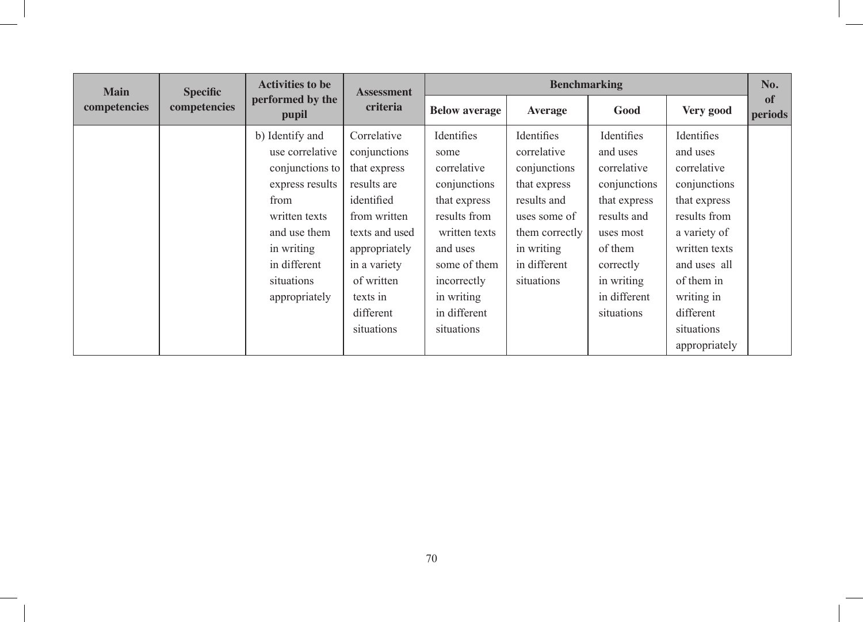| <b>Main</b>  |              | <b>Activities to be</b><br><b>Specific</b>                                                                                                                                     | <b>Assessment</b>                                                                                                                                                                                | <b>Benchmarking</b>                                                                                                                                                                       |                                                                                                                                                        |                                                                                                                                                                       |                                                                                                                                                                                                                |                      |
|--------------|--------------|--------------------------------------------------------------------------------------------------------------------------------------------------------------------------------|--------------------------------------------------------------------------------------------------------------------------------------------------------------------------------------------------|-------------------------------------------------------------------------------------------------------------------------------------------------------------------------------------------|--------------------------------------------------------------------------------------------------------------------------------------------------------|-----------------------------------------------------------------------------------------------------------------------------------------------------------------------|----------------------------------------------------------------------------------------------------------------------------------------------------------------------------------------------------------------|----------------------|
| competencies | competencies | performed by the<br>pupil                                                                                                                                                      | criteria                                                                                                                                                                                         | <b>Below average</b>                                                                                                                                                                      | <b>Average</b>                                                                                                                                         | Good                                                                                                                                                                  | Very good                                                                                                                                                                                                      | of<br><i>periods</i> |
|              |              | b) Identify and<br>use correlative<br>conjunctions to<br>express results<br>from<br>written texts<br>and use them<br>in writing<br>in different<br>situations<br>appropriately | Correlative<br>conjunctions<br>that express<br>results are<br>identified<br>from written<br>texts and used<br>appropriately<br>in a variety<br>of written<br>texts in<br>different<br>situations | Identifies<br>some<br>correlative<br>conjunctions<br>that express<br>results from<br>written texts<br>and uses<br>some of them<br>incorrectly<br>in writing<br>in different<br>situations | Identifies<br>correlative<br>conjunctions<br>that express<br>results and<br>uses some of<br>them correctly<br>in writing<br>in different<br>situations | Identifies<br>and uses<br>correlative<br>conjunctions<br>that express<br>results and<br>uses most<br>of them<br>correctly<br>in writing<br>in different<br>situations | Identifies<br>and uses<br>correlative<br>conjunctions<br>that express<br>results from<br>a variety of<br>written texts<br>and uses all<br>of them in<br>writing in<br>different<br>situations<br>appropriately |                      |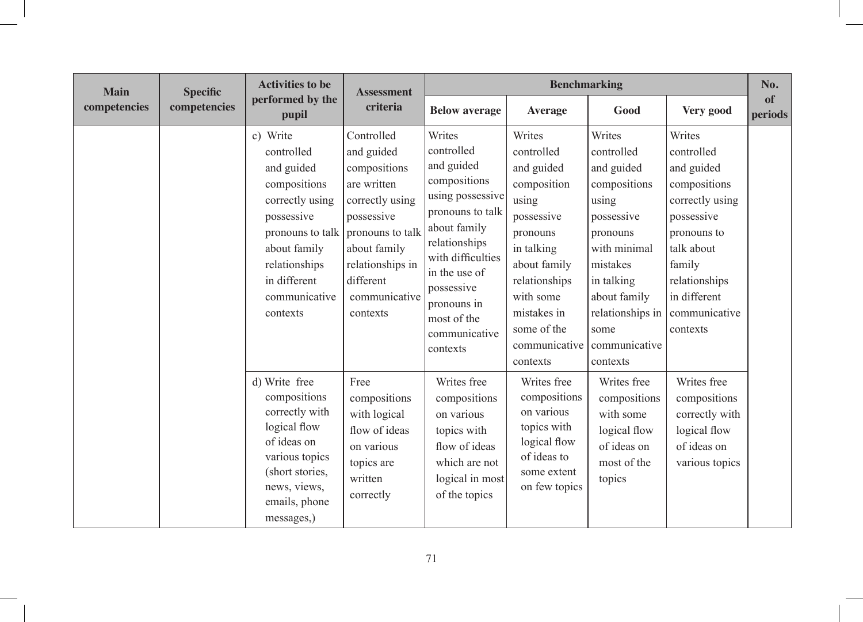| <b>Main</b>  | <b>Specific</b> | <b>Activities to be</b>                                                                                                                                                                 | <b>Assessment</b>                                                                                                                                                                          |                                                                                                                                                                                                                                            | <b>Benchmarking</b>                                                                                                                                                                                         |                                                                                                                                                                                                          |                                                                                                                                                                                          | No.                  |
|--------------|-----------------|-----------------------------------------------------------------------------------------------------------------------------------------------------------------------------------------|--------------------------------------------------------------------------------------------------------------------------------------------------------------------------------------------|--------------------------------------------------------------------------------------------------------------------------------------------------------------------------------------------------------------------------------------------|-------------------------------------------------------------------------------------------------------------------------------------------------------------------------------------------------------------|----------------------------------------------------------------------------------------------------------------------------------------------------------------------------------------------------------|------------------------------------------------------------------------------------------------------------------------------------------------------------------------------------------|----------------------|
| competencies | competencies    | performed by the<br>pupil                                                                                                                                                               | criteria                                                                                                                                                                                   | <b>Below average</b>                                                                                                                                                                                                                       | <b>Average</b>                                                                                                                                                                                              | Good                                                                                                                                                                                                     | Very good                                                                                                                                                                                | of<br><i>periods</i> |
|              |                 | c) Write<br>controlled<br>and guided<br>compositions<br>correctly using<br>possessive<br>pronouns to talk<br>about family<br>relationships<br>in different<br>communicative<br>contexts | Controlled<br>and guided<br>compositions<br>are written<br>correctly using<br>possessive<br>pronouns to talk<br>about family<br>relationships in<br>different<br>communicative<br>contexts | Writes<br>controlled<br>and guided<br>compositions<br>using possessive<br>pronouns to talk<br>about family<br>relationships<br>with difficulties<br>in the use of<br>possessive<br>pronouns in<br>most of the<br>communicative<br>contexts | Writes<br>controlled<br>and guided<br>composition<br>using<br>possessive<br>pronouns<br>in talking<br>about family<br>relationships<br>with some<br>mistakes in<br>some of the<br>communicative<br>contexts | Writes<br>controlled<br>and guided<br>compositions<br>using<br>possessive<br>pronouns<br>with minimal<br>mistakes<br>in talking<br>about family<br>relationships in<br>some<br>communicative<br>contexts | Writes<br>controlled<br>and guided<br>compositions<br>correctly using<br>possessive<br>pronouns to<br>talk about<br>family<br>relationships<br>in different<br>communicative<br>contexts |                      |
|              |                 | d) Write free<br>compositions<br>correctly with<br>logical flow<br>of ideas on<br>various topics<br>(short stories,<br>news, views,<br>emails, phone<br>messages,)                      | Free<br>compositions<br>with logical<br>flow of ideas<br>on various<br>topics are<br>written<br>correctly                                                                                  | Writes free<br>compositions<br>on various<br>topics with<br>flow of ideas<br>which are not<br>logical in most<br>of the topics                                                                                                             | Writes free<br>compositions<br>on various<br>topics with<br>logical flow<br>of ideas to<br>some extent<br>on few topics                                                                                     | Writes free<br>compositions<br>with some<br>logical flow<br>of ideas on<br>most of the<br>topics                                                                                                         | Writes free<br>compositions<br>correctly with<br>logical flow<br>of ideas on<br>various topics                                                                                           |                      |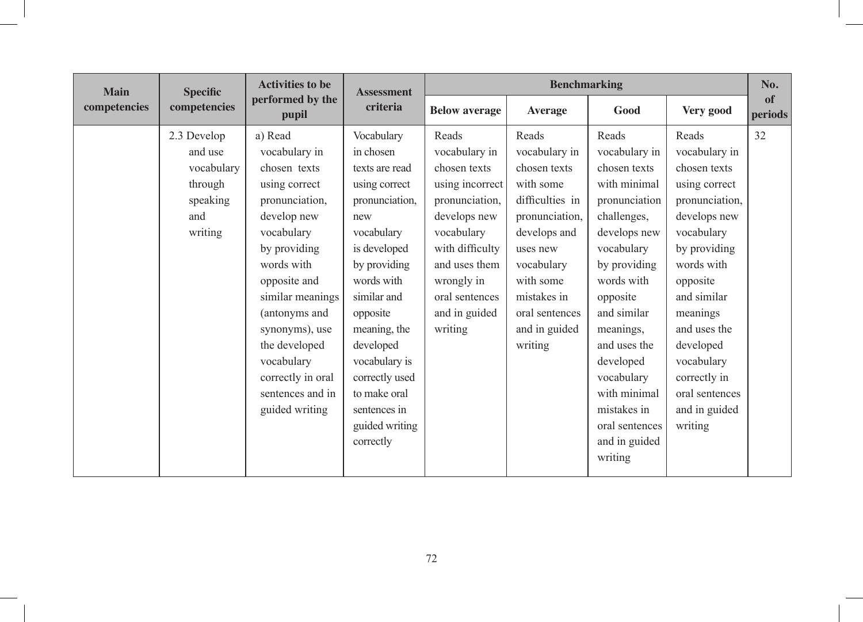| <b>Main</b>  | <b>Specific</b> | <b>Activities to be</b>   | <b>Benchmarking</b><br><b>Assessment</b> |                      |                 |                |                | No.           |
|--------------|-----------------|---------------------------|------------------------------------------|----------------------|-----------------|----------------|----------------|---------------|
| competencies | competencies    | performed by the<br>pupil | criteria                                 | <b>Below average</b> | <b>Average</b>  | Good           | Very good      | of<br>periods |
|              | 2.3 Develop     | a) Read                   | Vocabulary                               | Reads                | Reads           | Reads          | Reads          | 32            |
|              | and use         | vocabulary in             | in chosen                                | vocabulary in        | vocabulary in   | vocabulary in  | vocabulary in  |               |
|              | vocabulary      | chosen texts              | texts are read                           | chosen texts         | chosen texts    | chosen texts   | chosen texts   |               |
|              | through         | using correct             | using correct                            | using incorrect      | with some       | with minimal   | using correct  |               |
|              | speaking        | pronunciation,            | pronunciation,                           | pronunciation,       | difficulties in | pronunciation  | pronunciation, |               |
|              | and             | develop new               | new                                      | develops new         | pronunciation,  | challenges,    | develops new   |               |
|              | writing         | vocabulary                | vocabulary                               | vocabulary           | develops and    | develops new   | vocabulary     |               |
|              |                 | by providing              | is developed                             | with difficulty      | uses new        | vocabulary     | by providing   |               |
|              |                 | words with                | by providing                             | and uses them        | vocabulary      | by providing   | words with     |               |
|              |                 | opposite and              | words with                               | wrongly in           | with some       | words with     | opposite       |               |
|              |                 | similar meanings          | similar and                              | oral sentences       | mistakes in     | opposite       | and similar    |               |
|              |                 | (antonyms and             | opposite                                 | and in guided        | oral sentences  | and similar    | meanings       |               |
|              |                 | synonyms), use            | meaning, the                             | writing              | and in guided   | meanings,      | and uses the   |               |
|              |                 | the developed             | developed                                |                      | writing         | and uses the   | developed      |               |
|              |                 | vocabulary                | vocabulary is                            |                      |                 | developed      | vocabulary     |               |
|              |                 | correctly in oral         | correctly used                           |                      |                 | vocabulary     | correctly in   |               |
|              |                 | sentences and in          | to make oral                             |                      |                 | with minimal   | oral sentences |               |
|              |                 | guided writing            | sentences in                             |                      |                 | mistakes in    | and in guided  |               |
|              |                 |                           | guided writing                           |                      |                 | oral sentences | writing        |               |
|              |                 |                           | correctly                                |                      |                 | and in guided  |                |               |
|              |                 |                           |                                          |                      |                 | writing        |                |               |
|              |                 |                           |                                          |                      |                 |                |                |               |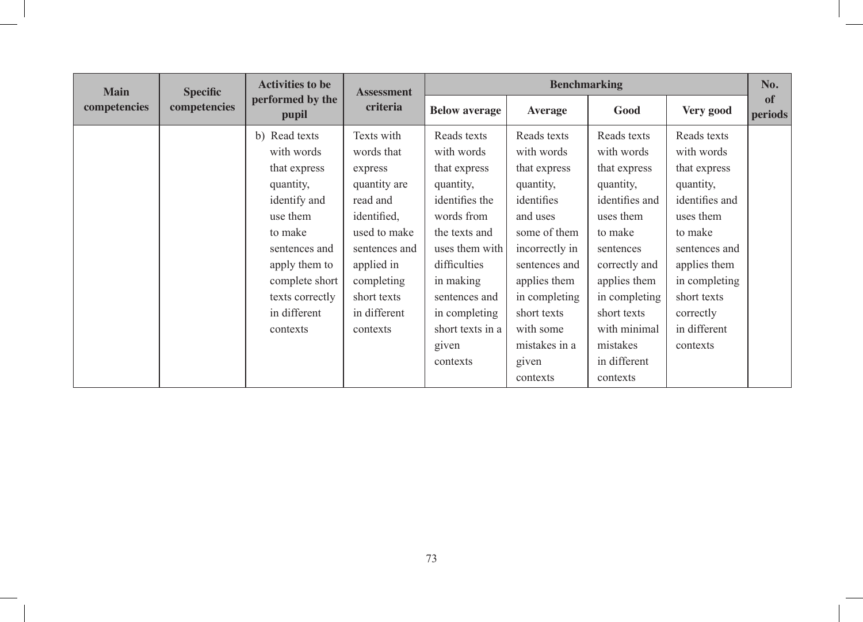| <b>Main</b>  | <b>Specific</b> | <b>Activities to be</b>               | <b>Assessment</b> |                      | <b>Benchmarking</b> |                |                | No.           |
|--------------|-----------------|---------------------------------------|-------------------|----------------------|---------------------|----------------|----------------|---------------|
| competencies | competencies    | performed by the<br>criteria<br>pupil |                   | <b>Below average</b> | <b>Average</b>      | Good           | Very good      | of<br>periods |
|              |                 | b) Read texts                         | Texts with        | Reads texts          | Reads texts         | Reads texts    | Reads texts    |               |
|              |                 | with words                            | words that        | with words           | with words          | with words     | with words     |               |
|              |                 | that express                          | express           | that express         | that express        | that express   | that express   |               |
|              |                 | quantity,                             | quantity are      | quantity,            | quantity,           | quantity,      | quantity,      |               |
|              |                 | identify and                          | read and          | identifies the       | identifies          | identifies and | identifies and |               |
|              |                 | use them                              | identified,       | words from           | and uses            | uses them      | uses them      |               |
|              |                 | to make                               | used to make      | the texts and        | some of them        | to make        | to make        |               |
|              |                 | sentences and                         | sentences and     | uses them with       | incorrectly in      | sentences      | sentences and  |               |
|              |                 | apply them to                         | applied in        | difficulties         | sentences and       | correctly and  | applies them   |               |
|              |                 | complete short                        | completing        | in making            | applies them        | applies them   | in completing  |               |
|              |                 | texts correctly                       | short texts       | sentences and        | in completing       | in completing  | short texts    |               |
|              |                 | in different                          | in different      | in completing        | short texts         | short texts    | correctly      |               |
|              |                 | contexts                              | contexts          | short texts in a     | with some           | with minimal   | in different   |               |
|              |                 |                                       |                   | given                | mistakes in a       | mistakes       | contexts       |               |
|              |                 |                                       |                   | contexts             | given               | in different   |                |               |
|              |                 |                                       |                   |                      | contexts            | contexts       |                |               |